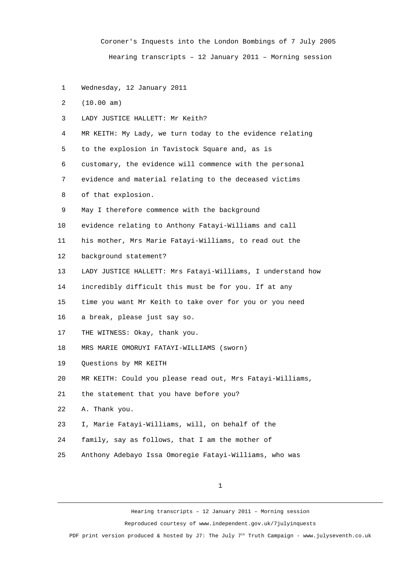Coroner's Inquests into the London Bombings of 7 July 2005 Hearing transcripts – 12 January 2011 – Morning session

1 Wednesday, 12 January 2011

2 (10.00 am)

3 LADY JUSTICE HALLETT: Mr Keith?

4 MR KEITH: My Lady, we turn today to the evidence relating

5 to the explosion in Tavistock Square and, as is

6 customary, the evidence will commence with the personal

7 evidence and material relating to the deceased victims

8 of that explosion.

9 May I therefore commence with the background

10 evidence relating to Anthony Fatayi-Williams and call

11 his mother, Mrs Marie Fatayi-Williams, to read out the

12 background statement?

13 LADY JUSTICE HALLETT: Mrs Fatayi-Williams, I understand how

14 incredibly difficult this must be for you. If at any

15 time you want Mr Keith to take over for you or you need

- 16 a break, please just say so.
- 17 THE WITNESS: Okay, thank you.
- 18 MRS MARIE OMORUYI FATAYI-WILLIAMS (sworn)
- 19 Questions by MR KEITH

20 MR KEITH: Could you please read out, Mrs Fatayi-Williams,

21 the statement that you have before you?

22 A. Thank you.

- 23 I, Marie Fatayi-Williams, will, on behalf of the
- 24 family, say as follows, that I am the mother of
- 25 Anthony Adebayo Issa Omoregie Fatayi-Williams, who was

1

Hearing transcripts – 12 January 2011 – Morning session Reproduced courtesy of www.independent.gov.uk/7julyinquests

PDF print version produced & hosted by J7: The July  $7<sup>th</sup>$  Truth Campaign - www.julyseventh.co.uk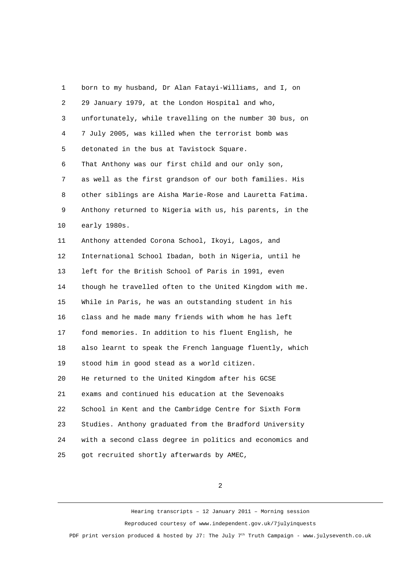1 born to my husband, Dr Alan Fatayi-Williams, and I, on 2 29 January 1979, at the London Hospital and who, 3 unfortunately, while travelling on the number 30 bus, on 4 7 July 2005, was killed when the terrorist bomb was 5 detonated in the bus at Tavistock Square. 6 That Anthony was our first child and our only son, 7 as well as the first grandson of our both families. His 8 other siblings are Aisha Marie-Rose and Lauretta Fatima. 9 Anthony returned to Nigeria with us, his parents, in the 10 early 1980s. 11 Anthony attended Corona School, Ikoyi, Lagos, and 12 International School Ibadan, both in Nigeria, until he 13 left for the British School of Paris in 1991, even 14 though he travelled often to the United Kingdom with me. 15 While in Paris, he was an outstanding student in his 16 class and he made many friends with whom he has left 17 fond memories. In addition to his fluent English, he 18 also learnt to speak the French language fluently, which 19 stood him in good stead as a world citizen. 20 He returned to the United Kingdom after his GCSE 21 exams and continued his education at the Sevenoaks 22 School in Kent and the Cambridge Centre for Sixth Form 23 Studies. Anthony graduated from the Bradford University 24 with a second class degree in politics and economics and 25 got recruited shortly afterwards by AMEC,

2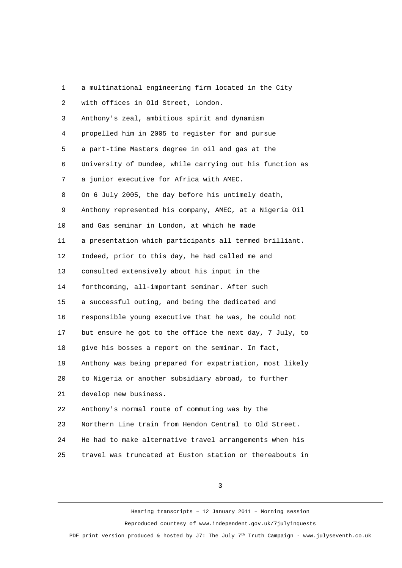| 1              | a multinational engineering firm located in the City     |
|----------------|----------------------------------------------------------|
| $\overline{2}$ | with offices in Old Street, London.                      |
| 3              | Anthony's zeal, ambitious spirit and dynamism            |
| 4              | propelled him in 2005 to register for and pursue         |
| 5              | a part-time Masters degree in oil and gas at the         |
| 6              | University of Dundee, while carrying out his function as |
| 7              | a junior executive for Africa with AMEC.                 |
| 8              | On 6 July 2005, the day before his untimely death,       |
| 9              | Anthony represented his company, AMEC, at a Nigeria Oil  |
| 10             | and Gas seminar in London, at which he made              |
| 11             | a presentation which participants all termed brilliant.  |
| 12             | Indeed, prior to this day, he had called me and          |
| 13             | consulted extensively about his input in the             |
| 14             | forthcoming, all-important seminar. After such           |
| 15             | a successful outing, and being the dedicated and         |
| 16             | responsible young executive that he was, he could not    |
| 17             | but ensure he got to the office the next day, 7 July, to |
| 18             | give his bosses a report on the seminar. In fact,        |
| 19             | Anthony was being prepared for expatriation, most likely |
| 20             | to Nigeria or another subsidiary abroad, to further      |
| 21             | develop new business.                                    |
| 22             | Anthony's normal route of commuting was by the           |
| 23             | Northern Line train from Hendon Central to Old Street.   |
| 24             | He had to make alternative travel arrangements when his  |
| 25             | travel was truncated at Euston station or thereabouts in |

3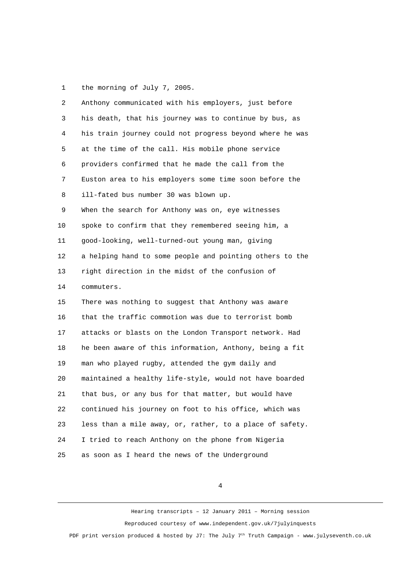1 the morning of July 7, 2005.

| $\overline{c}$ | Anthony communicated with his employers, just before     |
|----------------|----------------------------------------------------------|
| 3              | his death, that his journey was to continue by bus, as   |
| 4              | his train journey could not progress beyond where he was |
| 5              | at the time of the call. His mobile phone service        |
| 6              | providers confirmed that he made the call from the       |
| $\overline{7}$ | Euston area to his employers some time soon before the   |
| 8              | ill-fated bus number 30 was blown up.                    |
| 9              | When the search for Anthony was on, eye witnesses        |
| 10             | spoke to confirm that they remembered seeing him, a      |
| 11             | good-looking, well-turned-out young man, giving          |
| 12             | a helping hand to some people and pointing others to the |
| 13             | right direction in the midst of the confusion of         |
| 14             | commuters.                                               |
| 15             | There was nothing to suggest that Anthony was aware      |
| 16             | that the traffic commotion was due to terrorist bomb     |
| 17             | attacks or blasts on the London Transport network. Had   |
| 18             | he been aware of this information, Anthony, being a fit  |
| 19             | man who played rugby, attended the gym daily and         |
| 20             | maintained a healthy life-style, would not have boarded  |
| 21             | that bus, or any bus for that matter, but would have     |
| 22             | continued his journey on foot to his office, which was   |
| 23             | less than a mile away, or, rather, to a place of safety. |
| 24             | I tried to reach Anthony on the phone from Nigeria       |
| 25             | as soon as I heard the news of the Underground           |

4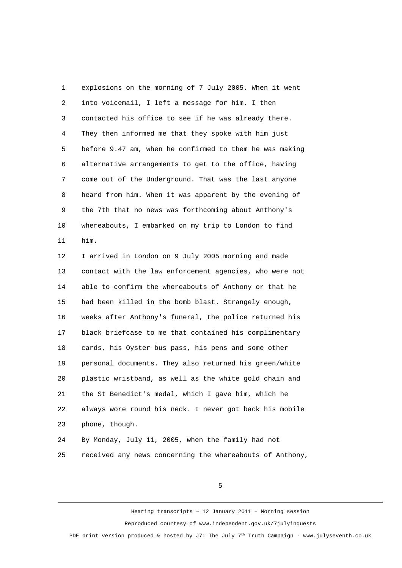1 explosions on the morning of 7 July 2005. When it went 2 into voicemail, I left a message for him. I then 3 contacted his office to see if he was already there. 4 They then informed me that they spoke with him just 5 before 9.47 am, when he confirmed to them he was making 6 alternative arrangements to get to the office, having 7 come out of the Underground. That was the last anyone 8 heard from him. When it was apparent by the evening of 9 the 7th that no news was forthcoming about Anthony's 10 whereabouts, I embarked on my trip to London to find 11 him.

12 I arrived in London on 9 July 2005 morning and made 13 contact with the law enforcement agencies, who were not 14 able to confirm the whereabouts of Anthony or that he 15 had been killed in the bomb blast. Strangely enough, 16 weeks after Anthony's funeral, the police returned his 17 black briefcase to me that contained his complimentary 18 cards, his Oyster bus pass, his pens and some other 19 personal documents. They also returned his green/white 20 plastic wristband, as well as the white gold chain and 21 the St Benedict's medal, which I gave him, which he 22 always wore round his neck. I never got back his mobile 23 phone, though. 24 By Monday, July 11, 2005, when the family had not

25 received any news concerning the whereabouts of Anthony,

5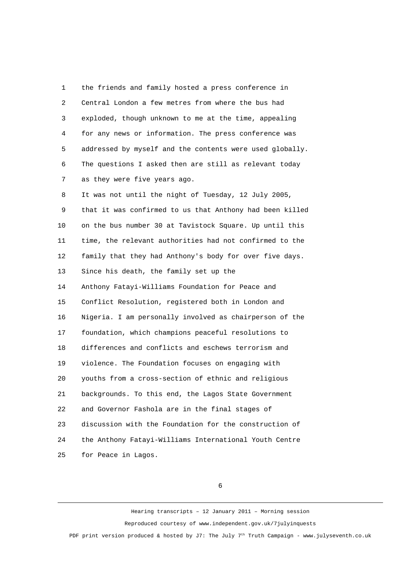1 the friends and family hosted a press conference in 2 Central London a few metres from where the bus had 3 exploded, though unknown to me at the time, appealing 4 for any news or information. The press conference was 5 addressed by myself and the contents were used globally. 6 The questions I asked then are still as relevant today 7 as they were five years ago.

 8 It was not until the night of Tuesday, 12 July 2005, 9 that it was confirmed to us that Anthony had been killed 10 on the bus number 30 at Tavistock Square. Up until this 11 time, the relevant authorities had not confirmed to the 12 family that they had Anthony's body for over five days. 13 Since his death, the family set up the 14 Anthony Fatayi-Williams Foundation for Peace and 15 Conflict Resolution, registered both in London and 16 Nigeria. I am personally involved as chairperson of the 17 foundation, which champions peaceful resolutions to 18 differences and conflicts and eschews terrorism and 19 violence. The Foundation focuses on engaging with 20 youths from a cross-section of ethnic and religious 21 backgrounds. To this end, the Lagos State Government 22 and Governor Fashola are in the final stages of 23 discussion with the Foundation for the construction of 24 the Anthony Fatayi-Williams International Youth Centre 25 for Peace in Lagos.

6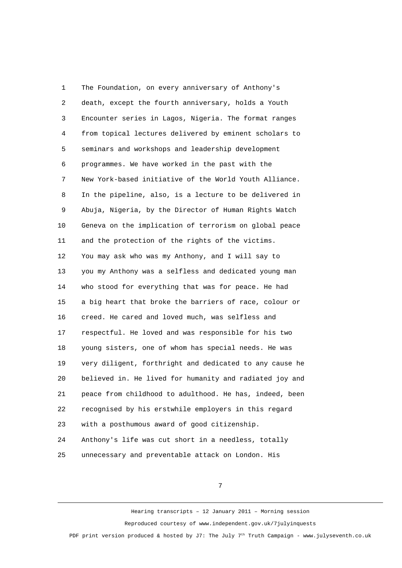1 The Foundation, on every anniversary of Anthony's 2 death, except the fourth anniversary, holds a Youth 3 Encounter series in Lagos, Nigeria. The format ranges 4 from topical lectures delivered by eminent scholars to 5 seminars and workshops and leadership development 6 programmes. We have worked in the past with the 7 New York-based initiative of the World Youth Alliance. 8 In the pipeline, also, is a lecture to be delivered in 9 Abuja, Nigeria, by the Director of Human Rights Watch 10 Geneva on the implication of terrorism on global peace 11 and the protection of the rights of the victims. 12 You may ask who was my Anthony, and I will say to 13 you my Anthony was a selfless and dedicated young man 14 who stood for everything that was for peace. He had 15 a big heart that broke the barriers of race, colour or 16 creed. He cared and loved much, was selfless and 17 respectful. He loved and was responsible for his two 18 young sisters, one of whom has special needs. He was 19 very diligent, forthright and dedicated to any cause he 20 believed in. He lived for humanity and radiated joy and 21 peace from childhood to adulthood. He has, indeed, been 22 recognised by his erstwhile employers in this regard 23 with a posthumous award of good citizenship. 24 Anthony's life was cut short in a needless, totally 25 unnecessary and preventable attack on London. His

7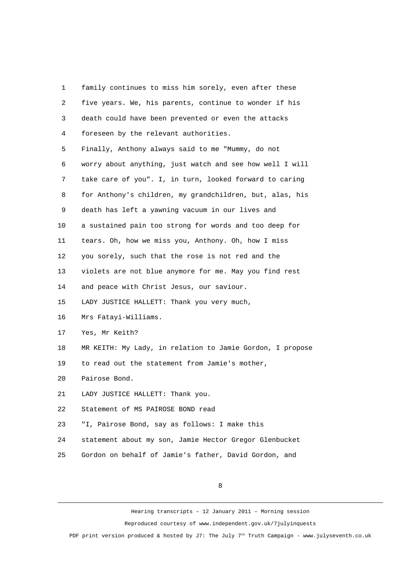1 family continues to miss him sorely, even after these 2 five years. We, his parents, continue to wonder if his 3 death could have been prevented or even the attacks 4 foreseen by the relevant authorities. 5 Finally, Anthony always said to me "Mummy, do not 6 worry about anything, just watch and see how well I will 7 take care of you". I, in turn, looked forward to caring 8 for Anthony's children, my grandchildren, but, alas, his 9 death has left a yawning vacuum in our lives and 10 a sustained pain too strong for words and too deep for 11 tears. Oh, how we miss you, Anthony. Oh, how I miss 12 you sorely, such that the rose is not red and the 13 violets are not blue anymore for me. May you find rest 14 and peace with Christ Jesus, our saviour. 15 LADY JUSTICE HALLETT: Thank you very much, 16 Mrs Fatayi-Williams. 17 Yes, Mr Keith? 18 MR KEITH: My Lady, in relation to Jamie Gordon, I propose 19 to read out the statement from Jamie's mother, 20 Pairose Bond. 21 LADY JUSTICE HALLETT: Thank you. 22 Statement of MS PAIROSE BOND read 23 "I, Pairose Bond, say as follows: I make this 24 statement about my son, Jamie Hector Gregor Glenbucket 25 Gordon on behalf of Jamie's father, David Gordon, and

8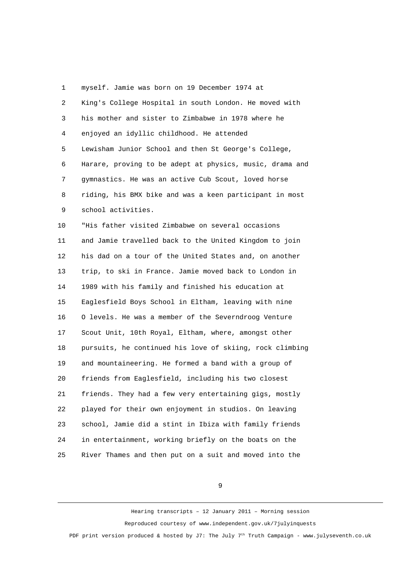1 myself. Jamie was born on 19 December 1974 at 2 King's College Hospital in south London. He moved with 3 his mother and sister to Zimbabwe in 1978 where he 4 enjoyed an idyllic childhood. He attended 5 Lewisham Junior School and then St George's College, 6 Harare, proving to be adept at physics, music, drama and 7 gymnastics. He was an active Cub Scout, loved horse 8 riding, his BMX bike and was a keen participant in most 9 school activities. 10 "His father visited Zimbabwe on several occasions 11 and Jamie travelled back to the United Kingdom to join 12 his dad on a tour of the United States and, on another 13 trip, to ski in France. Jamie moved back to London in 14 1989 with his family and finished his education at 15 Eaglesfield Boys School in Eltham, leaving with nine 16 O levels. He was a member of the Severndroog Venture 17 Scout Unit, 10th Royal, Eltham, where, amongst other 18 pursuits, he continued his love of skiing, rock climbing 19 and mountaineering. He formed a band with a group of 20 friends from Eaglesfield, including his two closest 21 friends. They had a few very entertaining gigs, mostly 22 played for their own enjoyment in studios. On leaving 23 school, Jamie did a stint in Ibiza with family friends 24 in entertainment, working briefly on the boats on the 25 River Thames and then put on a suit and moved into the

9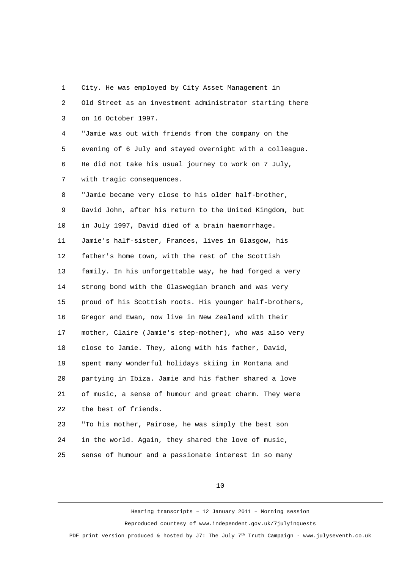| 1              | City. He was employed by City Asset Management in        |
|----------------|----------------------------------------------------------|
| $\overline{2}$ | Old Street as an investment administrator starting there |
| 3              | on 16 October 1997.                                      |
| 4              | "Jamie was out with friends from the company on the      |
| 5              | evening of 6 July and stayed overnight with a colleague. |
| 6              | He did not take his usual journey to work on 7 July,     |
| $\overline{7}$ | with tragic consequences.                                |
| 8              | "Jamie became very close to his older half-brother,      |
| 9              | David John, after his return to the United Kingdom, but  |
| 10             | in July 1997, David died of a brain haemorrhage.         |
| 11             | Jamie's half-sister, Frances, lives in Glasgow, his      |
| 12             | father's home town, with the rest of the Scottish        |
| 13             | family. In his unforgettable way, he had forged a very   |
| 14             | strong bond with the Glaswegian branch and was very      |
| 15             | proud of his Scottish roots. His younger half-brothers,  |
| 16             | Gregor and Ewan, now live in New Zealand with their      |
| 17             | mother, Claire (Jamie's step-mother), who was also very  |
| 18             | close to Jamie. They, along with his father, David,      |
| 19             | spent many wonderful holidays skiing in Montana and      |
| 20             | partying in Ibiza. Jamie and his father shared a love    |
| 21             | of music, a sense of humour and great charm. They were   |
| 22             | the best of friends.                                     |
| 23             | "To his mother, Pairose, he was simply the best son      |
| 24             | in the world. Again, they shared the love of music,      |

25 sense of humour and a passionate interest in so many

10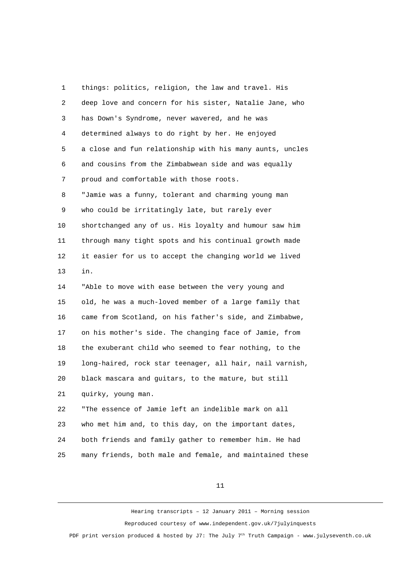1 things: politics, religion, the law and travel. His 2 deep love and concern for his sister, Natalie Jane, who 3 has Down's Syndrome, never wavered, and he was 4 determined always to do right by her. He enjoyed 5 a close and fun relationship with his many aunts, uncles 6 and cousins from the Zimbabwean side and was equally 7 proud and comfortable with those roots. 8 "Jamie was a funny, tolerant and charming young man 9 who could be irritatingly late, but rarely ever 10 shortchanged any of us. His loyalty and humour saw him 11 through many tight spots and his continual growth made 12 it easier for us to accept the changing world we lived 13 in. 14 "Able to move with ease between the very young and 15 old, he was a much-loved member of a large family that 16 came from Scotland, on his father's side, and Zimbabwe, 17 on his mother's side. The changing face of Jamie, from 18 the exuberant child who seemed to fear nothing, to the 19 long-haired, rock star teenager, all hair, nail varnish, 20 black mascara and guitars, to the mature, but still 21 quirky, young man. 22 "The essence of Jamie left an indelible mark on all 23 who met him and, to this day, on the important dates, 24 both friends and family gather to remember him. He had 25 many friends, both male and female, and maintained these

11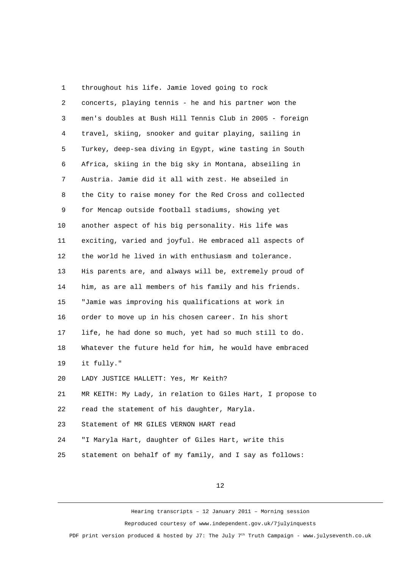1 throughout his life. Jamie loved going to rock 2 concerts, playing tennis - he and his partner won the 3 men's doubles at Bush Hill Tennis Club in 2005 - foreign 4 travel, skiing, snooker and guitar playing, sailing in 5 Turkey, deep-sea diving in Egypt, wine tasting in South 6 Africa, skiing in the big sky in Montana, abseiling in 7 Austria. Jamie did it all with zest. He abseiled in 8 the City to raise money for the Red Cross and collected 9 for Mencap outside football stadiums, showing yet 10 another aspect of his big personality. His life was 11 exciting, varied and joyful. He embraced all aspects of 12 the world he lived in with enthusiasm and tolerance. 13 His parents are, and always will be, extremely proud of 14 him, as are all members of his family and his friends. 15 "Jamie was improving his qualifications at work in 16 order to move up in his chosen career. In his short 17 life, he had done so much, yet had so much still to do. 18 Whatever the future held for him, he would have embraced 19 it fully." 20 LADY JUSTICE HALLETT: Yes, Mr Keith? 21 MR KEITH: My Lady, in relation to Giles Hart, I propose to 22 read the statement of his daughter, Maryla. 23 Statement of MR GILES VERNON HART read 24 "I Maryla Hart, daughter of Giles Hart, write this 25 statement on behalf of my family, and I say as follows:

12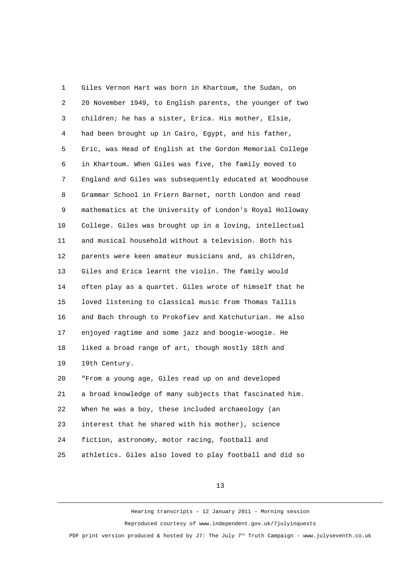1 Giles Vernon Hart was born in Khartoum, the Sudan, on 2 20 November 1949, to English parents, the younger of two 3 children; he has a sister, Erica. His mother, Elsie, 4 had been brought up in Cairo, Egypt, and his father, 5 Eric, was Head of English at the Gordon Memorial College 6 in Khartoum. When Giles was five, the family moved to 7 England and Giles was subsequently educated at Woodhouse 8 Grammar School in Friern Barnet, north London and read 9 mathematics at the University of London's Royal Holloway 10 College. Giles was brought up in a loving, intellectual 11 and musical household without a television. Both his 12 parents were keen amateur musicians and, as children, 13 Giles and Erica learnt the violin. The family would 14 often play as a quartet. Giles wrote of himself that he 15 loved listening to classical music from Thomas Tallis 16 and Bach through to Prokofiev and Katchuturian. He also 17 enjoyed ragtime and some jazz and boogie-woogie. He 18 liked a broad range of art, though mostly 18th and 19 19th Century. 20 "From a young age, Giles read up on and developed 21 a broad knowledge of many subjects that fascinated him. 22 When he was a boy, these included archaeology (an 23 interest that he shared with his mother), science 24 fiction, astronomy, motor racing, football and 25 athletics. Giles also loved to play football and did so

13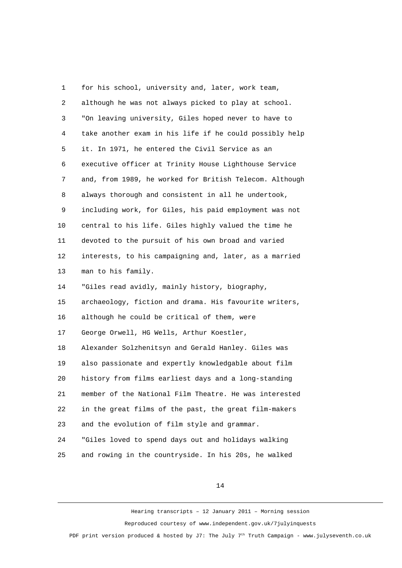1 for his school, university and, later, work team, 2 although he was not always picked to play at school. 3 "On leaving university, Giles hoped never to have to 4 take another exam in his life if he could possibly help 5 it. In 1971, he entered the Civil Service as an 6 executive officer at Trinity House Lighthouse Service 7 and, from 1989, he worked for British Telecom. Although 8 always thorough and consistent in all he undertook, 9 including work, for Giles, his paid employment was not 10 central to his life. Giles highly valued the time he 11 devoted to the pursuit of his own broad and varied 12 interests, to his campaigning and, later, as a married 13 man to his family. 14 "Giles read avidly, mainly history, biography, 15 archaeology, fiction and drama. His favourite writers, 16 although he could be critical of them, were 17 George Orwell, HG Wells, Arthur Koestler, 18 Alexander Solzhenitsyn and Gerald Hanley. Giles was 19 also passionate and expertly knowledgable about film 20 history from films earliest days and a long-standing 21 member of the National Film Theatre. He was interested 22 in the great films of the past, the great film-makers 23 and the evolution of film style and grammar. 24 "Giles loved to spend days out and holidays walking 25 and rowing in the countryside. In his 20s, he walked

14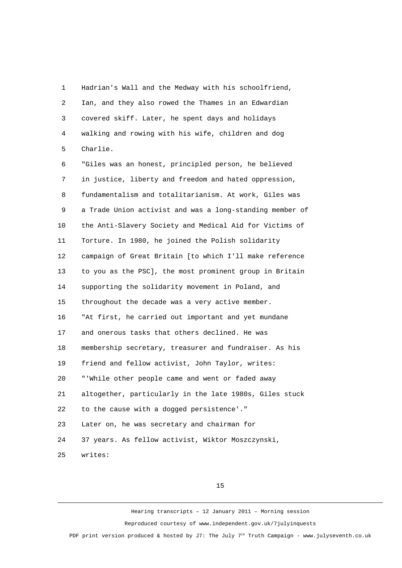1 Hadrian's Wall and the Medway with his schoolfriend, 2 Ian, and they also rowed the Thames in an Edwardian 3 covered skiff. Later, he spent days and holidays 4 walking and rowing with his wife, children and dog 5 Charlie. 6 "Giles was an honest, principled person, he believed 7 in justice, liberty and freedom and hated oppression, 8 fundamentalism and totalitarianism. At work, Giles was 9 a Trade Union activist and was a long-standing member of 10 the Anti-Slavery Society and Medical Aid for Victims of 11 Torture. In 1980, he joined the Polish solidarity 12 campaign of Great Britain [to which I'll make reference 13 to you as the PSC], the most prominent group in Britain 14 supporting the solidarity movement in Poland, and 15 throughout the decade was a very active member. 16 "At first, he carried out important and yet mundane 17 and onerous tasks that others declined. He was 18 membership secretary, treasurer and fundraiser. As his 19 friend and fellow activist, John Taylor, writes: 20 "'While other people came and went or faded away 21 altogether, particularly in the late 1980s, Giles stuck 22 to the cause with a dogged persistence'." 23 Later on, he was secretary and chairman for 24 37 years. As fellow activist, Wiktor Moszczynski, 25 writes:

15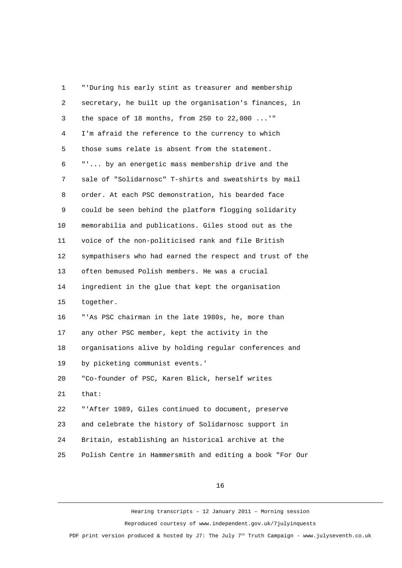1 "'During his early stint as treasurer and membership 2 secretary, he built up the organisation's finances, in 3 the space of 18 months, from 250 to 22,000 ...'" 4 I'm afraid the reference to the currency to which 5 those sums relate is absent from the statement. 6 "'... by an energetic mass membership drive and the 7 sale of "Solidarnosc" T-shirts and sweatshirts by mail 8 order. At each PSC demonstration, his bearded face 9 could be seen behind the platform flogging solidarity 10 memorabilia and publications. Giles stood out as the 11 voice of the non-politicised rank and file British 12 sympathisers who had earned the respect and trust of the 13 often bemused Polish members. He was a crucial 14 ingredient in the glue that kept the organisation 15 together. 16 "'As PSC chairman in the late 1980s, he, more than 17 any other PSC member, kept the activity in the 18 organisations alive by holding regular conferences and 19 by picketing communist events.' 20 "Co-founder of PSC, Karen Blick, herself writes 21 that: 22 "'After 1989, Giles continued to document, preserve 23 and celebrate the history of Solidarnosc support in 24 Britain, establishing an historical archive at the 25 Polish Centre in Hammersmith and editing a book "For Our

16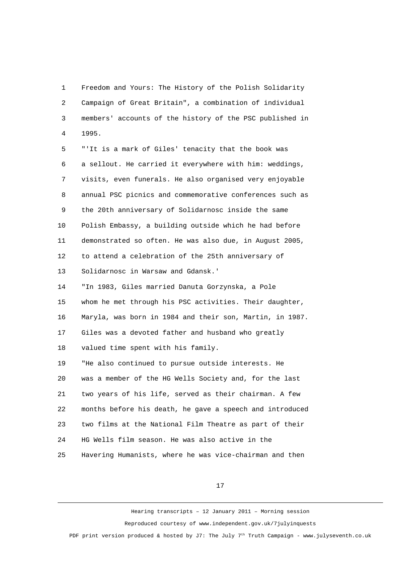1 Freedom and Yours: The History of the Polish Solidarity 2 Campaign of Great Britain", a combination of individual 3 members' accounts of the history of the PSC published in 4 1995.

 5 "'It is a mark of Giles' tenacity that the book was 6 a sellout. He carried it everywhere with him: weddings, 7 visits, even funerals. He also organised very enjoyable 8 annual PSC picnics and commemorative conferences such as 9 the 20th anniversary of Solidarnosc inside the same 10 Polish Embassy, a building outside which he had before 11 demonstrated so often. He was also due, in August 2005, 12 to attend a celebration of the 25th anniversary of 13 Solidarnosc in Warsaw and Gdansk.' 14 "In 1983, Giles married Danuta Gorzynska, a Pole 15 whom he met through his PSC activities. Their daughter, 16 Maryla, was born in 1984 and their son, Martin, in 1987. 17 Giles was a devoted father and husband who greatly 18 valued time spent with his family. 19 "He also continued to pursue outside interests. He 20 was a member of the HG Wells Society and, for the last 21 two years of his life, served as their chairman. A few 22 months before his death, he gave a speech and introduced 23 two films at the National Film Theatre as part of their 24 HG Wells film season. He was also active in the

25 Havering Humanists, where he was vice-chairman and then

17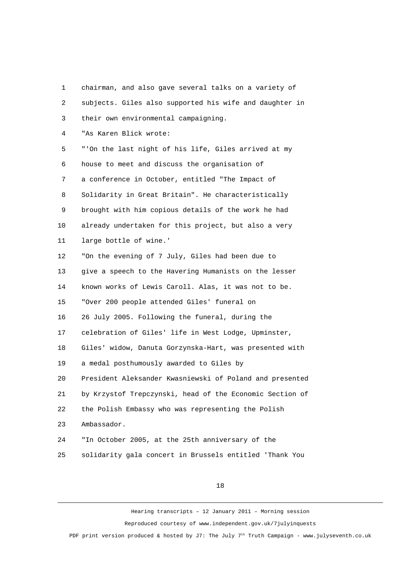1 chairman, and also gave several talks on a variety of 2 subjects. Giles also supported his wife and daughter in 3 their own environmental campaigning. 4 "As Karen Blick wrote: 5 "'On the last night of his life, Giles arrived at my 6 house to meet and discuss the organisation of 7 a conference in October, entitled "The Impact of 8 Solidarity in Great Britain". He characteristically 9 brought with him copious details of the work he had 10 already undertaken for this project, but also a very 11 large bottle of wine.' 12 "On the evening of 7 July, Giles had been due to 13 give a speech to the Havering Humanists on the lesser 14 known works of Lewis Caroll. Alas, it was not to be. 15 "Over 200 people attended Giles' funeral on 16 26 July 2005. Following the funeral, during the 17 celebration of Giles' life in West Lodge, Upminster, 18 Giles' widow, Danuta Gorzynska-Hart, was presented with 19 a medal posthumously awarded to Giles by 20 President Aleksander Kwasniewski of Poland and presented 21 by Krzystof Trepczynski, head of the Economic Section of 22 the Polish Embassy who was representing the Polish 23 Ambassador. 24 "In October 2005, at the 25th anniversary of the 25 solidarity gala concert in Brussels entitled 'Thank You

18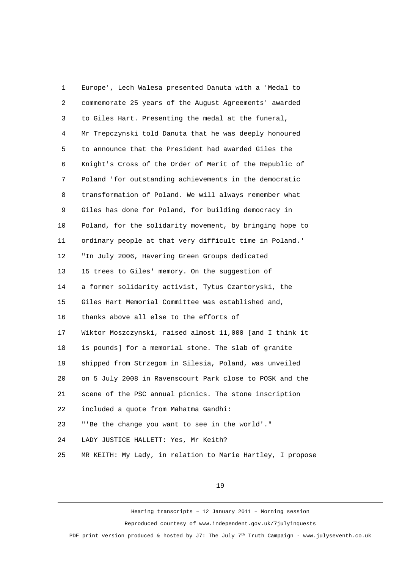1 Europe', Lech Walesa presented Danuta with a 'Medal to 2 commemorate 25 years of the August Agreements' awarded 3 to Giles Hart. Presenting the medal at the funeral, 4 Mr Trepczynski told Danuta that he was deeply honoured 5 to announce that the President had awarded Giles the 6 Knight's Cross of the Order of Merit of the Republic of 7 Poland 'for outstanding achievements in the democratic 8 transformation of Poland. We will always remember what 9 Giles has done for Poland, for building democracy in 10 Poland, for the solidarity movement, by bringing hope to 11 ordinary people at that very difficult time in Poland.' 12 "In July 2006, Havering Green Groups dedicated 13 15 trees to Giles' memory. On the suggestion of 14 a former solidarity activist, Tytus Czartoryski, the 15 Giles Hart Memorial Committee was established and, 16 thanks above all else to the efforts of 17 Wiktor Moszczynski, raised almost 11,000 [and I think it 18 is pounds] for a memorial stone. The slab of granite 19 shipped from Strzegom in Silesia, Poland, was unveiled 20 on 5 July 2008 in Ravenscourt Park close to POSK and the 21 scene of the PSC annual picnics. The stone inscription 22 included a quote from Mahatma Gandhi: 23 "'Be the change you want to see in the world'." 24 LADY JUSTICE HALLETT: Yes, Mr Keith? 25 MR KEITH: My Lady, in relation to Marie Hartley, I propose

19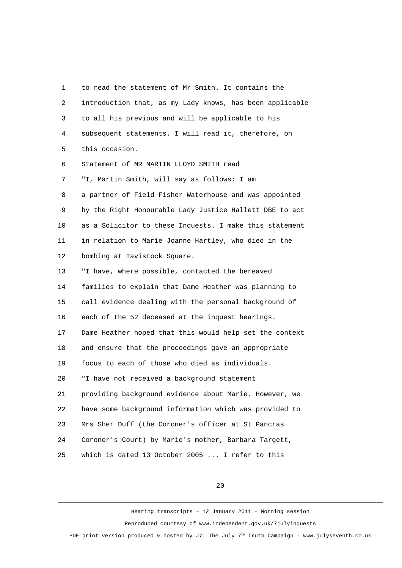1 to read the statement of Mr Smith. It contains the 2 introduction that, as my Lady knows, has been applicable 3 to all his previous and will be applicable to his 4 subsequent statements. I will read it, therefore, on 5 this occasion. 6 Statement of MR MARTIN LLOYD SMITH read 7 "I, Martin Smith, will say as follows: I am 8 a partner of Field Fisher Waterhouse and was appointed 9 by the Right Honourable Lady Justice Hallett DBE to act 10 as a Solicitor to these Inquests. I make this statement 11 in relation to Marie Joanne Hartley, who died in the 12 bombing at Tavistock Square. 13 "I have, where possible, contacted the bereaved 14 families to explain that Dame Heather was planning to 15 call evidence dealing with the personal background of 16 each of the 52 deceased at the inquest hearings. 17 Dame Heather hoped that this would help set the context 18 and ensure that the proceedings gave an appropriate 19 focus to each of those who died as individuals. 20 "I have not received a background statement 21 providing background evidence about Marie. However, we 22 have some background information which was provided to 23 Mrs Sher Duff (the Coroner's officer at St Pancras 24 Coroner's Court) by Marie's mother, Barbara Targett, 25 which is dated 13 October 2005 ... I refer to this

20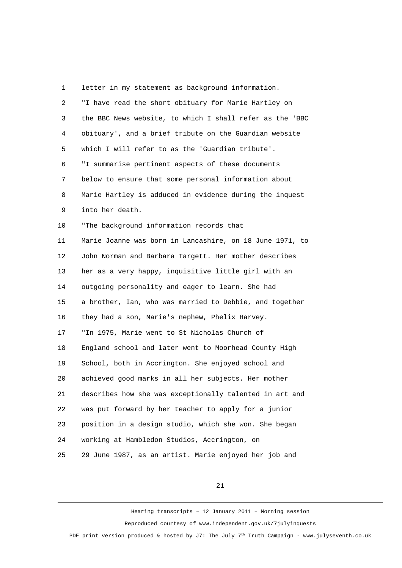1 letter in my statement as background information. 2 "I have read the short obituary for Marie Hartley on 3 the BBC News website, to which I shall refer as the 'BBC 4 obituary', and a brief tribute on the Guardian website 5 which I will refer to as the 'Guardian tribute'. 6 "I summarise pertinent aspects of these documents 7 below to ensure that some personal information about 8 Marie Hartley is adduced in evidence during the inquest 9 into her death. 10 "The background information records that 11 Marie Joanne was born in Lancashire, on 18 June 1971, to 12 John Norman and Barbara Targett. Her mother describes 13 her as a very happy, inquisitive little girl with an 14 outgoing personality and eager to learn. She had 15 a brother, Ian, who was married to Debbie, and together 16 they had a son, Marie's nephew, Phelix Harvey. 17 "In 1975, Marie went to St Nicholas Church of 18 England school and later went to Moorhead County High 19 School, both in Accrington. She enjoyed school and 20 achieved good marks in all her subjects. Her mother

21 describes how she was exceptionally talented in art and

22 was put forward by her teacher to apply for a junior

23 position in a design studio, which she won. She began

24 working at Hambledon Studios, Accrington, on

25 29 June 1987, as an artist. Marie enjoyed her job and

21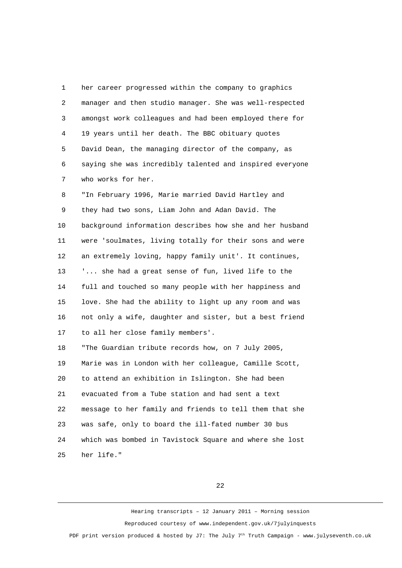1 her career progressed within the company to graphics 2 manager and then studio manager. She was well-respected 3 amongst work colleagues and had been employed there for 4 19 years until her death. The BBC obituary quotes 5 David Dean, the managing director of the company, as 6 saying she was incredibly talented and inspired everyone 7 who works for her.

 8 "In February 1996, Marie married David Hartley and 9 they had two sons, Liam John and Adan David. The 10 background information describes how she and her husband 11 were 'soulmates, living totally for their sons and were 12 an extremely loving, happy family unit'. It continues, 13 '... she had a great sense of fun, lived life to the 14 full and touched so many people with her happiness and 15 love. She had the ability to light up any room and was 16 not only a wife, daughter and sister, but a best friend 17 to all her close family members'. 18 "The Guardian tribute records how, on 7 July 2005, 19 Marie was in London with her colleague, Camille Scott, 20 to attend an exhibition in Islington. She had been 21 evacuated from a Tube station and had sent a text 22 message to her family and friends to tell them that she 23 was safe, only to board the ill-fated number 30 bus 24 which was bombed in Tavistock Square and where she lost 25 her life."

22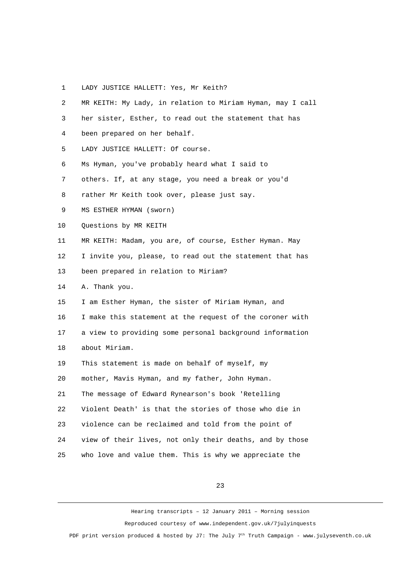1 LADY JUSTICE HALLETT: Yes, Mr Keith?

| $\overline{2}$ | MR KEITH: My Lady, in relation to Miriam Hyman, may I call |
|----------------|------------------------------------------------------------|
| 3              | her sister, Esther, to read out the statement that has     |
| 4              | been prepared on her behalf.                               |
| 5              | LADY JUSTICE HALLETT: Of course.                           |
| 6              | Ms Hyman, you've probably heard what I said to             |
| $\overline{7}$ | others. If, at any stage, you need a break or you'd        |
| 8              | rather Mr Keith took over, please just say.                |
| 9              | MS ESTHER HYMAN (Sworn)                                    |
| 10             | Questions by MR KEITH                                      |
| 11             | MR KEITH: Madam, you are, of course, Esther Hyman. May     |
| 12             | I invite you, please, to read out the statement that has   |
| 13             | been prepared in relation to Miriam?                       |
| 14             | A. Thank you.                                              |
| 15             | I am Esther Hyman, the sister of Miriam Hyman, and         |
| 16             | I make this statement at the request of the coroner with   |
| 17             | a view to providing some personal background information   |
| 18             | about Miriam.                                              |
| 19             | This statement is made on behalf of myself, my             |
| 20             | mother, Mavis Hyman, and my father, John Hyman.            |
| 21             | The message of Edward Rynearson's book 'Retelling          |
| 22             | Violent Death' is that the stories of those who die in     |
| 23             | violence can be reclaimed and told from the point of       |
| 24             | view of their lives, not only their deaths, and by those   |
| 25             | who love and value them. This is why we appreciate the     |

23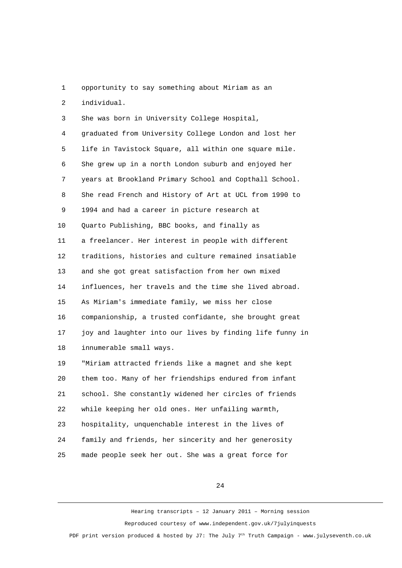1 opportunity to say something about Miriam as an

2 individual.

3 She was born in University College Hospital,

 4 graduated from University College London and lost her 5 life in Tavistock Square, all within one square mile. 6 She grew up in a north London suburb and enjoyed her 7 years at Brookland Primary School and Copthall School. 8 She read French and History of Art at UCL from 1990 to 9 1994 and had a career in picture research at 10 Quarto Publishing, BBC books, and finally as 11 a freelancer. Her interest in people with different 12 traditions, histories and culture remained insatiable 13 and she got great satisfaction from her own mixed 14 influences, her travels and the time she lived abroad. 15 As Miriam's immediate family, we miss her close 16 companionship, a trusted confidante, she brought great 17 joy and laughter into our lives by finding life funny in 18 innumerable small ways.

19 "Miriam attracted friends like a magnet and she kept 20 them too. Many of her friendships endured from infant 21 school. She constantly widened her circles of friends 22 while keeping her old ones. Her unfailing warmth, 23 hospitality, unquenchable interest in the lives of 24 family and friends, her sincerity and her generosity 25 made people seek her out. She was a great force for

24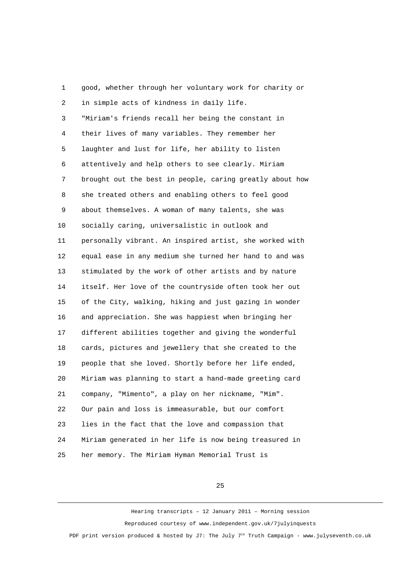1 good, whether through her voluntary work for charity or 2 in simple acts of kindness in daily life. 3 "Miriam's friends recall her being the constant in 4 their lives of many variables. They remember her 5 laughter and lust for life, her ability to listen 6 attentively and help others to see clearly. Miriam 7 brought out the best in people, caring greatly about how 8 she treated others and enabling others to feel good 9 about themselves. A woman of many talents, she was 10 socially caring, universalistic in outlook and 11 personally vibrant. An inspired artist, she worked with 12 equal ease in any medium she turned her hand to and was 13 stimulated by the work of other artists and by nature 14 itself. Her love of the countryside often took her out 15 of the City, walking, hiking and just gazing in wonder 16 and appreciation. She was happiest when bringing her 17 different abilities together and giving the wonderful 18 cards, pictures and jewellery that she created to the 19 people that she loved. Shortly before her life ended, 20 Miriam was planning to start a hand-made greeting card 21 company, "Mimento", a play on her nickname, "Mim". 22 Our pain and loss is immeasurable, but our comfort 23 lies in the fact that the love and compassion that 24 Miriam generated in her life is now being treasured in 25 her memory. The Miriam Hyman Memorial Trust is

25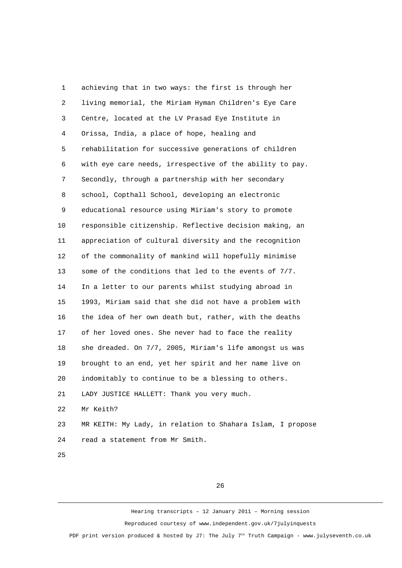1 achieving that in two ways: the first is through her 2 living memorial, the Miriam Hyman Children's Eye Care 3 Centre, located at the LV Prasad Eye Institute in 4 Orissa, India, a place of hope, healing and 5 rehabilitation for successive generations of children 6 with eye care needs, irrespective of the ability to pay. 7 Secondly, through a partnership with her secondary 8 school, Copthall School, developing an electronic 9 educational resource using Miriam's story to promote 10 responsible citizenship. Reflective decision making, an 11 appreciation of cultural diversity and the recognition 12 of the commonality of mankind will hopefully minimise 13 some of the conditions that led to the events of 7/7. 14 In a letter to our parents whilst studying abroad in 15 1993, Miriam said that she did not have a problem with 16 the idea of her own death but, rather, with the deaths 17 of her loved ones. She never had to face the reality 18 she dreaded. On 7/7, 2005, Miriam's life amongst us was 19 brought to an end, yet her spirit and her name live on 20 indomitably to continue to be a blessing to others. 21 LADY JUSTICE HALLETT: Thank you very much. 22 Mr Keith? 23 MR KEITH: My Lady, in relation to Shahara Islam, I propose 24 read a statement from Mr Smith.

25

26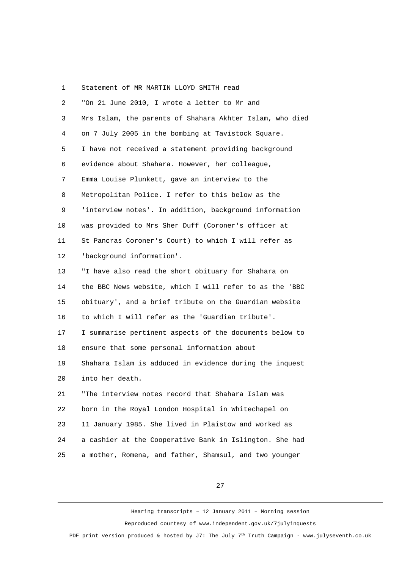## 1 Statement of MR MARTIN LLOYD SMITH read

| $\overline{c}$ | "On 21 June 2010, I wrote a letter to Mr and             |
|----------------|----------------------------------------------------------|
| 3              | Mrs Islam, the parents of Shahara Akhter Islam, who died |
| 4              | on 7 July 2005 in the bombing at Tavistock Square.       |
| 5              | I have not received a statement providing background     |
| 6              | evidence about Shahara. However, her colleague,          |
| 7              | Emma Louise Plunkett, gave an interview to the           |
| 8              | Metropolitan Police. I refer to this below as the        |
| 9              | 'interview notes'. In addition, background information   |
| 10             | was provided to Mrs Sher Duff (Coroner's officer at      |
| 11             | St Pancras Coroner's Court) to which I will refer as     |
| 12             | 'background information'.                                |
| 13             | "I have also read the short obituary for Shahara on      |
| 14             | the BBC News website, which I will refer to as the 'BBC  |
| 15             | obituary', and a brief tribute on the Guardian website   |
| 16             | to which I will refer as the 'Guardian tribute'.         |
| 17             | I summarise pertinent aspects of the documents below to  |
| 18             | ensure that some personal information about              |
| 19             | Shahara Islam is adduced in evidence during the inquest  |
| 20             | into her death.                                          |
| 21             | "The interview notes record that Shahara Islam was       |
| 22             | born in the Royal London Hospital in Whitechapel on      |
| 23             | 11 January 1985. She lived in Plaistow and worked as     |
| 24             | a cashier at the Cooperative Bank in Islington. She had  |
| 25             | a mother, Romena, and father, Shamsul, and two younger   |

27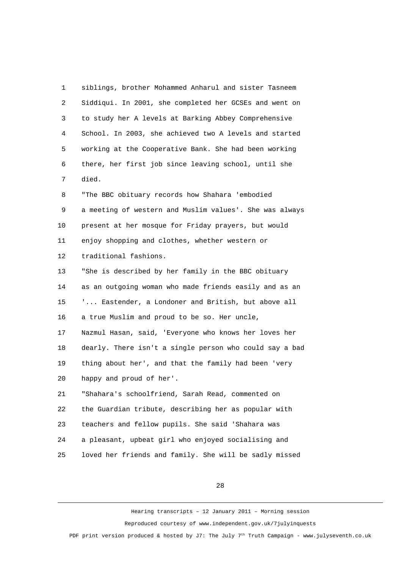1 siblings, brother Mohammed Anharul and sister Tasneem 2 Siddiqui. In 2001, she completed her GCSEs and went on 3 to study her A levels at Barking Abbey Comprehensive 4 School. In 2003, she achieved two A levels and started 5 working at the Cooperative Bank. She had been working 6 there, her first job since leaving school, until she 7 died. 8 "The BBC obituary records how Shahara 'embodied 9 a meeting of western and Muslim values'. She was always 10 present at her mosque for Friday prayers, but would 11 enjoy shopping and clothes, whether western or 12 traditional fashions. 13 "She is described by her family in the BBC obituary 14 as an outgoing woman who made friends easily and as an 15 '... Eastender, a Londoner and British, but above all 16 a true Muslim and proud to be so. Her uncle, 17 Nazmul Hasan, said, 'Everyone who knows her loves her 18 dearly. There isn't a single person who could say a bad 19 thing about her', and that the family had been 'very 20 happy and proud of her'. 21 "Shahara's schoolfriend, Sarah Read, commented on 22 the Guardian tribute, describing her as popular with 23 teachers and fellow pupils. She said 'Shahara was 24 a pleasant, upbeat girl who enjoyed socialising and 25 loved her friends and family. She will be sadly missed

28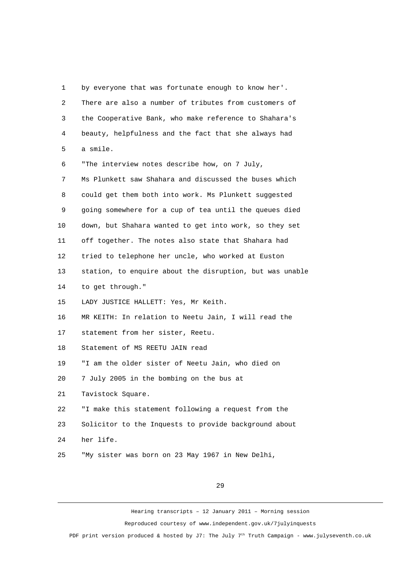1 by everyone that was fortunate enough to know her'. 2 There are also a number of tributes from customers of 3 the Cooperative Bank, who make reference to Shahara's 4 beauty, helpfulness and the fact that she always had 5 a smile. 6 "The interview notes describe how, on 7 July, 7 Ms Plunkett saw Shahara and discussed the buses which 8 could get them both into work. Ms Plunkett suggested 9 going somewhere for a cup of tea until the queues died 10 down, but Shahara wanted to get into work, so they set 11 off together. The notes also state that Shahara had 12 tried to telephone her uncle, who worked at Euston 13 station, to enquire about the disruption, but was unable 14 to get through." 15 LADY JUSTICE HALLETT: Yes, Mr Keith. 16 MR KEITH: In relation to Neetu Jain, I will read the 17 statement from her sister, Reetu. 18 Statement of MS REETU JAIN read 19 "I am the older sister of Neetu Jain, who died on 20 7 July 2005 in the bombing on the bus at 21 Tavistock Square. 22 "I make this statement following a request from the 23 Solicitor to the Inquests to provide background about 24 her life. 25 "My sister was born on 23 May 1967 in New Delhi,

29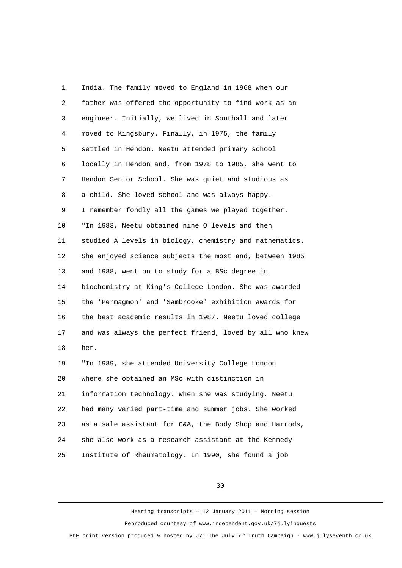1 India. The family moved to England in 1968 when our 2 father was offered the opportunity to find work as an 3 engineer. Initially, we lived in Southall and later 4 moved to Kingsbury. Finally, in 1975, the family 5 settled in Hendon. Neetu attended primary school 6 locally in Hendon and, from 1978 to 1985, she went to 7 Hendon Senior School. She was quiet and studious as 8 a child. She loved school and was always happy. 9 I remember fondly all the games we played together. 10 "In 1983, Neetu obtained nine O levels and then 11 studied A levels in biology, chemistry and mathematics. 12 She enjoyed science subjects the most and, between 1985 13 and 1988, went on to study for a BSc degree in 14 biochemistry at King's College London. She was awarded 15 the 'Permagmon' and 'Sambrooke' exhibition awards for 16 the best academic results in 1987. Neetu loved college 17 and was always the perfect friend, loved by all who knew 18 her. 19 "In 1989, she attended University College London 20 where she obtained an MSc with distinction in 21 information technology. When she was studying, Neetu 22 had many varied part-time and summer jobs. She worked 23 as a sale assistant for C&A, the Body Shop and Harrods, 24 she also work as a research assistant at the Kennedy 25 Institute of Rheumatology. In 1990, she found a job

30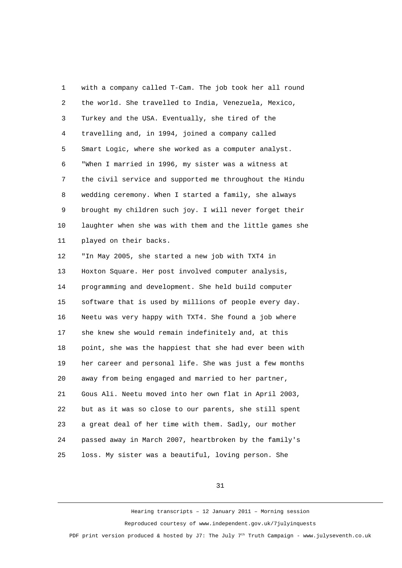1 with a company called T-Cam. The job took her all round 2 the world. She travelled to India, Venezuela, Mexico, 3 Turkey and the USA. Eventually, she tired of the 4 travelling and, in 1994, joined a company called 5 Smart Logic, where she worked as a computer analyst. 6 "When I married in 1996, my sister was a witness at 7 the civil service and supported me throughout the Hindu 8 wedding ceremony. When I started a family, she always 9 brought my children such joy. I will never forget their 10 laughter when she was with them and the little games she 11 played on their backs. 12 "In May 2005, she started a new job with TXT4 in 13 Hoxton Square. Her post involved computer analysis, 14 programming and development. She held build computer 15 software that is used by millions of people every day. 16 Neetu was very happy with TXT4. She found a job where 17 she knew she would remain indefinitely and, at this

18 point, she was the happiest that she had ever been with 19 her career and personal life. She was just a few months 20 away from being engaged and married to her partner, 21 Gous Ali. Neetu moved into her own flat in April 2003, 22 but as it was so close to our parents, she still spent 23 a great deal of her time with them. Sadly, our mother 24 passed away in March 2007, heartbroken by the family's

25 loss. My sister was a beautiful, loving person. She

31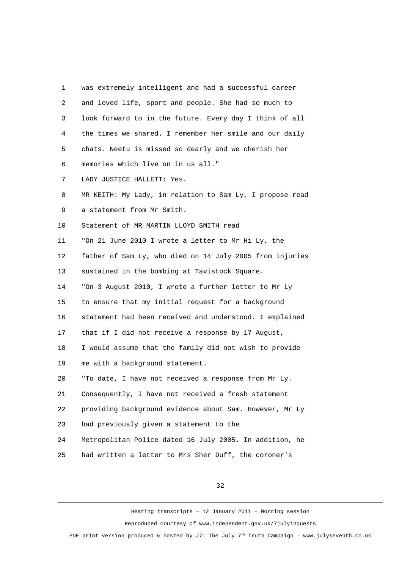1 was extremely intelligent and had a successful career 2 and loved life, sport and people. She had so much to 3 look forward to in the future. Every day I think of all 4 the times we shared. I remember her smile and our daily 5 chats. Neetu is missed so dearly and we cherish her 6 memories which live on in us all." 7 LADY JUSTICE HALLETT: Yes. 8 MR KEITH: My Lady, in relation to Sam Ly, I propose read 9 a statement from Mr Smith. 10 Statement of MR MARTIN LLOYD SMITH read 11 "On 21 June 2010 I wrote a letter to Mr Hi Ly, the 12 father of Sam Ly, who died on 14 July 2005 from injuries 13 sustained in the bombing at Tavistock Square. 14 "On 3 August 2010, I wrote a further letter to Mr Ly 15 to ensure that my initial request for a background 16 statement had been received and understood. I explained 17 that if I did not receive a response by 17 August, 18 I would assume that the family did not wish to provide 19 me with a background statement. 20 "To date, I have not received a response from Mr Ly. 21 Consequently, I have not received a fresh statement 22 providing background evidence about Sam. However, Mr Ly 23 had previously given a statement to the 24 Metropolitan Police dated 16 July 2005. In addition, he 25 had written a letter to Mrs Sher Duff, the coroner's

32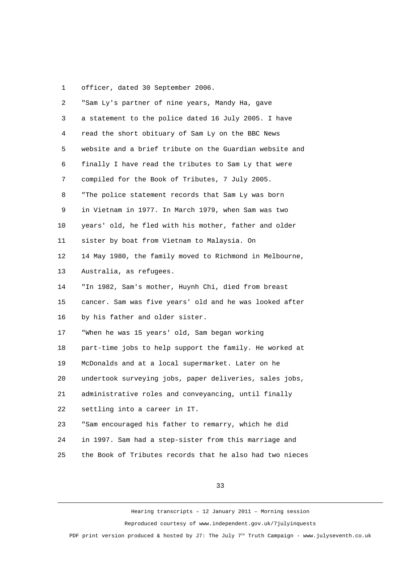1 officer, dated 30 September 2006.

| $\overline{2}$ | "Sam Ly's partner of nine years, Mandy Ha, gave          |
|----------------|----------------------------------------------------------|
| 3              | a statement to the police dated 16 July 2005. I have     |
| 4              | read the short obituary of Sam Ly on the BBC News        |
| 5              | website and a brief tribute on the Guardian website and  |
| 6              | finally I have read the tributes to Sam Ly that were     |
| 7              | compiled for the Book of Tributes, 7 July 2005.          |
| 8              | "The police statement records that Sam Ly was born       |
| 9              | in Vietnam in 1977. In March 1979, when Sam was two      |
| 10             | years' old, he fled with his mother, father and older    |
| 11             | sister by boat from Vietnam to Malaysia. On              |
| 12             | 14 May 1980, the family moved to Richmond in Melbourne,  |
| 13             | Australia, as refugees.                                  |
| 14             | "In 1982, Sam's mother, Huynh Chi, died from breast      |
| 15             | cancer. Sam was five years' old and he was looked after  |
| 16             | by his father and older sister.                          |
| 17             | "When he was 15 years' old, Sam began working            |
| 18             | part-time jobs to help support the family. He worked at  |
| 19             | McDonalds and at a local supermarket. Later on he        |
| 20             | undertook surveying jobs, paper deliveries, sales jobs,  |
| 21             | administrative roles and conveyancing, until finally     |
| 22             | settling into a career in IT.                            |
| 23             | "Sam encouraged his father to remarry, which he did      |
| 24             | in 1997. Sam had a step-sister from this marriage and    |
| 25             | the Book of Tributes records that he also had two nieces |

33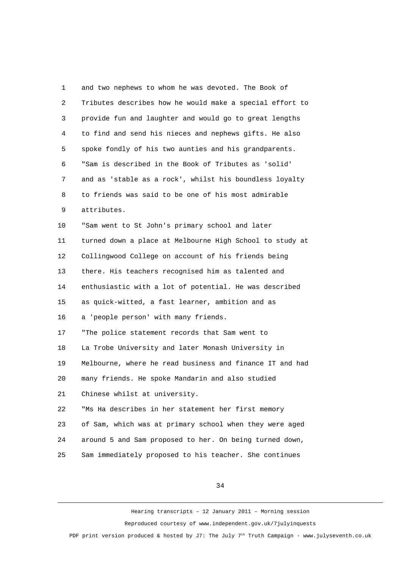1 and two nephews to whom he was devoted. The Book of 2 Tributes describes how he would make a special effort to 3 provide fun and laughter and would go to great lengths 4 to find and send his nieces and nephews gifts. He also 5 spoke fondly of his two aunties and his grandparents. 6 "Sam is described in the Book of Tributes as 'solid' 7 and as 'stable as a rock', whilst his boundless loyalty 8 to friends was said to be one of his most admirable 9 attributes. 10 "Sam went to St John's primary school and later 11 turned down a place at Melbourne High School to study at 12 Collingwood College on account of his friends being 13 there. His teachers recognised him as talented and 14 enthusiastic with a lot of potential. He was described 15 as quick-witted, a fast learner, ambition and as 16 a 'people person' with many friends. 17 "The police statement records that Sam went to 18 La Trobe University and later Monash University in 19 Melbourne, where he read business and finance IT and had 20 many friends. He spoke Mandarin and also studied 21 Chinese whilst at university. 22 "Ms Ha describes in her statement her first memory 23 of Sam, which was at primary school when they were aged 24 around 5 and Sam proposed to her. On being turned down, 25 Sam immediately proposed to his teacher. She continues

34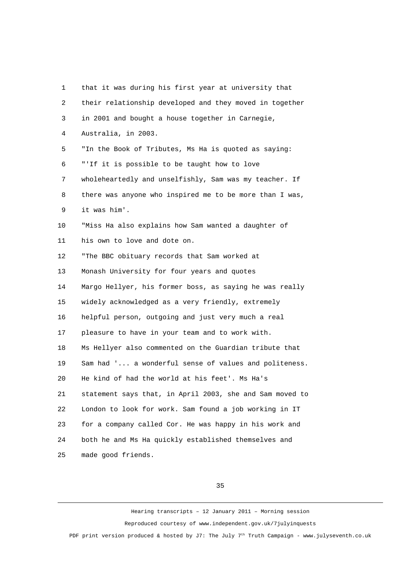1 that it was during his first year at university that 2 their relationship developed and they moved in together 3 in 2001 and bought a house together in Carnegie, 4 Australia, in 2003. 5 "In the Book of Tributes, Ms Ha is quoted as saying: 6 "'If it is possible to be taught how to love 7 wholeheartedly and unselfishly, Sam was my teacher. If 8 there was anyone who inspired me to be more than I was, 9 it was him'. 10 "Miss Ha also explains how Sam wanted a daughter of 11 his own to love and dote on. 12 "The BBC obituary records that Sam worked at 13 Monash University for four years and quotes 14 Margo Hellyer, his former boss, as saying he was really 15 widely acknowledged as a very friendly, extremely 16 helpful person, outgoing and just very much a real 17 pleasure to have in your team and to work with. 18 Ms Hellyer also commented on the Guardian tribute that 19 Sam had '... a wonderful sense of values and politeness. 20 He kind of had the world at his feet'. Ms Ha's 21 statement says that, in April 2003, she and Sam moved to 22 London to look for work. Sam found a job working in IT 23 for a company called Cor. He was happy in his work and 24 both he and Ms Ha quickly established themselves and 25 made good friends.

35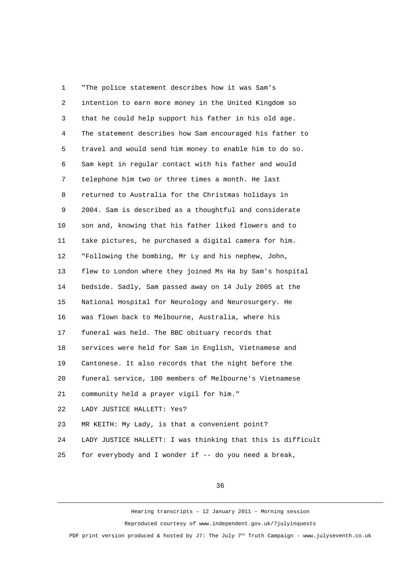1 "The police statement describes how it was Sam's 2 intention to earn more money in the United Kingdom so 3 that he could help support his father in his old age. 4 The statement describes how Sam encouraged his father to 5 travel and would send him money to enable him to do so. 6 Sam kept in regular contact with his father and would 7 telephone him two or three times a month. He last 8 returned to Australia for the Christmas holidays in 9 2004. Sam is described as a thoughtful and considerate 10 son and, knowing that his father liked flowers and to 11 take pictures, he purchased a digital camera for him. 12 "Following the bombing, Mr Ly and his nephew, John, 13 flew to London where they joined Ms Ha by Sam's hospital 14 bedside. Sadly, Sam passed away on 14 July 2005 at the 15 National Hospital for Neurology and Neurosurgery. He 16 was flown back to Melbourne, Australia, where his 17 funeral was held. The BBC obituary records that 18 services were held for Sam in English, Vietnamese and 19 Cantonese. It also records that the night before the 20 funeral service, 100 members of Melbourne's Vietnamese 21 community held a prayer vigil for him." 22 LADY JUSTICE HALLETT: Yes? 23 MR KEITH: My Lady, is that a convenient point? 24 LADY JUSTICE HALLETT: I was thinking that this is difficult 25 for everybody and I wonder if -- do you need a break,

36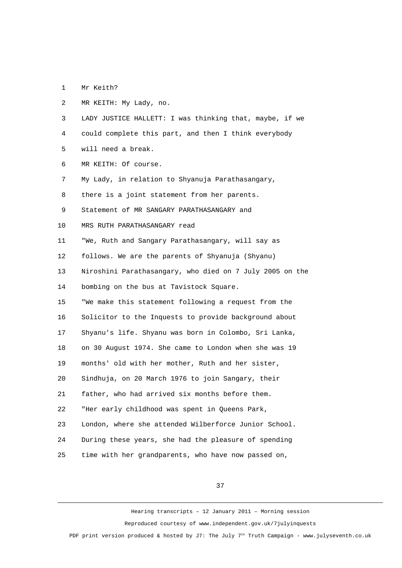1 Mr Keith?

 2 MR KEITH: My Lady, no. 3 LADY JUSTICE HALLETT: I was thinking that, maybe, if we 4 could complete this part, and then I think everybody 5 will need a break. 6 MR KEITH: Of course. 7 My Lady, in relation to Shyanuja Parathasangary, 8 there is a joint statement from her parents. 9 Statement of MR SANGARY PARATHASANGARY and 10 MRS RUTH PARATHASANGARY read 11 "We, Ruth and Sangary Parathasangary, will say as 12 follows. We are the parents of Shyanuja (Shyanu) 13 Niroshini Parathasangary, who died on 7 July 2005 on the 14 bombing on the bus at Tavistock Square. 15 "We make this statement following a request from the 16 Solicitor to the Inquests to provide background about 17 Shyanu's life. Shyanu was born in Colombo, Sri Lanka, 18 on 30 August 1974. She came to London when she was 19 19 months' old with her mother, Ruth and her sister, 20 Sindhuja, on 20 March 1976 to join Sangary, their 21 father, who had arrived six months before them. 22 "Her early childhood was spent in Queens Park, 23 London, where she attended Wilberforce Junior School. 24 During these years, she had the pleasure of spending 25 time with her grandparents, who have now passed on,

37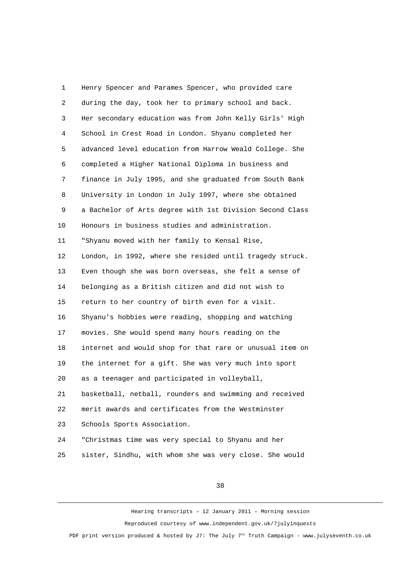1 Henry Spencer and Parames Spencer, who provided care 2 during the day, took her to primary school and back. 3 Her secondary education was from John Kelly Girls' High 4 School in Crest Road in London. Shyanu completed her 5 advanced level education from Harrow Weald College. She 6 completed a Higher National Diploma in business and 7 finance in July 1995, and she graduated from South Bank 8 University in London in July 1997, where she obtained 9 a Bachelor of Arts degree with 1st Division Second Class 10 Honours in business studies and administration. 11 "Shyanu moved with her family to Kensal Rise, 12 London, in 1992, where she resided until tragedy struck. 13 Even though she was born overseas, she felt a sense of 14 belonging as a British citizen and did not wish to 15 return to her country of birth even for a visit. 16 Shyanu's hobbies were reading, shopping and watching 17 movies. She would spend many hours reading on the 18 internet and would shop for that rare or unusual item on 19 the internet for a gift. She was very much into sport 20 as a teenager and participated in volleyball, 21 basketball, netball, rounders and swimming and received 22 merit awards and certificates from the Westminster 23 Schools Sports Association. 24 "Christmas time was very special to Shyanu and her

25 sister, Sindhu, with whom she was very close. She would

38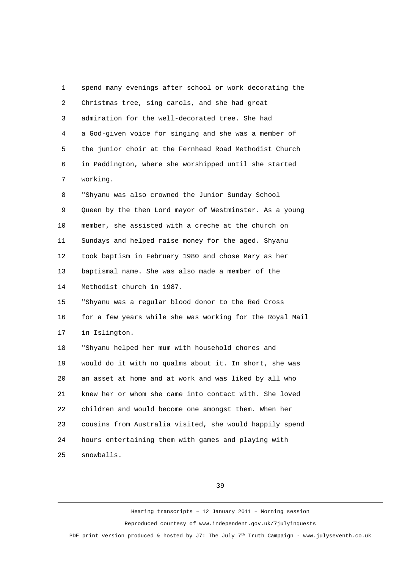1 spend many evenings after school or work decorating the 2 Christmas tree, sing carols, and she had great 3 admiration for the well-decorated tree. She had 4 a God-given voice for singing and she was a member of 5 the junior choir at the Fernhead Road Methodist Church 6 in Paddington, where she worshipped until she started 7 working. 8 "Shyanu was also crowned the Junior Sunday School 9 Queen by the then Lord mayor of Westminster. As a young 10 member, she assisted with a creche at the church on 11 Sundays and helped raise money for the aged. Shyanu 12 took baptism in February 1980 and chose Mary as her 13 baptismal name. She was also made a member of the 14 Methodist church in 1987. 15 "Shyanu was a regular blood donor to the Red Cross 16 for a few years while she was working for the Royal Mail 17 in Islington. 18 "Shyanu helped her mum with household chores and 19 would do it with no qualms about it. In short, she was 20 an asset at home and at work and was liked by all who 21 knew her or whom she came into contact with. She loved 22 children and would become one amongst them. When her 23 cousins from Australia visited, she would happily spend 24 hours entertaining them with games and playing with 25 snowballs.

39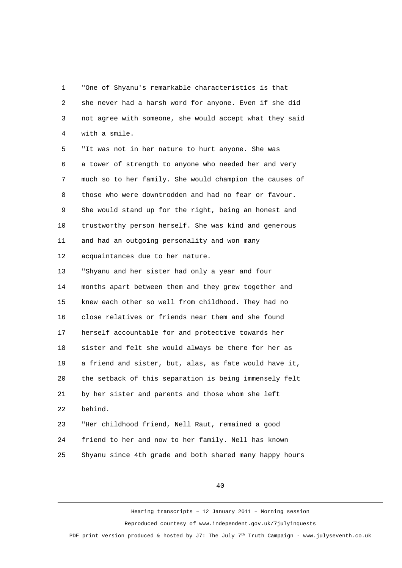1 "One of Shyanu's remarkable characteristics is that 2 she never had a harsh word for anyone. Even if she did 3 not agree with someone, she would accept what they said 4 with a smile.

 5 "It was not in her nature to hurt anyone. She was 6 a tower of strength to anyone who needed her and very 7 much so to her family. She would champion the causes of 8 those who were downtrodden and had no fear or favour. 9 She would stand up for the right, being an honest and 10 trustworthy person herself. She was kind and generous 11 and had an outgoing personality and won many 12 acquaintances due to her nature.

13 "Shyanu and her sister had only a year and four 14 months apart between them and they grew together and 15 knew each other so well from childhood. They had no 16 close relatives or friends near them and she found 17 herself accountable for and protective towards her 18 sister and felt she would always be there for her as 19 a friend and sister, but, alas, as fate would have it, 20 the setback of this separation is being immensely felt 21 by her sister and parents and those whom she left 22 behind.

23 "Her childhood friend, Nell Raut, remained a good 24 friend to her and now to her family. Nell has known 25 Shyanu since 4th grade and both shared many happy hours

40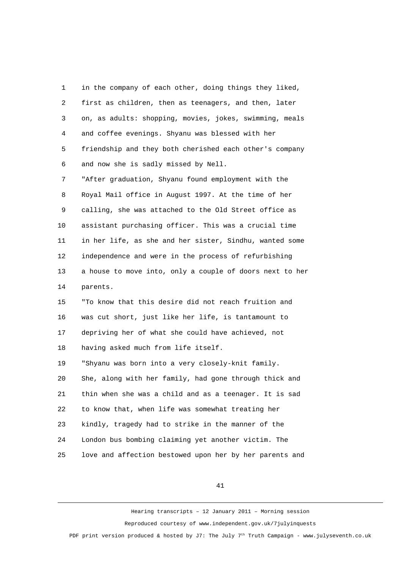1 in the company of each other, doing things they liked, 2 first as children, then as teenagers, and then, later 3 on, as adults: shopping, movies, jokes, swimming, meals 4 and coffee evenings. Shyanu was blessed with her 5 friendship and they both cherished each other's company 6 and now she is sadly missed by Nell.

 7 "After graduation, Shyanu found employment with the 8 Royal Mail office in August 1997. At the time of her 9 calling, she was attached to the Old Street office as 10 assistant purchasing officer. This was a crucial time 11 in her life, as she and her sister, Sindhu, wanted some 12 independence and were in the process of refurbishing 13 a house to move into, only a couple of doors next to her 14 parents.

15 "To know that this desire did not reach fruition and 16 was cut short, just like her life, is tantamount to 17 depriving her of what she could have achieved, not 18 having asked much from life itself.

19 "Shyanu was born into a very closely-knit family. 20 She, along with her family, had gone through thick and 21 thin when she was a child and as a teenager. It is sad 22 to know that, when life was somewhat treating her 23 kindly, tragedy had to strike in the manner of the 24 London bus bombing claiming yet another victim. The 25 love and affection bestowed upon her by her parents and

41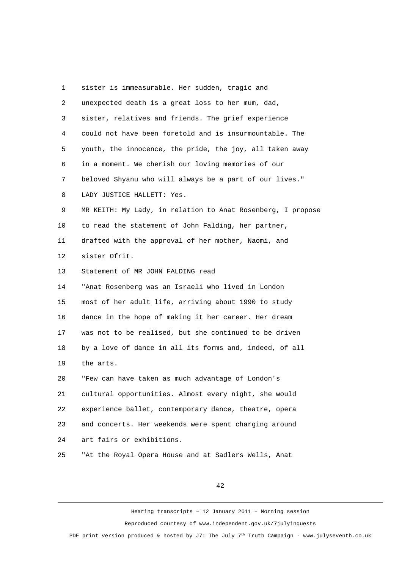1 sister is immeasurable. Her sudden, tragic and 2 unexpected death is a great loss to her mum, dad, 3 sister, relatives and friends. The grief experience 4 could not have been foretold and is insurmountable. The 5 youth, the innocence, the pride, the joy, all taken away 6 in a moment. We cherish our loving memories of our 7 beloved Shyanu who will always be a part of our lives." 8 LADY JUSTICE HALLETT: Yes. 9 MR KEITH: My Lady, in relation to Anat Rosenberg, I propose 10 to read the statement of John Falding, her partner, 11 drafted with the approval of her mother, Naomi, and 12 sister Ofrit. 13 Statement of MR JOHN FALDING read 14 "Anat Rosenberg was an Israeli who lived in London 15 most of her adult life, arriving about 1990 to study 16 dance in the hope of making it her career. Her dream 17 was not to be realised, but she continued to be driven 18 by a love of dance in all its forms and, indeed, of all 19 the arts. 20 "Few can have taken as much advantage of London's 21 cultural opportunities. Almost every night, she would 22 experience ballet, contemporary dance, theatre, opera 23 and concerts. Her weekends were spent charging around 24 art fairs or exhibitions. 25 "At the Royal Opera House and at Sadlers Wells, Anat

42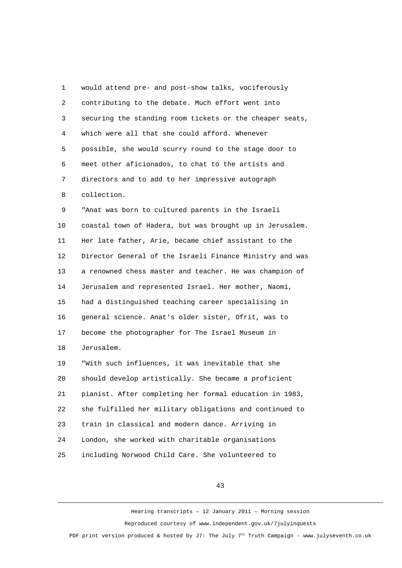1 would attend pre- and post-show talks, vociferously 2 contributing to the debate. Much effort went into 3 securing the standing room tickets or the cheaper seats, 4 which were all that she could afford. Whenever 5 possible, she would scurry round to the stage door to 6 meet other aficionados, to chat to the artists and 7 directors and to add to her impressive autograph 8 collection. 9 "Anat was born to cultured parents in the Israeli 10 coastal town of Hadera, but was brought up in Jerusalem. 11 Her late father, Arie, became chief assistant to the 12 Director General of the Israeli Finance Ministry and was 13 a renowned chess master and teacher. He was champion of 14 Jerusalem and represented Israel. Her mother, Naomi, 15 had a distinguished teaching career specialising in 16 general science. Anat's older sister, Ofrit, was to 17 become the photographer for The Israel Museum in 18 Jerusalem. 19 "With such influences, it was inevitable that she 20 should develop artistically. She became a proficient 21 pianist. After completing her formal education in 1983, 22 she fulfilled her military obligations and continued to 23 train in classical and modern dance. Arriving in 24 London, she worked with charitable organisations 25 including Norwood Child Care. She volunteered to

43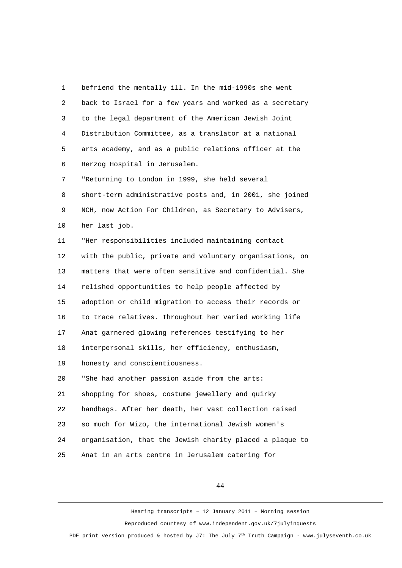1 befriend the mentally ill. In the mid-1990s she went 2 back to Israel for a few years and worked as a secretary 3 to the legal department of the American Jewish Joint 4 Distribution Committee, as a translator at a national 5 arts academy, and as a public relations officer at the 6 Herzog Hospital in Jerusalem. 7 "Returning to London in 1999, she held several 8 short-term administrative posts and, in 2001, she joined 9 NCH, now Action For Children, as Secretary to Advisers, 10 her last job. 11 "Her responsibilities included maintaining contact 12 with the public, private and voluntary organisations, on 13 matters that were often sensitive and confidential. She 14 relished opportunities to help people affected by 15 adoption or child migration to access their records or 16 to trace relatives. Throughout her varied working life 17 Anat garnered glowing references testifying to her 18 interpersonal skills, her efficiency, enthusiasm, 19 honesty and conscientiousness. 20 "She had another passion aside from the arts: 21 shopping for shoes, costume jewellery and quirky 22 handbags. After her death, her vast collection raised 23 so much for Wizo, the international Jewish women's 24 organisation, that the Jewish charity placed a plaque to 25 Anat in an arts centre in Jerusalem catering for

44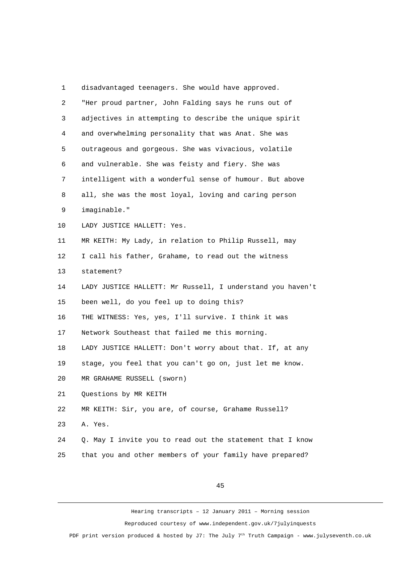1 disadvantaged teenagers. She would have approved. 2 "Her proud partner, John Falding says he runs out of 3 adjectives in attempting to describe the unique spirit 4 and overwhelming personality that was Anat. She was 5 outrageous and gorgeous. She was vivacious, volatile 6 and vulnerable. She was feisty and fiery. She was 7 intelligent with a wonderful sense of humour. But above 8 all, she was the most loyal, loving and caring person 9 imaginable." 10 LADY JUSTICE HALLETT: Yes. 11 MR KEITH: My Lady, in relation to Philip Russell, may 12 I call his father, Grahame, to read out the witness 13 statement? 14 LADY JUSTICE HALLETT: Mr Russell, I understand you haven't 15 been well, do you feel up to doing this? 16 THE WITNESS: Yes, yes, I'll survive. I think it was 17 Network Southeast that failed me this morning. 18 LADY JUSTICE HALLETT: Don't worry about that. If, at any 19 stage, you feel that you can't go on, just let me know. 20 MR GRAHAME RUSSELL (sworn) 21 Questions by MR KEITH 22 MR KEITH: Sir, you are, of course, Grahame Russell? 23 A. Yes. 24 Q. May I invite you to read out the statement that I know 25 that you and other members of your family have prepared?

45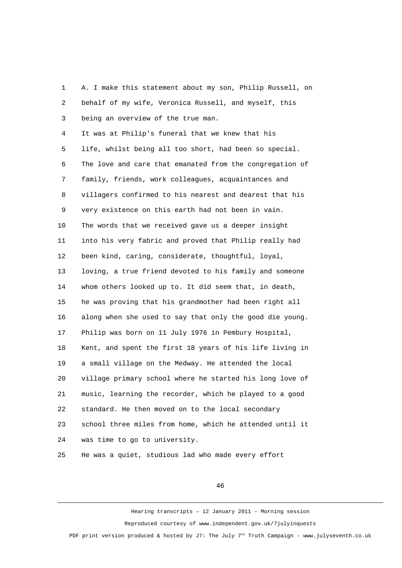1 A. I make this statement about my son, Philip Russell, on 2 behalf of my wife, Veronica Russell, and myself, this 3 being an overview of the true man. 4 It was at Philip's funeral that we knew that his 5 life, whilst being all too short, had been so special. 6 The love and care that emanated from the congregation of 7 family, friends, work colleagues, acquaintances and 8 villagers confirmed to his nearest and dearest that his 9 very existence on this earth had not been in vain. 10 The words that we received gave us a deeper insight 11 into his very fabric and proved that Philip really had 12 been kind, caring, considerate, thoughtful, loyal, 13 loving, a true friend devoted to his family and someone 14 whom others looked up to. It did seem that, in death, 15 he was proving that his grandmother had been right all 16 along when she used to say that only the good die young. 17 Philip was born on 11 July 1976 in Pembury Hospital, 18 Kent, and spent the first 18 years of his life living in 19 a small village on the Medway. He attended the local 20 village primary school where he started his long love of 21 music, learning the recorder, which he played to a good 22 standard. He then moved on to the local secondary 23 school three miles from home, which he attended until it 24 was time to go to university. 25 He was a quiet, studious lad who made every effort

46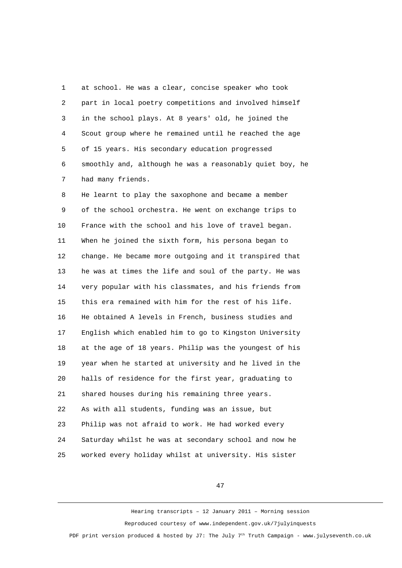1 at school. He was a clear, concise speaker who took 2 part in local poetry competitions and involved himself 3 in the school plays. At 8 years' old, he joined the 4 Scout group where he remained until he reached the age 5 of 15 years. His secondary education progressed 6 smoothly and, although he was a reasonably quiet boy, he 7 had many friends.

 8 He learnt to play the saxophone and became a member 9 of the school orchestra. He went on exchange trips to 10 France with the school and his love of travel began. 11 When he joined the sixth form, his persona began to 12 change. He became more outgoing and it transpired that 13 he was at times the life and soul of the party. He was 14 very popular with his classmates, and his friends from 15 this era remained with him for the rest of his life. 16 He obtained A levels in French, business studies and 17 English which enabled him to go to Kingston University 18 at the age of 18 years. Philip was the youngest of his 19 year when he started at university and he lived in the 20 halls of residence for the first year, graduating to 21 shared houses during his remaining three years. 22 As with all students, funding was an issue, but 23 Philip was not afraid to work. He had worked every 24 Saturday whilst he was at secondary school and now he 25 worked every holiday whilst at university. His sister

47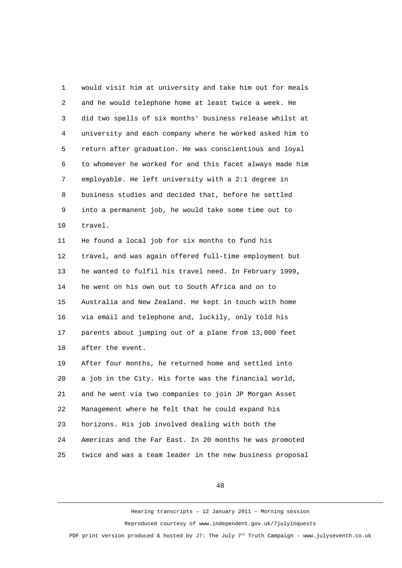1 would visit him at university and take him out for meals 2 and he would telephone home at least twice a week. He 3 did two spells of six months' business release whilst at 4 university and each company where he worked asked him to 5 return after graduation. He was conscientious and loyal 6 to whomever he worked for and this facet always made him 7 employable. He left university with a 2:1 degree in 8 business studies and decided that, before he settled 9 into a permanent job, he would take some time out to 10 travel. 11 He found a local job for six months to fund his 12 travel, and was again offered full-time employment but 13 he wanted to fulfil his travel need. In February 1999, 14 he went on his own out to South Africa and on to 15 Australia and New Zealand. He kept in touch with home 16 via email and telephone and, luckily, only told his 17 parents about jumping out of a plane from 13,000 feet 18 after the event. 19 After four months, he returned home and settled into 20 a job in the City. His forte was the financial world, 21 and he went via two companies to join JP Morgan Asset 22 Management where he felt that he could expand his 23 horizons. His job involved dealing with both the 24 Americas and the Far East. In 20 months he was promoted 25 twice and was a team leader in the new business proposal

48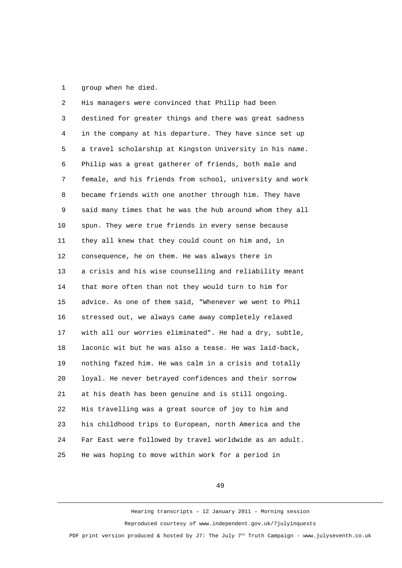1 group when he died.

 2 His managers were convinced that Philip had been 3 destined for greater things and there was great sadness 4 in the company at his departure. They have since set up 5 a travel scholarship at Kingston University in his name. 6 Philip was a great gatherer of friends, both male and 7 female, and his friends from school, university and work 8 became friends with one another through him. They have 9 said many times that he was the hub around whom they all 10 spun. They were true friends in every sense because 11 they all knew that they could count on him and, in 12 consequence, he on them. He was always there in 13 a crisis and his wise counselling and reliability meant 14 that more often than not they would turn to him for 15 advice. As one of them said, "Whenever we went to Phil 16 stressed out, we always came away completely relaxed 17 with all our worries eliminated". He had a dry, subtle, 18 laconic wit but he was also a tease. He was laid-back, 19 nothing fazed him. He was calm in a crisis and totally 20 loyal. He never betrayed confidences and their sorrow 21 at his death has been genuine and is still ongoing. 22 His travelling was a great source of joy to him and 23 his childhood trips to European, north America and the 24 Far East were followed by travel worldwide as an adult. 25 He was hoping to move within work for a period in

49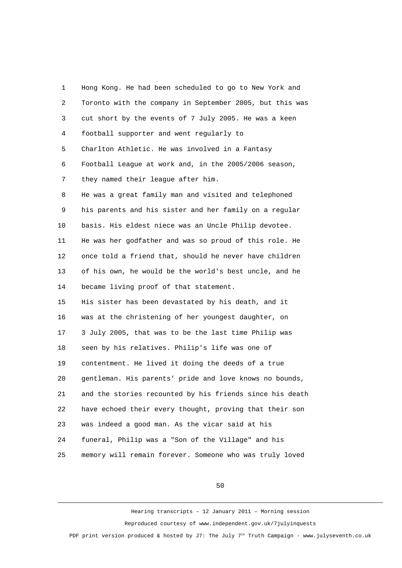1 Hong Kong. He had been scheduled to go to New York and 2 Toronto with the company in September 2005, but this was 3 cut short by the events of 7 July 2005. He was a keen 4 football supporter and went regularly to 5 Charlton Athletic. He was involved in a Fantasy 6 Football League at work and, in the 2005/2006 season, 7 they named their league after him. 8 He was a great family man and visited and telephoned 9 his parents and his sister and her family on a regular 10 basis. His eldest niece was an Uncle Philip devotee. 11 He was her godfather and was so proud of this role. He 12 once told a friend that, should he never have children 13 of his own, he would be the world's best uncle, and he 14 became living proof of that statement. 15 His sister has been devastated by his death, and it 16 was at the christening of her youngest daughter, on 17 3 July 2005, that was to be the last time Philip was 18 seen by his relatives. Philip's life was one of 19 contentment. He lived it doing the deeds of a true 20 gentleman. His parents' pride and love knows no bounds, 21 and the stories recounted by his friends since his death 22 have echoed their every thought, proving that their son 23 was indeed a good man. As the vicar said at his 24 funeral, Philip was a "Son of the Village" and his 25 memory will remain forever. Someone who was truly loved

50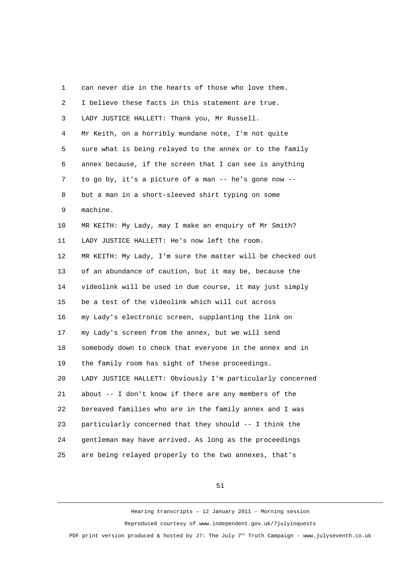1 can never die in the hearts of those who love them. 2 I believe these facts in this statement are true. 3 LADY JUSTICE HALLETT: Thank you, Mr Russell. 4 Mr Keith, on a horribly mundane note, I'm not quite 5 sure what is being relayed to the annex or to the family 6 annex because, if the screen that I can see is anything 7 to go by, it's a picture of a man -- he's gone now -- 8 but a man in a short-sleeved shirt typing on some 9 machine. 10 MR KEITH: My Lady, may I make an enquiry of Mr Smith? 11 LADY JUSTICE HALLETT: He's now left the room. 12 MR KEITH: My Lady, I'm sure the matter will be checked out 13 of an abundance of caution, but it may be, because the 14 videolink will be used in due course, it may just simply 15 be a test of the videolink which will cut across 16 my Lady's electronic screen, supplanting the link on 17 my Lady's screen from the annex, but we will send 18 somebody down to check that everyone in the annex and in 19 the family room has sight of these proceedings. 20 LADY JUSTICE HALLETT: Obviously I'm particularly concerned 21 about -- I don't know if there are any members of the 22 bereaved families who are in the family annex and I was 23 particularly concerned that they should -- I think the 24 gentleman may have arrived. As long as the proceedings 25 are being relayed properly to the two annexes, that's

51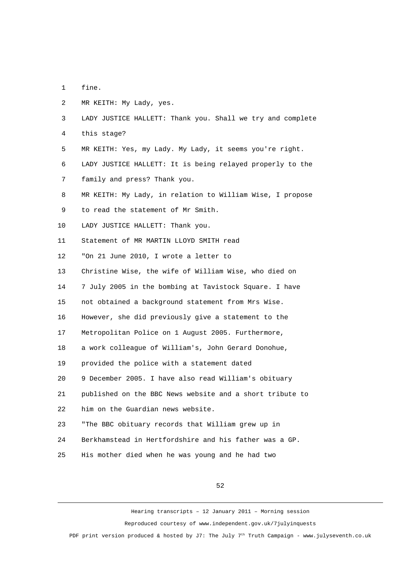- 1 fine.
- 2 MR KEITH: My Lady, yes.
- 3 LADY JUSTICE HALLETT: Thank you. Shall we try and complete
- 4 this stage?
- 5 MR KEITH: Yes, my Lady. My Lady, it seems you're right.
- 6 LADY JUSTICE HALLETT: It is being relayed properly to the
- 7 family and press? Thank you.
- 8 MR KEITH: My Lady, in relation to William Wise, I propose
- 9 to read the statement of Mr Smith.
- 10 LADY JUSTICE HALLETT: Thank you.
- 11 Statement of MR MARTIN LLOYD SMITH read
- 12 "On 21 June 2010, I wrote a letter to
- 13 Christine Wise, the wife of William Wise, who died on
- 14 7 July 2005 in the bombing at Tavistock Square. I have
- 15 not obtained a background statement from Mrs Wise.
- 16 However, she did previously give a statement to the
- 17 Metropolitan Police on 1 August 2005. Furthermore,
- 18 a work colleague of William's, John Gerard Donohue,
- 19 provided the police with a statement dated
- 20 9 December 2005. I have also read William's obituary
- 21 published on the BBC News website and a short tribute to
- 22 him on the Guardian news website.
- 23 "The BBC obituary records that William grew up in
- 24 Berkhamstead in Hertfordshire and his father was a GP.
- 25 His mother died when he was young and he had two

52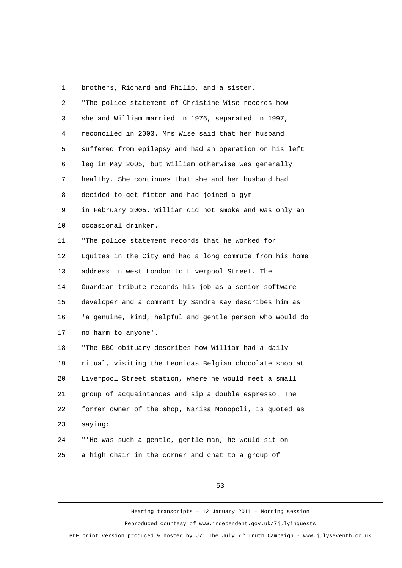1 brothers, Richard and Philip, and a sister.

| $\overline{2}$ | "The police statement of Christine Wise records how      |
|----------------|----------------------------------------------------------|
| 3              | she and William married in 1976, separated in 1997,      |
| 4              | reconciled in 2003. Mrs Wise said that her husband       |
| 5              | suffered from epilepsy and had an operation on his left  |
| 6              | leg in May 2005, but William otherwise was generally     |
| $\overline{7}$ | healthy. She continues that she and her husband had      |
| 8              | decided to get fitter and had joined a gym               |
| 9              | in February 2005. William did not smoke and was only an  |
| 10             | occasional drinker.                                      |
| 11             | "The police statement records that he worked for         |
| 12             | Equitas in the City and had a long commute from his home |
| 13             | address in west London to Liverpool Street. The          |
| 14             | Guardian tribute records his job as a senior software    |
| 15             | developer and a comment by Sandra Kay describes him as   |
| 16             | 'a genuine, kind, helpful and gentle person who would do |
| 17             | no harm to anyone'.                                      |
| 18             | "The BBC obituary describes how William had a daily      |
| 19             | ritual, visiting the Leonidas Belgian chocolate shop at  |
| 20             | Liverpool Street station, where he would meet a small    |
| 21             | group of acquaintances and sip a double espresso. The    |
| 22             | former owner of the shop, Narisa Monopoli, is quoted as  |
| 23             | saying:                                                  |
| 24             | "'He was such a gentle, gentle man, he would sit on      |
| 25             | a high chair in the corner and chat to a group of        |

53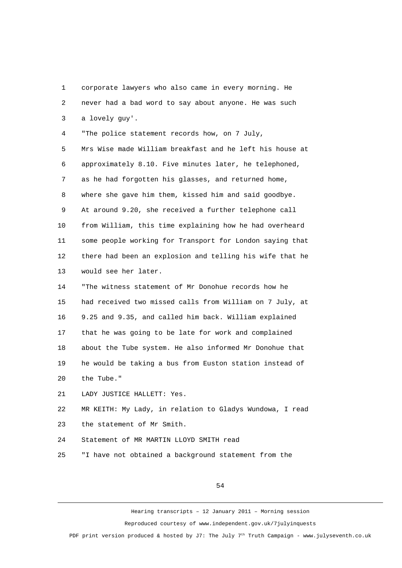1 corporate lawyers who also came in every morning. He 2 never had a bad word to say about anyone. He was such 3 a lovely guy'. 4 "The police statement records how, on 7 July,

 5 Mrs Wise made William breakfast and he left his house at 6 approximately 8.10. Five minutes later, he telephoned, 7 as he had forgotten his glasses, and returned home, 8 where she gave him them, kissed him and said goodbye. 9 At around 9.20, she received a further telephone call 10 from William, this time explaining how he had overheard 11 some people working for Transport for London saying that 12 there had been an explosion and telling his wife that he 13 would see her later.

14 "The witness statement of Mr Donohue records how he 15 had received two missed calls from William on 7 July, at 16 9.25 and 9.35, and called him back. William explained 17 that he was going to be late for work and complained 18 about the Tube system. He also informed Mr Donohue that 19 he would be taking a bus from Euston station instead of 20 the Tube."

21 LADY JUSTICE HALLETT: Yes.

22 MR KEITH: My Lady, in relation to Gladys Wundowa, I read 23 the statement of Mr Smith.

24 Statement of MR MARTIN LLOYD SMITH read

25 "I have not obtained a background statement from the

54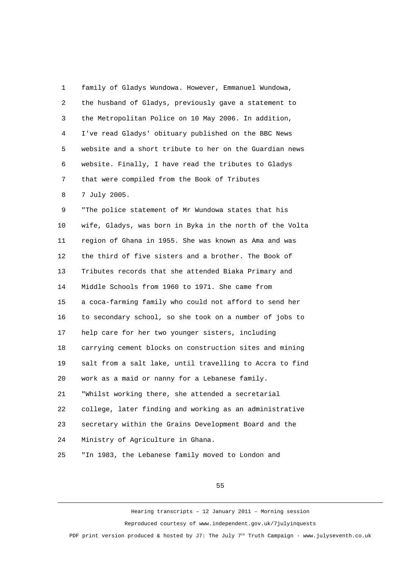1 family of Gladys Wundowa. However, Emmanuel Wundowa, 2 the husband of Gladys, previously gave a statement to 3 the Metropolitan Police on 10 May 2006. In addition, 4 I've read Gladys' obituary published on the BBC News 5 website and a short tribute to her on the Guardian news 6 website. Finally, I have read the tributes to Gladys 7 that were compiled from the Book of Tributes 8 7 July 2005.

 9 "The police statement of Mr Wundowa states that his 10 wife, Gladys, was born in Byka in the north of the Volta 11 region of Ghana in 1955. She was known as Ama and was 12 the third of five sisters and a brother. The Book of 13 Tributes records that she attended Biaka Primary and 14 Middle Schools from 1960 to 1971. She came from 15 a coca-farming family who could not afford to send her 16 to secondary school, so she took on a number of jobs to 17 help care for her two younger sisters, including 18 carrying cement blocks on construction sites and mining 19 salt from a salt lake, until travelling to Accra to find 20 work as a maid or nanny for a Lebanese family. 21 "Whilst working there, she attended a secretarial 22 college, later finding and working as an administrative 23 secretary within the Grains Development Board and the 24 Ministry of Agriculture in Ghana. 25 "In 1983, the Lebanese family moved to London and

55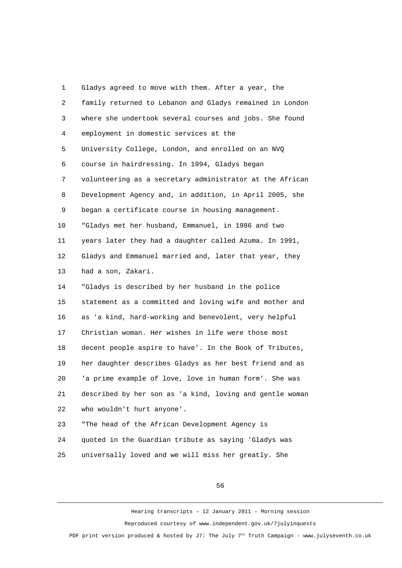1 Gladys agreed to move with them. After a year, the 2 family returned to Lebanon and Gladys remained in London 3 where she undertook several courses and jobs. She found 4 employment in domestic services at the 5 University College, London, and enrolled on an NVQ 6 course in hairdressing. In 1994, Gladys began 7 volunteering as a secretary administrator at the African 8 Development Agency and, in addition, in April 2005, she 9 began a certificate course in housing management. 10 "Gladys met her husband, Emmanuel, in 1986 and two 11 years later they had a daughter called Azuma. In 1991, 12 Gladys and Emmanuel married and, later that year, they 13 had a son, Zakari. 14 "Gladys is described by her husband in the police 15 statement as a committed and loving wife and mother and 16 as 'a kind, hard-working and benevolent, very helpful 17 Christian woman. Her wishes in life were those most 18 decent people aspire to have'. In the Book of Tributes, 19 her daughter describes Gladys as her best friend and as 20 'a prime example of love, love in human form'. She was 21 described by her son as 'a kind, loving and gentle woman 22 who wouldn't hurt anyone'. 23 "The head of the African Development Agency is

24 quoted in the Guardian tribute as saying 'Gladys was

25 universally loved and we will miss her greatly. She

56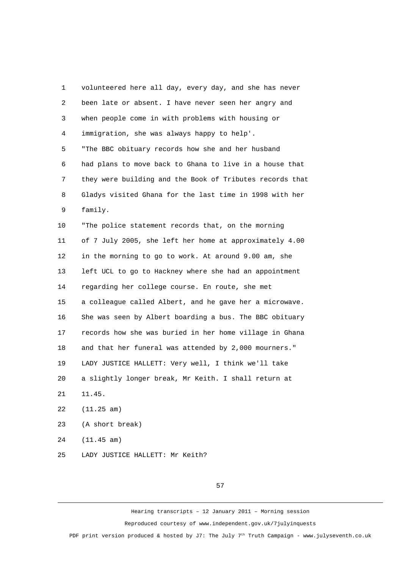1 volunteered here all day, every day, and she has never 2 been late or absent. I have never seen her angry and 3 when people come in with problems with housing or 4 immigration, she was always happy to help'. 5 "The BBC obituary records how she and her husband 6 had plans to move back to Ghana to live in a house that 7 they were building and the Book of Tributes records that 8 Gladys visited Ghana for the last time in 1998 with her 9 family. 10 "The police statement records that, on the morning 11 of 7 July 2005, she left her home at approximately 4.00 12 in the morning to go to work. At around 9.00 am, she 13 left UCL to go to Hackney where she had an appointment 14 regarding her college course. En route, she met 15 a colleague called Albert, and he gave her a microwave. 16 She was seen by Albert boarding a bus. The BBC obituary 17 records how she was buried in her home village in Ghana 18 and that her funeral was attended by 2,000 mourners." 19 LADY JUSTICE HALLETT: Very well, I think we'll take 20 a slightly longer break, Mr Keith. I shall return at 21 11.45. 22 (11.25 am) 23 (A short break) 24 (11.45 am)

25 LADY JUSTICE HALLETT: Mr Keith?

57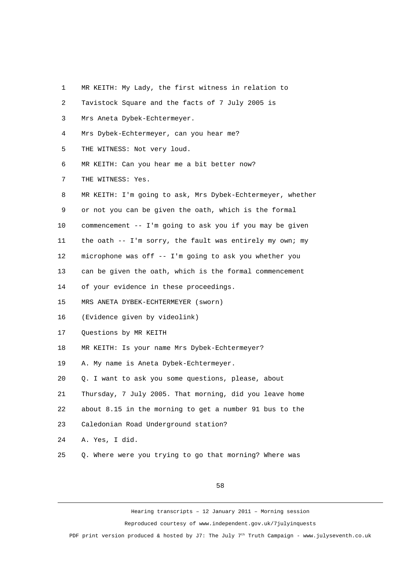1 MR KEITH: My Lady, the first witness in relation to

| $\overline{2}$ | Tavistock Square and the facts of 7 July 2005 is           |
|----------------|------------------------------------------------------------|
| 3              | Mrs Aneta Dybek-Echtermeyer.                               |
| 4              | Mrs Dybek-Echtermeyer, can you hear me?                    |
| 5              | THE WITNESS: Not very loud.                                |
| 6              | MR KEITH: Can you hear me a bit better now?                |
| $\overline{7}$ | THE WITNESS: Yes.                                          |
| 8              | MR KEITH: I'm going to ask, Mrs Dybek-Echtermeyer, whether |
| 9              | or not you can be given the oath, which is the formal      |
| 10             | commencement -- I'm going to ask you if you may be given   |
| 11             | the oath -- I'm sorry, the fault was entirely my own; my   |
| 12             | microphone was off -- I'm going to ask you whether you     |
| 13             | can be given the oath, which is the formal commencement    |
| 14             | of your evidence in these proceedings.                     |
| 15             | MRS ANETA DYBEK-ECHTERMEYER (SWOrn)                        |
| 16             | (Evidence given by videolink)                              |
| 17             | Questions by MR KEITH                                      |
| 18             | MR KEITH: Is your name Mrs Dybek-Echtermeyer?              |
| 19             | A. My name is Aneta Dybek-Echtermeyer.                     |
| 20             | Q. I want to ask you some questions, please, about         |
| 21             | Thursday, 7 July 2005. That morning, did you leave home    |
| 22             | about 8.15 in the morning to get a number 91 bus to the    |
| 23             | Caledonian Road Underground station?                       |
| 24             | A. Yes, I did.                                             |
| 25             | Q. Where were you trying to go that morning? Where was     |

58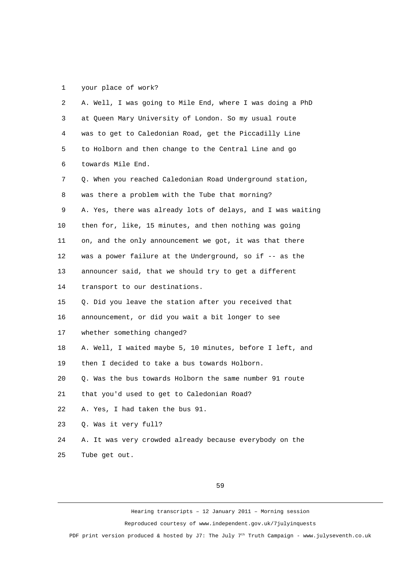## 1 your place of work?

| $\mathbf{2}$ | A. Well, I was going to Mile End, where I was doing a PhD   |
|--------------|-------------------------------------------------------------|
| 3            | at Queen Mary University of London. So my usual route       |
| 4            | was to get to Caledonian Road, get the Piccadilly Line      |
| 5            | to Holborn and then change to the Central Line and go       |
| 6            | towards Mile End.                                           |
| 7            | Q. When you reached Caledonian Road Underground station,    |
| 8            | was there a problem with the Tube that morning?             |
| 9            | A. Yes, there was already lots of delays, and I was waiting |
| 10           | then for, like, 15 minutes, and then nothing was going      |
| 11           | on, and the only announcement we got, it was that there     |
| 12           | was a power failure at the Underground, so if -- as the     |
| 13           | announcer said, that we should try to get a different       |
| 14           | transport to our destinations.                              |
| 15           | Q. Did you leave the station after you received that        |
| 16           | announcement, or did you wait a bit longer to see           |
| 17           | whether something changed?                                  |
| 18           | A. Well, I waited maybe 5, 10 minutes, before I left, and   |
| 19           | then I decided to take a bus towards Holborn.               |
| 20           | Q. Was the bus towards Holborn the same number 91 route     |
| 21           | that you'd used to get to Caledonian Road?                  |
| 22           | A. Yes, I had taken the bus 91.                             |
| 23           | Q. Was it very full?                                        |
| 24           | A. It was very crowded already because everybody on the     |
| 25           | Tube get out.                                               |

59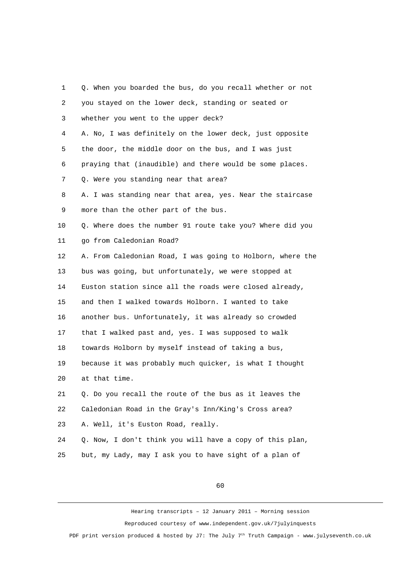| 1              | Q. When you boarded the bus, do you recall whether or not  |
|----------------|------------------------------------------------------------|
| $\overline{2}$ | you stayed on the lower deck, standing or seated or        |
| 3              | whether you went to the upper deck?                        |
| 4              | A. No, I was definitely on the lower deck, just opposite   |
| 5              | the door, the middle door on the bus, and I was just       |
| 6              | praying that (inaudible) and there would be some places.   |
| $\overline{7}$ | Q. Were you standing near that area?                       |
| 8              | A. I was standing near that area, yes. Near the staircase  |
| 9              | more than the other part of the bus.                       |
| 10             | Q. Where does the number 91 route take you? Where did you  |
| 11             | go from Caledonian Road?                                   |
| 12             | A. From Caledonian Road, I was going to Holborn, where the |
| 13             | bus was going, but unfortunately, we were stopped at       |
| 14             | Euston station since all the roads were closed already,    |
| 15             | and then I walked towards Holborn. I wanted to take        |
| 16             | another bus. Unfortunately, it was already so crowded      |
| 17             | that I walked past and, yes. I was supposed to walk        |
| 18             | towards Holborn by myself instead of taking a bus,         |
| 19             | because it was probably much quicker, is what I thought    |
| 20             | at that time.                                              |
| 21             | Q. Do you recall the route of the bus as it leaves the     |
| 22             | Caledonian Road in the Gray's Inn/King's Cross area?       |
| 23             | A. Well, it's Euston Road, really.                         |
| 24             | Q. Now, I don't think you will have a copy of this plan,   |
| 25             | but, my Lady, may I ask you to have sight of a plan of     |

60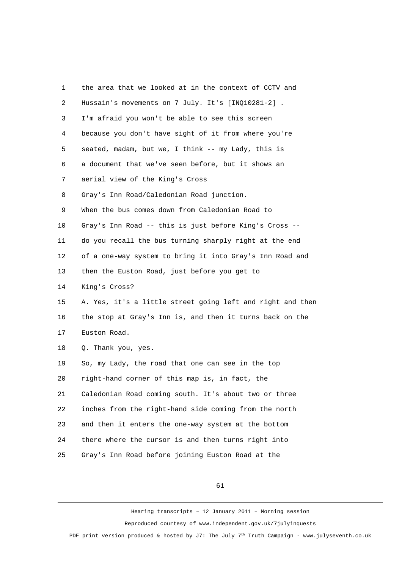| 1              | the area that we looked at in the context of CCTV and      |
|----------------|------------------------------------------------------------|
| $\overline{c}$ | Hussain's movements on 7 July. It's [INQ10281-2].          |
| 3              | I'm afraid you won't be able to see this screen            |
| 4              | because you don't have sight of it from where you're       |
| 5              | seated, madam, but we, I think -- my Lady, this is         |
| 6              | a document that we've seen before, but it shows an         |
| 7              | aerial view of the King's Cross                            |
| 8              | Gray's Inn Road/Caledonian Road junction.                  |
| 9              | When the bus comes down from Caledonian Road to            |
| 10             | Gray's Inn Road -- this is just before King's Cross --     |
| 11             | do you recall the bus turning sharply right at the end     |
| 12             | of a one-way system to bring it into Gray's Inn Road and   |
| 13             | then the Euston Road, just before you get to               |
| 14             | King's Cross?                                              |
| 15             | A. Yes, it's a little street going left and right and then |
| 16             | the stop at Gray's Inn is, and then it turns back on the   |
| 17             | Euston Road.                                               |
| 18             | Q. Thank you, yes.                                         |
| 19             | So, my Lady, the road that one can see in the top          |
| 20             | right-hand corner of this map is, in fact, the             |
| 21             | Caledonian Road coming south. It's about two or three      |
| 22             | inches from the right-hand side coming from the north      |
| 23             | and then it enters the one-way system at the bottom        |
| 24             | there where the cursor is and then turns right into        |
| 25             | Gray's Inn Road before joining Euston Road at the          |

61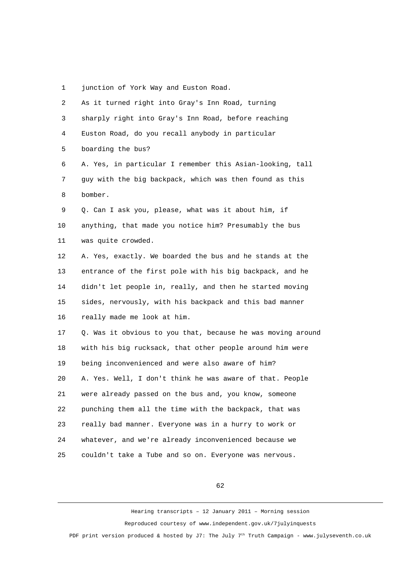1 junction of York Way and Euston Road.

| $\overline{2}$ | As it turned right into Gray's Inn Road, turning            |
|----------------|-------------------------------------------------------------|
| 3              | sharply right into Gray's Inn Road, before reaching         |
| 4              | Euston Road, do you recall anybody in particular            |
| 5              | boarding the bus?                                           |
| 6              | A. Yes, in particular I remember this Asian-looking, tall   |
| $\overline{7}$ | guy with the big backpack, which was then found as this     |
| 8              | bomber.                                                     |
| 9              | Q. Can I ask you, please, what was it about him, if         |
| 10             | anything, that made you notice him? Presumably the bus      |
| 11             | was quite crowded.                                          |
| 12             | A. Yes, exactly. We boarded the bus and he stands at the    |
| 13             | entrance of the first pole with his big backpack, and he    |
| 14             | didn't let people in, really, and then he started moving    |
| 15             | sides, nervously, with his backpack and this bad manner     |
| 16             | really made me look at him.                                 |
| 17             | Q. Was it obvious to you that, because he was moving around |
| 18             | with his big rucksack, that other people around him were    |
| 19             | being inconvenienced and were also aware of him?            |
| 20             | A. Yes. Well, I don't think he was aware of that. People    |
| 21             | were already passed on the bus and, you know, someone       |
| 22             | punching them all the time with the backpack, that was      |
| 23             | really bad manner. Everyone was in a hurry to work or       |
| 24             | whatever, and we're already inconvenienced because we       |
| 25             | couldn't take a Tube and so on. Everyone was nervous.       |
|                |                                                             |

62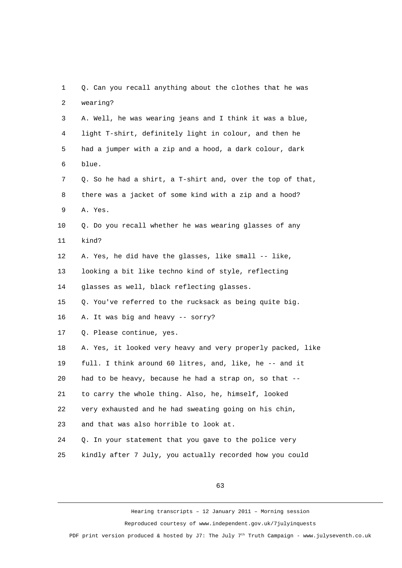1 Q. Can you recall anything about the clothes that he was 2 wearing? 3 A. Well, he was wearing jeans and I think it was a blue, 4 light T-shirt, definitely light in colour, and then he 5 had a jumper with a zip and a hood, a dark colour, dark 6 blue. 7 Q. So he had a shirt, a T-shirt and, over the top of that, 8 there was a jacket of some kind with a zip and a hood? 9 A. Yes. 10 Q. Do you recall whether he was wearing glasses of any 11 kind? 12 A. Yes, he did have the glasses, like small -- like, 13 looking a bit like techno kind of style, reflecting 14 glasses as well, black reflecting glasses. 15 Q. You've referred to the rucksack as being quite big. 16 A. It was big and heavy -- sorry? 17 Q. Please continue, yes. 18 A. Yes, it looked very heavy and very properly packed, like 19 full. I think around 60 litres, and, like, he -- and it 20 had to be heavy, because he had a strap on, so that -- 21 to carry the whole thing. Also, he, himself, looked 22 very exhausted and he had sweating going on his chin, 23 and that was also horrible to look at. 24 Q. In your statement that you gave to the police very 25 kindly after 7 July, you actually recorded how you could

63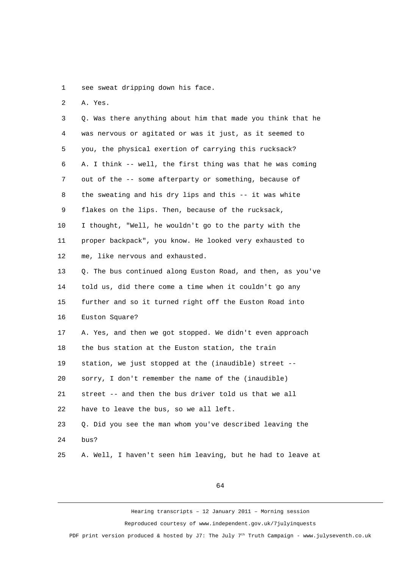1 see sweat dripping down his face.

2 A. Yes.

 3 Q. Was there anything about him that made you think that he 4 was nervous or agitated or was it just, as it seemed to 5 you, the physical exertion of carrying this rucksack? 6 A. I think -- well, the first thing was that he was coming 7 out of the -- some afterparty or something, because of 8 the sweating and his dry lips and this -- it was white 9 flakes on the lips. Then, because of the rucksack, 10 I thought, "Well, he wouldn't go to the party with the 11 proper backpack", you know. He looked very exhausted to 12 me, like nervous and exhausted. 13 O. The bus continued along Euston Road, and then, as you've 14 told us, did there come a time when it couldn't go any 15 further and so it turned right off the Euston Road into 16 Euston Square? 17 A. Yes, and then we got stopped. We didn't even approach 18 the bus station at the Euston station, the train 19 station, we just stopped at the (inaudible) street -- 20 sorry, I don't remember the name of the (inaudible) 21 street -- and then the bus driver told us that we all 22 have to leave the bus, so we all left. 23 Q. Did you see the man whom you've described leaving the 24 bus? 25 A. Well, I haven't seen him leaving, but he had to leave at

64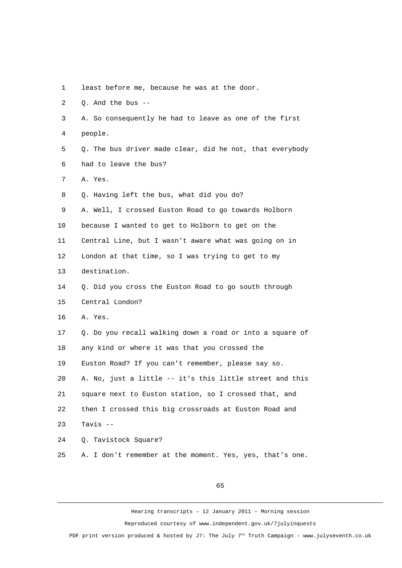1 least before me, because he was at the door.

2 Q. And the bus --

 3 A. So consequently he had to leave as one of the first 4 people.

 5 Q. The bus driver made clear, did he not, that everybody 6 had to leave the bus?

7 A. Yes.

8 Q. Having left the bus, what did you do?

9 A. Well, I crossed Euston Road to go towards Holborn

10 because I wanted to get to Holborn to get on the

11 Central Line, but I wasn't aware what was going on in

12 London at that time, so I was trying to get to my

13 destination.

14 Q. Did you cross the Euston Road to go south through

15 Central London?

16 A. Yes.

17 Q. Do you recall walking down a road or into a square of 18 any kind or where it was that you crossed the

19 Euston Road? If you can't remember, please say so.

20 A. No, just a little -- it's this little street and this

21 square next to Euston station, so I crossed that, and

22 then I crossed this big crossroads at Euston Road and

23 Tavis --

24 Q. Tavistock Square?

25 A. I don't remember at the moment. Yes, yes, that's one.

65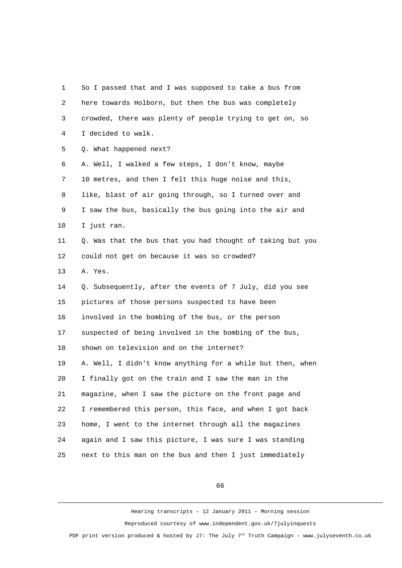1 So I passed that and I was supposed to take a bus from 2 here towards Holborn, but then the bus was completely 3 crowded, there was plenty of people trying to get on, so 4 I decided to walk. 5 Q. What happened next? 6 A. Well, I walked a few steps, I don't know, maybe 7 10 metres, and then I felt this huge noise and this, 8 like, blast of air going through, so I turned over and 9 I saw the bus, basically the bus going into the air and 10 I just ran. 11 Q. Was that the bus that you had thought of taking but you 12 could not get on because it was so crowded? 13 A. Yes. 14 Q. Subsequently, after the events of 7 July, did you see 15 pictures of those persons suspected to have been 16 involved in the bombing of the bus, or the person 17 suspected of being involved in the bombing of the bus, 18 shown on television and on the internet? 19 A. Well, I didn't know anything for a while but then, when 20 I finally got on the train and I saw the man in the 21 magazine, when I saw the picture on the front page and 22 I remembered this person, this face, and when I got back 23 home, I went to the internet through all the magazines 24 again and I saw this picture, I was sure I was standing 25 next to this man on the bus and then I just immediately

66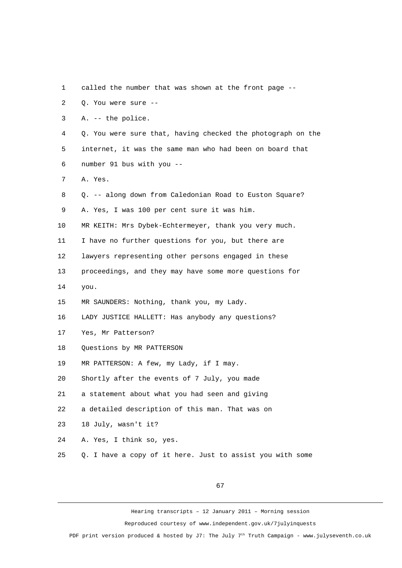| 1              | called the number that was shown at the front page --       |
|----------------|-------------------------------------------------------------|
| $\overline{2}$ | Q. You were sure --                                         |
| 3              | A. -- the police.                                           |
| 4              | Q. You were sure that, having checked the photograph on the |
| 5              | internet, it was the same man who had been on board that    |
| 6              | number 91 bus with you --                                   |
| 7              | A. Yes.                                                     |
| 8              | Q. -- along down from Caledonian Road to Euston Square?     |
| 9              | A. Yes, I was 100 per cent sure it was him.                 |
| 10             | MR KEITH: Mrs Dybek-Echtermeyer, thank you very much.       |
| 11             | I have no further questions for you, but there are          |
| 12             | lawyers representing other persons engaged in these         |
| 13             | proceedings, and they may have some more questions for      |
| 14             | you.                                                        |
| 15             | MR SAUNDERS: Nothing, thank you, my Lady.                   |
| 16             | LADY JUSTICE HALLETT: Has anybody any questions?            |
| 17             | Yes, Mr Patterson?                                          |
| 18             | Questions by MR PATTERSON                                   |
| 19             | MR PATTERSON: A few, my Lady, if I may.                     |
| 20             | Shortly after the events of 7 July, you made                |
| 21             | a statement about what you had seen and giving              |
| 22             | a detailed description of this man. That was on             |
| 23             | 18 July, wasn't it?                                         |
| 24             | A. Yes, I think so, yes.                                    |
| 25             | Q. I have a copy of it here. Just to assist you with some   |

67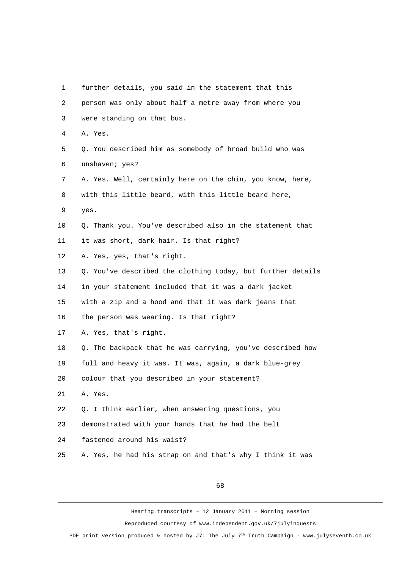1 further details, you said in the statement that this 2 person was only about half a metre away from where you 3 were standing on that bus. 4 A. Yes. 5 Q. You described him as somebody of broad build who was 6 unshaven; yes? 7 A. Yes. Well, certainly here on the chin, you know, here, 8 with this little beard, with this little beard here, 9 yes. 10 Q. Thank you. You've described also in the statement that 11 it was short, dark hair. Is that right? 12 A. Yes, yes, that's right. 13 Q. You've described the clothing today, but further details 14 in your statement included that it was a dark jacket 15 with a zip and a hood and that it was dark jeans that 16 the person was wearing. Is that right? 17 A. Yes, that's right. 18 Q. The backpack that he was carrying, you've described how 19 full and heavy it was. It was, again, a dark blue-grey 20 colour that you described in your statement? 21 A. Yes. 22 Q. I think earlier, when answering questions, you 23 demonstrated with your hands that he had the belt 24 fastened around his waist? 25 A. Yes, he had his strap on and that's why I think it was

68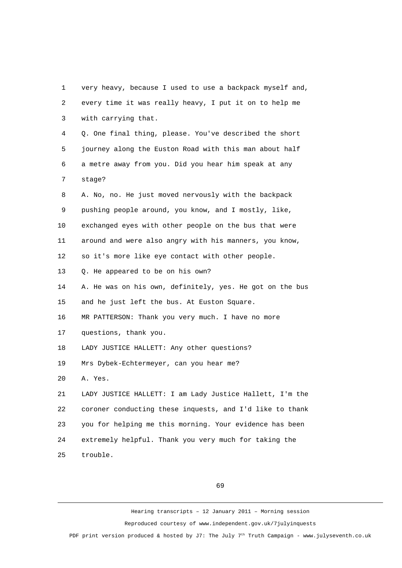1 very heavy, because I used to use a backpack myself and, 2 every time it was really heavy, I put it on to help me 3 with carrying that. 4 Q. One final thing, please. You've described the short 5 journey along the Euston Road with this man about half 6 a metre away from you. Did you hear him speak at any 7 stage? 8 A. No, no. He just moved nervously with the backpack 9 pushing people around, you know, and I mostly, like, 10 exchanged eyes with other people on the bus that were 11 around and were also angry with his manners, you know, 12 so it's more like eye contact with other people. 13 0. He appeared to be on his own? 14 A. He was on his own, definitely, yes. He got on the bus 15 and he just left the bus. At Euston Square. 16 MR PATTERSON: Thank you very much. I have no more 17 questions, thank you. 18 LADY JUSTICE HALLETT: Any other questions? 19 Mrs Dybek-Echtermeyer, can you hear me? 20 A. Yes. 21 LADY JUSTICE HALLETT: I am Lady Justice Hallett, I'm the 22 coroner conducting these inquests, and I'd like to thank 23 you for helping me this morning. Your evidence has been 24 extremely helpful. Thank you very much for taking the 25 trouble.

69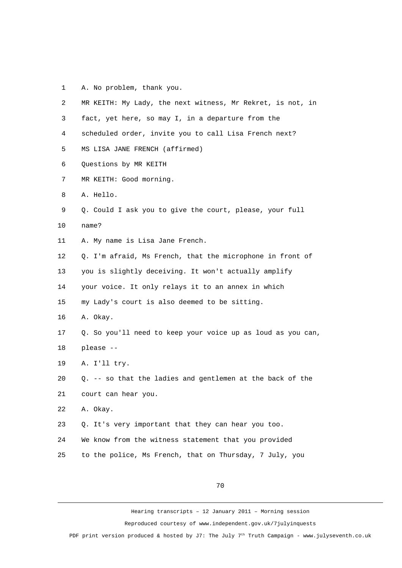1 A. No problem, thank you.

| 2  | MR KEITH: My Lady, the next witness, Mr Rekret, is not, in  |
|----|-------------------------------------------------------------|
| 3  | fact, yet here, so may I, in a departure from the           |
| 4  | scheduled order, invite you to call Lisa French next?       |
| 5  | MS LISA JANE FRENCH (affirmed)                              |
| 6  | Questions by MR KEITH                                       |
| 7  | MR KEITH: Good morning.                                     |
| 8  | A. Hello.                                                   |
| 9  | Q. Could I ask you to give the court, please, your full     |
| 10 | name?                                                       |
| 11 | A. My name is Lisa Jane French.                             |
| 12 | Q. I'm afraid, Ms French, that the microphone in front of   |
| 13 | you is slightly deceiving. It won't actually amplify        |
| 14 | your voice. It only relays it to an annex in which          |
| 15 | my Lady's court is also deemed to be sitting.               |
| 16 | A. Okay.                                                    |
| 17 | Q. So you'll need to keep your voice up as loud as you can, |
| 18 | please --                                                   |
| 19 | A. I'll try.                                                |
| 20 | Q. -- so that the ladies and gentlemen at the back of the   |
| 21 | court can hear you.                                         |
| 22 | A. Okay.                                                    |
| 23 | Q. It's very important that they can hear you too.          |
| 24 | We know from the witness statement that you provided        |
| 25 | to the police, Ms French, that on Thursday, 7 July, you     |

70

Hearing transcripts – 12 January 2011 – Morning session Reproduced courtesy of www.independent.gov.uk/7julyinquests

PDF print version produced & hosted by J7: The July 7<sup>th</sup> Truth Campaign - www.julyseventh.co.uk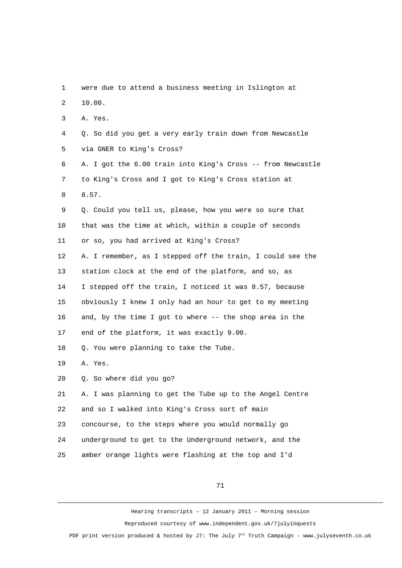1 were due to attend a business meeting in Islington at 2 10.00. 3 A. Yes. 4 Q. So did you get a very early train down from Newcastle 5 via GNER to King's Cross? 6 A. I got the 6.00 train into King's Cross -- from Newcastle 7 to King's Cross and I got to King's Cross station at 8 8.57. 9 Q. Could you tell us, please, how you were so sure that 10 that was the time at which, within a couple of seconds 11 or so, you had arrived at King's Cross? 12 A. I remember, as I stepped off the train, I could see the 13 station clock at the end of the platform, and so, as 14 I stepped off the train, I noticed it was 8.57, because 15 obviously I knew I only had an hour to get to my meeting 16 and, by the time I got to where -- the shop area in the 17 end of the platform, it was exactly 9.00. 18 Q. You were planning to take the Tube. 19 A. Yes. 20 Q. So where did you go? 21 A. I was planning to get the Tube up to the Angel Centre 22 and so I walked into King's Cross sort of main 23 concourse, to the steps where you would normally go 24 underground to get to the Underground network, and the 25 amber orange lights were flashing at the top and I'd

71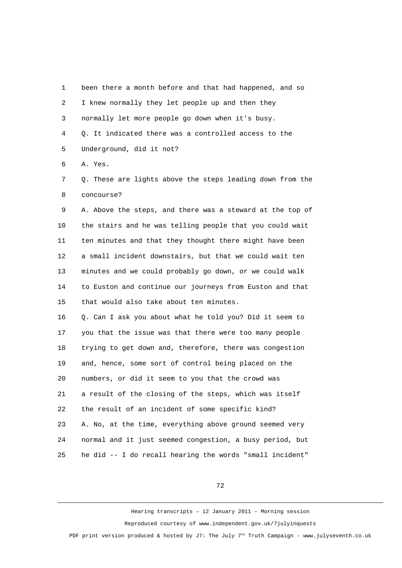1 been there a month before and that had happened, and so 2 I knew normally they let people up and then they 3 normally let more people go down when it's busy. 4 Q. It indicated there was a controlled access to the 5 Underground, did it not? 6 A. Yes.

 7 Q. These are lights above the steps leading down from the 8 concourse?

 9 A. Above the steps, and there was a steward at the top of 10 the stairs and he was telling people that you could wait 11 ten minutes and that they thought there might have been 12 a small incident downstairs, but that we could wait ten 13 minutes and we could probably go down, or we could walk 14 to Euston and continue our journeys from Euston and that 15 that would also take about ten minutes.

16 Q. Can I ask you about what he told you? Did it seem to 17 you that the issue was that there were too many people 18 trying to get down and, therefore, there was congestion 19 and, hence, some sort of control being placed on the 20 numbers, or did it seem to you that the crowd was 21 a result of the closing of the steps, which was itself 22 the result of an incident of some specific kind? 23 A. No, at the time, everything above ground seemed very 24 normal and it just seemed congestion, a busy period, but 25 he did -- I do recall hearing the words "small incident"

72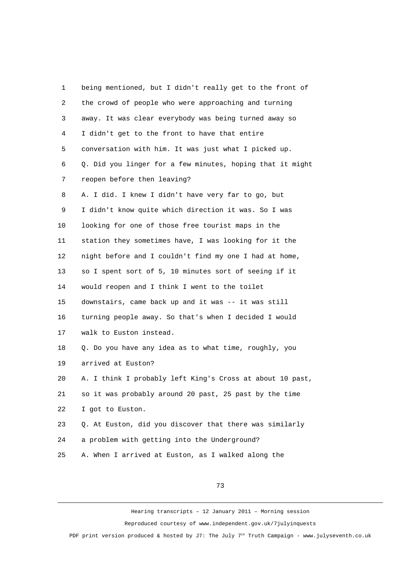| 1              | being mentioned, but I didn't really get to the front of  |
|----------------|-----------------------------------------------------------|
| $\overline{c}$ | the crowd of people who were approaching and turning      |
| 3              | away. It was clear everybody was being turned away so     |
| 4              | I didn't get to the front to have that entire             |
| 5              | conversation with him. It was just what I picked up.      |
| 6              | Q. Did you linger for a few minutes, hoping that it might |
| $\overline{7}$ | reopen before then leaving?                               |
| 8              | A. I did. I knew I didn't have very far to go, but        |
| 9              | I didn't know quite which direction it was. So I was      |
| 10             | looking for one of those free tourist maps in the         |
| 11             | station they sometimes have, I was looking for it the     |
| 12             | night before and I couldn't find my one I had at home,    |
| 13             | so I spent sort of 5, 10 minutes sort of seeing if it     |
| 14             | would reopen and I think I went to the toilet             |
| 15             | downstairs, came back up and it was -- it was still       |
| 16             | turning people away. So that's when I decided I would     |
| 17             | walk to Euston instead.                                   |
| 18             | Q. Do you have any idea as to what time, roughly, you     |
| 19             | arrived at Euston?                                        |
| 20             | A. I think I probably left King's Cross at about 10 past, |
| 21             | so it was probably around 20 past, 25 past by the time    |
| 22             | I got to Euston.                                          |
| 23             | Q. At Euston, did you discover that there was similarly   |
| 24             | a problem with getting into the Underground?              |
| 25             | A. When I arrived at Euston, as I walked along the        |

73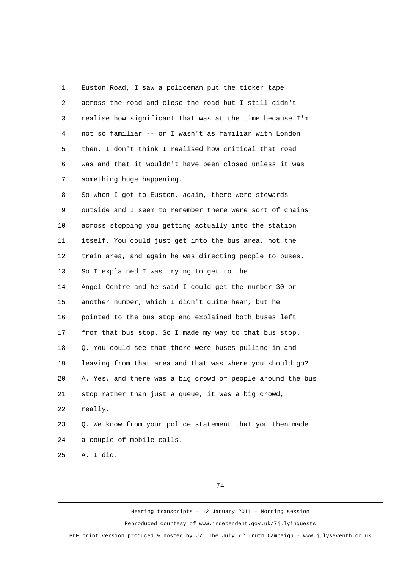1 Euston Road, I saw a policeman put the ticker tape 2 across the road and close the road but I still didn't 3 realise how significant that was at the time because I'm 4 not so familiar -- or I wasn't as familiar with London 5 then. I don't think I realised how critical that road 6 was and that it wouldn't have been closed unless it was 7 something huge happening.

 8 So when I got to Euston, again, there were stewards 9 outside and I seem to remember there were sort of chains 10 across stopping you getting actually into the station 11 itself. You could just get into the bus area, not the 12 train area, and again he was directing people to buses. 13 So I explained I was trying to get to the 14 Angel Centre and he said I could get the number 30 or 15 another number, which I didn't quite hear, but he 16 pointed to the bus stop and explained both buses left 17 from that bus stop. So I made my way to that bus stop. 18 Q. You could see that there were buses pulling in and 19 leaving from that area and that was where you should go? 20 A. Yes, and there was a big crowd of people around the bus 21 stop rather than just a queue, it was a big crowd, 22 really. 23 Q. We know from your police statement that you then made 24 a couple of mobile calls.

25 A. I did.

74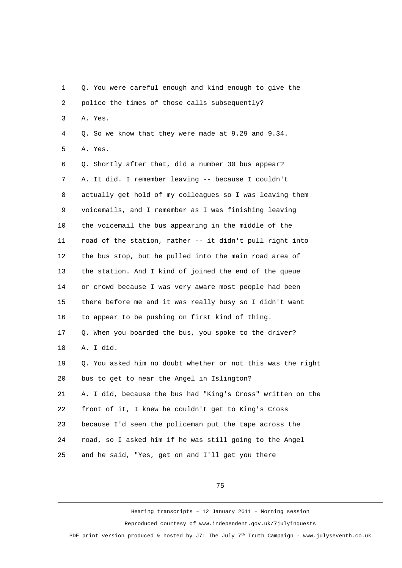1 Q. You were careful enough and kind enough to give the 2 police the times of those calls subsequently? 3 A. Yes. 4 Q. So we know that they were made at 9.29 and 9.34. 5 A. Yes. 6 Q. Shortly after that, did a number 30 bus appear? 7 A. It did. I remember leaving -- because I couldn't 8 actually get hold of my colleagues so I was leaving them 9 voicemails, and I remember as I was finishing leaving 10 the voicemail the bus appearing in the middle of the 11 road of the station, rather -- it didn't pull right into 12 the bus stop, but he pulled into the main road area of 13 the station. And I kind of joined the end of the queue 14 or crowd because I was very aware most people had been 15 there before me and it was really busy so I didn't want 16 to appear to be pushing on first kind of thing. 17 Q. When you boarded the bus, you spoke to the driver? 18 A. I did. 19 Q. You asked him no doubt whether or not this was the right 20 bus to get to near the Angel in Islington? 21 A. I did, because the bus had "King's Cross" written on the 22 front of it, I knew he couldn't get to King's Cross 23 because I'd seen the policeman put the tape across the 24 road, so I asked him if he was still going to the Angel 25 and he said, "Yes, get on and I'll get you there

75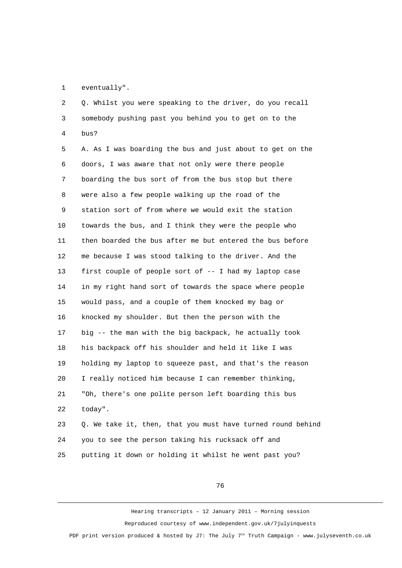1 eventually".

 2 Q. Whilst you were speaking to the driver, do you recall 3 somebody pushing past you behind you to get on to the 4 bus?

 5 A. As I was boarding the bus and just about to get on the 6 doors, I was aware that not only were there people 7 boarding the bus sort of from the bus stop but there 8 were also a few people walking up the road of the 9 station sort of from where we would exit the station 10 towards the bus, and I think they were the people who 11 then boarded the bus after me but entered the bus before 12 me because I was stood talking to the driver. And the 13 first couple of people sort of -- I had my laptop case 14 in my right hand sort of towards the space where people 15 would pass, and a couple of them knocked my bag or 16 knocked my shoulder. But then the person with the 17 big -- the man with the big backpack, he actually took 18 his backpack off his shoulder and held it like I was 19 holding my laptop to squeeze past, and that's the reason 20 I really noticed him because I can remember thinking, 21 "Oh, there's one polite person left boarding this bus 22 today". 23 Q. We take it, then, that you must have turned round behind

24 you to see the person taking his rucksack off and

25 putting it down or holding it whilst he went past you?

76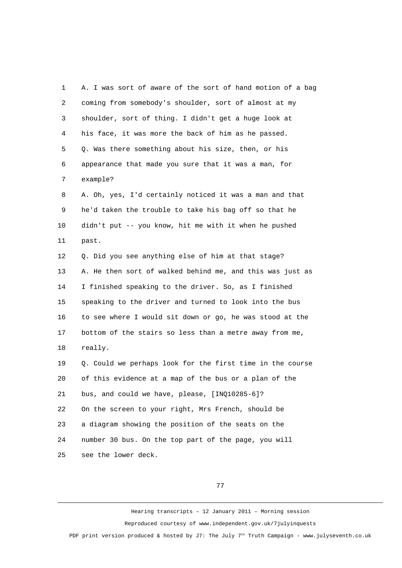1 A. I was sort of aware of the sort of hand motion of a bag 2 coming from somebody's shoulder, sort of almost at my 3 shoulder, sort of thing. I didn't get a huge look at 4 his face, it was more the back of him as he passed. 5 Q. Was there something about his size, then, or his 6 appearance that made you sure that it was a man, for 7 example? 8 A. Oh, yes, I'd certainly noticed it was a man and that 9 he'd taken the trouble to take his bag off so that he 10 didn't put -- you know, hit me with it when he pushed 11 past. 12 Q. Did you see anything else of him at that stage? 13 A. He then sort of walked behind me, and this was just as 14 I finished speaking to the driver. So, as I finished 15 speaking to the driver and turned to look into the bus 16 to see where I would sit down or go, he was stood at the 17 bottom of the stairs so less than a metre away from me, 18 really. 19 Q. Could we perhaps look for the first time in the course 20 of this evidence at a map of the bus or a plan of the 21 bus, and could we have, please, [INQ10285-6]? 22 On the screen to your right, Mrs French, should be 23 a diagram showing the position of the seats on the 24 number 30 bus. On the top part of the page, you will 25 see the lower deck.

77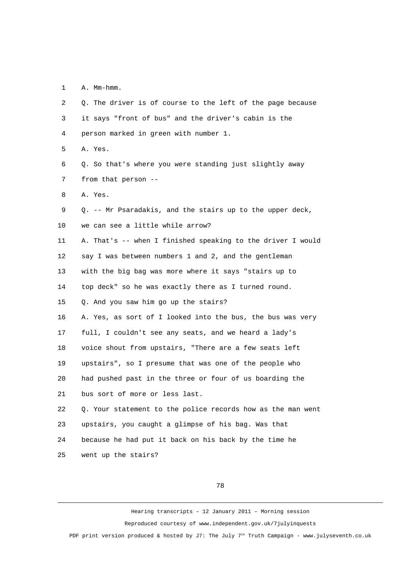1 A. Mm-hmm.

| 2              | Q. The driver is of course to the left of the page because  |
|----------------|-------------------------------------------------------------|
| 3              | it says "front of bus" and the driver's cabin is the        |
| 4              | person marked in green with number 1.                       |
| 5              | A. Yes.                                                     |
| 6              | Q. So that's where you were standing just slightly away     |
| $\overline{7}$ | from that person --                                         |
| 8              | A. Yes.                                                     |
| 9              | Q. -- Mr Psaradakis, and the stairs up to the upper deck,   |
| 10             | we can see a little while arrow?                            |
| 11             | A. That's -- when I finished speaking to the driver I would |
| 12             | say I was between numbers 1 and 2, and the gentleman        |
| 13             | with the big bag was more where it says "stairs up to       |
| 14             | top deck" so he was exactly there as I turned round.        |
| 15             | Q. And you saw him go up the stairs?                        |
| 16             | A. Yes, as sort of I looked into the bus, the bus was very  |
| 17             | full, I couldn't see any seats, and we heard a lady's       |
| 18             | voice shout from upstairs, "There are a few seats left      |
| 19             | upstairs", so I presume that was one of the people who      |
| 20             | had pushed past in the three or four of us boarding the     |
| 21             | bus sort of more or less last.                              |
| 22             | Q. Your statement to the police records how as the man went |
| 23             | upstairs, you caught a glimpse of his bag. Was that         |
| 24             | because he had put it back on his back by the time he       |
| 25             | went up the stairs?                                         |

78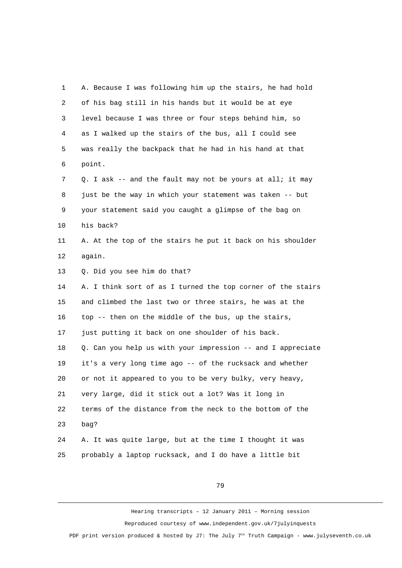1 A. Because I was following him up the stairs, he had hold 2 of his bag still in his hands but it would be at eye 3 level because I was three or four steps behind him, so 4 as I walked up the stairs of the bus, all I could see 5 was really the backpack that he had in his hand at that 6 point. 7 Q. I ask -- and the fault may not be yours at all; it may 8 just be the way in which your statement was taken -- but 9 your statement said you caught a glimpse of the bag on 10 his back? 11 A. At the top of the stairs he put it back on his shoulder 12 again. 13 Q. Did you see him do that? 14 A. I think sort of as I turned the top corner of the stairs 15 and climbed the last two or three stairs, he was at the 16 top -- then on the middle of the bus, up the stairs, 17 just putting it back on one shoulder of his back. 18 Q. Can you help us with your impression -- and I appreciate 19 it's a very long time ago -- of the rucksack and whether 20 or not it appeared to you to be very bulky, very heavy, 21 very large, did it stick out a lot? Was it long in 22 terms of the distance from the neck to the bottom of the 23 bag? 24 A. It was quite large, but at the time I thought it was 25 probably a laptop rucksack, and I do have a little bit

79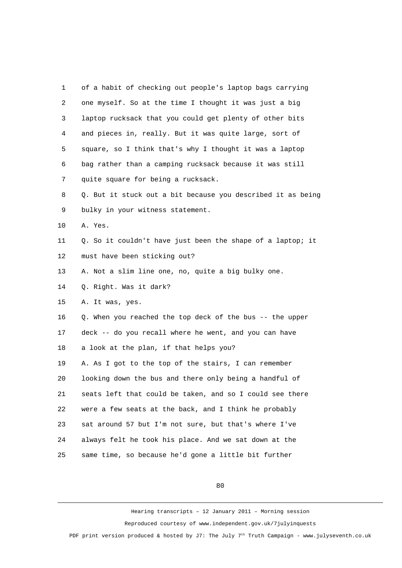1 of a habit of checking out people's laptop bags carrying 2 one myself. So at the time I thought it was just a big 3 laptop rucksack that you could get plenty of other bits 4 and pieces in, really. But it was quite large, sort of 5 square, so I think that's why I thought it was a laptop 6 bag rather than a camping rucksack because it was still 7 quite square for being a rucksack. 8 Q. But it stuck out a bit because you described it as being 9 bulky in your witness statement. 10 A. Yes. 11 0. So it couldn't have just been the shape of a laptop; it 12 must have been sticking out? 13 A. Not a slim line one, no, quite a big bulky one. 14 Q. Right. Was it dark? 15 A. It was, yes. 16 Q. When you reached the top deck of the bus -- the upper 17 deck -- do you recall where he went, and you can have 18 a look at the plan, if that helps you? 19 A. As I got to the top of the stairs, I can remember 20 looking down the bus and there only being a handful of 21 seats left that could be taken, and so I could see there 22 were a few seats at the back, and I think he probably 23 sat around 57 but I'm not sure, but that's where I've 24 always felt he took his place. And we sat down at the 25 same time, so because he'd gone a little bit further

80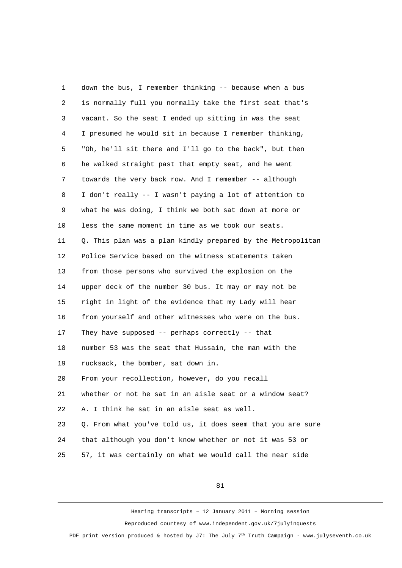1 down the bus, I remember thinking -- because when a bus 2 is normally full you normally take the first seat that's 3 vacant. So the seat I ended up sitting in was the seat 4 I presumed he would sit in because I remember thinking, 5 "Oh, he'll sit there and I'll go to the back", but then 6 he walked straight past that empty seat, and he went 7 towards the very back row. And I remember -- although 8 I don't really -- I wasn't paying a lot of attention to 9 what he was doing, I think we both sat down at more or 10 less the same moment in time as we took our seats. 11 0. This plan was a plan kindly prepared by the Metropolitan 12 Police Service based on the witness statements taken 13 from those persons who survived the explosion on the 14 upper deck of the number 30 bus. It may or may not be 15 right in light of the evidence that my Lady will hear 16 from yourself and other witnesses who were on the bus. 17 They have supposed -- perhaps correctly -- that 18 number 53 was the seat that Hussain, the man with the 19 rucksack, the bomber, sat down in. 20 From your recollection, however, do you recall 21 whether or not he sat in an aisle seat or a window seat? 22 A. I think he sat in an aisle seat as well. 23 Q. From what you've told us, it does seem that you are sure 24 that although you don't know whether or not it was 53 or 25 57, it was certainly on what we would call the near side

81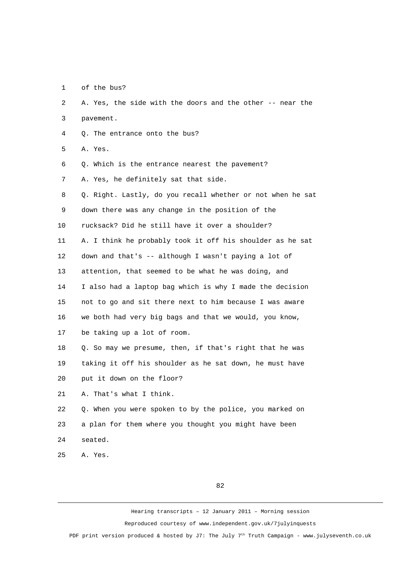1 of the bus?

 2 A. Yes, the side with the doors and the other -- near the 3 pavement. 4 Q. The entrance onto the bus? 5 A. Yes. 6 Q. Which is the entrance nearest the pavement? 7 A. Yes, he definitely sat that side. 8 Q. Right. Lastly, do you recall whether or not when he sat 9 down there was any change in the position of the 10 rucksack? Did he still have it over a shoulder? 11 A. I think he probably took it off his shoulder as he sat 12 down and that's -- although I wasn't paying a lot of 13 attention, that seemed to be what he was doing, and 14 I also had a laptop bag which is why I made the decision 15 not to go and sit there next to him because I was aware 16 we both had very big bags and that we would, you know, 17 be taking up a lot of room. 18 Q. So may we presume, then, if that's right that he was 19 taking it off his shoulder as he sat down, he must have 20 put it down on the floor? 21 A. That's what I think. 22 Q. When you were spoken to by the police, you marked on 23 a plan for them where you thought you might have been 24 seated. 25 A. Yes. 82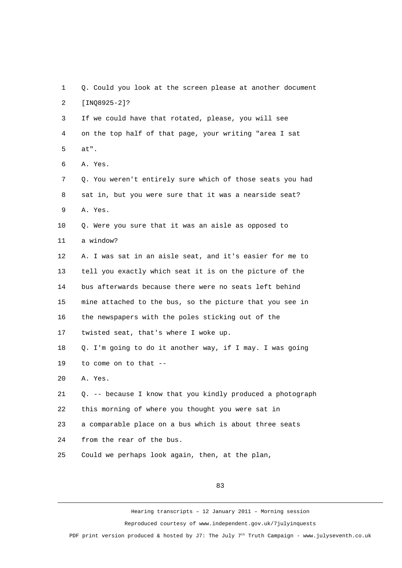1 Q. Could you look at the screen please at another document 2 [INQ8925-2]? 3 If we could have that rotated, please, you will see 4 on the top half of that page, your writing "area I sat 5 at". 6 A. Yes. 7 Q. You weren't entirely sure which of those seats you had 8 sat in, but you were sure that it was a nearside seat? 9 A. Yes. 10 Q. Were you sure that it was an aisle as opposed to 11 a window? 12 A. I was sat in an aisle seat, and it's easier for me to 13 tell you exactly which seat it is on the picture of the 14 bus afterwards because there were no seats left behind 15 mine attached to the bus, so the picture that you see in 16 the newspapers with the poles sticking out of the 17 twisted seat, that's where I woke up. 18 Q. I'm going to do it another way, if I may. I was going 19 to come on to that -- 20 A. Yes. 21 Q. -- because I know that you kindly produced a photograph 22 this morning of where you thought you were sat in 23 a comparable place on a bus which is about three seats 24 from the rear of the bus. 25 Could we perhaps look again, then, at the plan,

83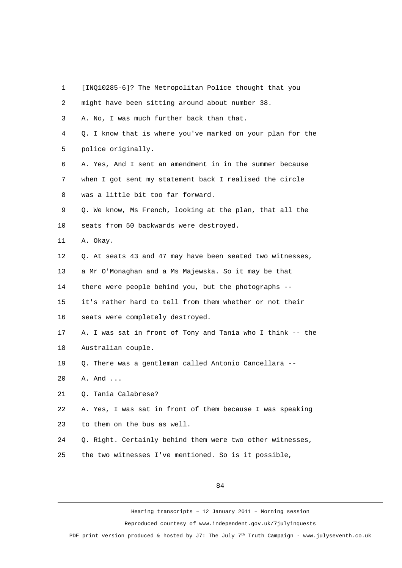- 1 [INQ10285-6]? The Metropolitan Police thought that you
- 2 might have been sitting around about number 38. 3 A. No, I was much further back than that. 4 Q. I know that is where you've marked on your plan for the 5 police originally. 6 A. Yes, And I sent an amendment in in the summer because 7 when I got sent my statement back I realised the circle 8 was a little bit too far forward. 9 Q. We know, Ms French, looking at the plan, that all the 10 seats from 50 backwards were destroyed. 11 A. Okay. 12 Q. At seats 43 and 47 may have been seated two witnesses, 13 a Mr O'Monaghan and a Ms Majewska. So it may be that 14 there were people behind you, but the photographs -- 15 it's rather hard to tell from them whether or not their 16 seats were completely destroyed. 17 A. I was sat in front of Tony and Tania who I think -- the 18 Australian couple. 19 Q. There was a gentleman called Antonio Cancellara -- 20 A. And ... 21 Q. Tania Calabrese? 22 A. Yes, I was sat in front of them because I was speaking 23 to them on the bus as well. 24 Q. Right. Certainly behind them were two other witnesses, 25 the two witnesses I've mentioned. So is it possible,

84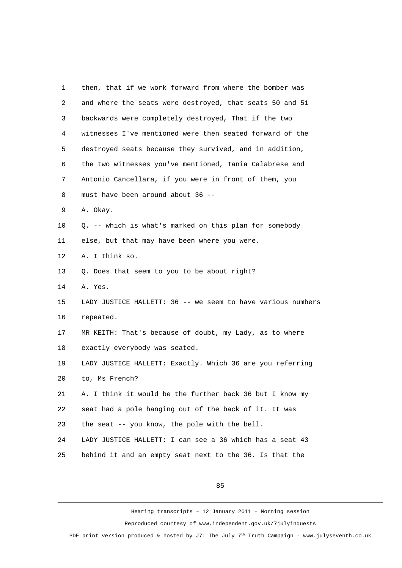| 1              | then, that if we work forward from where the bomber was     |
|----------------|-------------------------------------------------------------|
| $\overline{c}$ | and where the seats were destroyed, that seats 50 and 51    |
| 3              | backwards were completely destroyed, That if the two        |
| 4              | witnesses I've mentioned were then seated forward of the    |
| 5              | destroyed seats because they survived, and in addition,     |
| 6              | the two witnesses you've mentioned, Tania Calabrese and     |
| $\overline{7}$ | Antonio Cancellara, if you were in front of them, you       |
| 8              | must have been around about 36 --                           |
| 9              | A. Okay.                                                    |
| 10             | Q. -- which is what's marked on this plan for somebody      |
| 11             | else, but that may have been where you were.                |
| 12             | A. I think so.                                              |
| 13             | Q. Does that seem to you to be about right?                 |
| 14             | A. Yes.                                                     |
| 15             | LADY JUSTICE HALLETT: 36 -- we seem to have various numbers |
| 16             | repeated.                                                   |
| 17             | MR KEITH: That's because of doubt, my Lady, as to where     |
| 18             | exactly everybody was seated.                               |
| 19             | LADY JUSTICE HALLETT: Exactly. Which 36 are you referring   |
| 20             | to, Ms French?                                              |
| 21             | A. I think it would be the further back 36 but I know my    |
| 22             | seat had a pole hanging out of the back of it. It was       |
| 23             | the seat -- you know, the pole with the bell.               |
| 24             | LADY JUSTICE HALLETT: I can see a 36 which has a seat 43    |
| 25             | behind it and an empty seat next to the 36. Is that the     |

85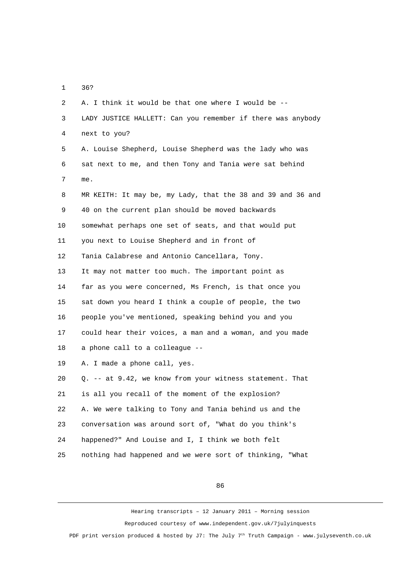1 36?

 2 A. I think it would be that one where I would be -- 3 LADY JUSTICE HALLETT: Can you remember if there was anybody 4 next to you? 5 A. Louise Shepherd, Louise Shepherd was the lady who was 6 sat next to me, and then Tony and Tania were sat behind 7 me. 8 MR KEITH: It may be, my Lady, that the 38 and 39 and 36 and 9 40 on the current plan should be moved backwards 10 somewhat perhaps one set of seats, and that would put 11 you next to Louise Shepherd and in front of 12 Tania Calabrese and Antonio Cancellara, Tony. 13 It may not matter too much. The important point as 14 far as you were concerned, Ms French, is that once you 15 sat down you heard I think a couple of people, the two 16 people you've mentioned, speaking behind you and you 17 could hear their voices, a man and a woman, and you made 18 a phone call to a colleague -- 19 A. I made a phone call, yes. 20 Q. -- at 9.42, we know from your witness statement. That 21 is all you recall of the moment of the explosion? 22 A. We were talking to Tony and Tania behind us and the 23 conversation was around sort of, "What do you think's 24 happened?" And Louise and I, I think we both felt 25 nothing had happened and we were sort of thinking, "What

86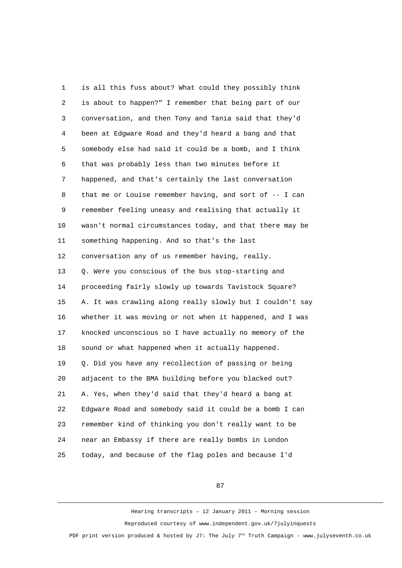1 is all this fuss about? What could they possibly think 2 is about to happen?" I remember that being part of our 3 conversation, and then Tony and Tania said that they'd 4 been at Edgware Road and they'd heard a bang and that 5 somebody else had said it could be a bomb, and I think 6 that was probably less than two minutes before it 7 happened, and that's certainly the last conversation 8 that me or Louise remember having, and sort of -- I can 9 remember feeling uneasy and realising that actually it 10 wasn't normal circumstances today, and that there may be 11 something happening. And so that's the last 12 conversation any of us remember having, really. 13 Q. Were you conscious of the bus stop-starting and 14 proceeding fairly slowly up towards Tavistock Square? 15 A. It was crawling along really slowly but I couldn't say 16 whether it was moving or not when it happened, and I was 17 knocked unconscious so I have actually no memory of the 18 sound or what happened when it actually happened. 19 Q. Did you have any recollection of passing or being 20 adjacent to the BMA building before you blacked out? 21 A. Yes, when they'd said that they'd heard a bang at 22 Edgware Road and somebody said it could be a bomb I can 23 remember kind of thinking you don't really want to be 24 near an Embassy if there are really bombs in London 25 today, and because of the flag poles and because I'd

87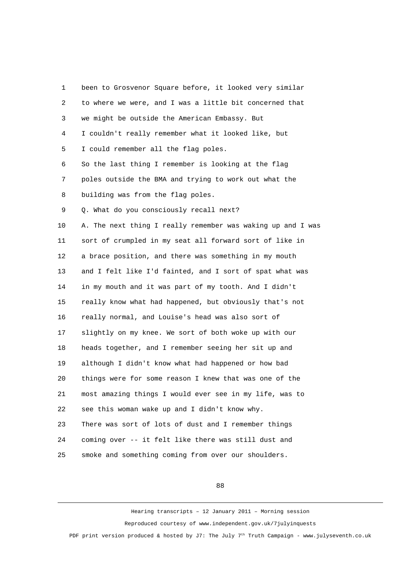1 been to Grosvenor Square before, it looked very similar 2 to where we were, and I was a little bit concerned that 3 we might be outside the American Embassy. But 4 I couldn't really remember what it looked like, but 5 I could remember all the flag poles. 6 So the last thing I remember is looking at the flag 7 poles outside the BMA and trying to work out what the 8 building was from the flag poles. 9 Q. What do you consciously recall next? 10 A. The next thing I really remember was waking up and I was 11 sort of crumpled in my seat all forward sort of like in 12 a brace position, and there was something in my mouth 13 and I felt like I'd fainted, and I sort of spat what was 14 in my mouth and it was part of my tooth. And I didn't 15 really know what had happened, but obviously that's not 16 really normal, and Louise's head was also sort of 17 slightly on my knee. We sort of both woke up with our 18 heads together, and I remember seeing her sit up and 19 although I didn't know what had happened or how bad 20 things were for some reason I knew that was one of the 21 most amazing things I would ever see in my life, was to 22 see this woman wake up and I didn't know why. 23 There was sort of lots of dust and I remember things 24 coming over -- it felt like there was still dust and 25 smoke and something coming from over our shoulders.

88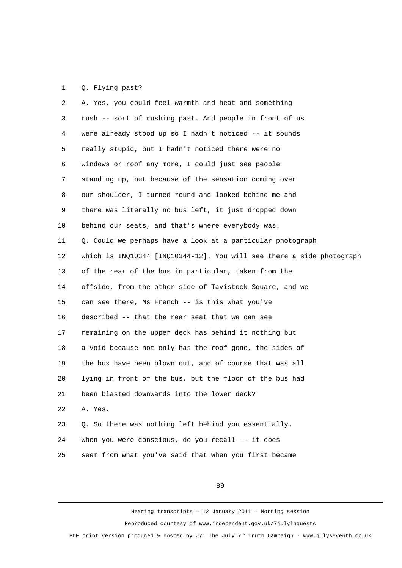## 1 Q. Flying past?

| $\overline{2}$ | A. Yes, you could feel warmth and heat and something                  |
|----------------|-----------------------------------------------------------------------|
| 3              | rush -- sort of rushing past. And people in front of us               |
| 4              | were already stood up so I hadn't noticed -- it sounds                |
| 5              | really stupid, but I hadn't noticed there were no                     |
| 6              | windows or roof any more, I could just see people                     |
| $\overline{7}$ | standing up, but because of the sensation coming over                 |
| 8              | our shoulder, I turned round and looked behind me and                 |
| 9              | there was literally no bus left, it just dropped down                 |
| 10             | behind our seats, and that's where everybody was.                     |
| 11             | Q. Could we perhaps have a look at a particular photograph            |
| 12             | which is INQ10344 [INQ10344-12]. You will see there a side photograph |
| 13             | of the rear of the bus in particular, taken from the                  |
| 14             | offside, from the other side of Tavistock Square, and we              |
| 15             | can see there, Ms French -- is this what you've                       |
| 16             | described -- that the rear seat that we can see                       |
| 17             | remaining on the upper deck has behind it nothing but                 |
| 18             | a void because not only has the roof gone, the sides of               |
| 19             | the bus have been blown out, and of course that was all               |
| 20             | lying in front of the bus, but the floor of the bus had               |
| 21             | been blasted downwards into the lower deck?                           |
| 22             | A. Yes.                                                               |
| 23             | Q. So there was nothing left behind you essentially.                  |
| 24             | When you were conscious, do you recall -- it does                     |
| 25             | seem from what you've said that when you first became                 |

89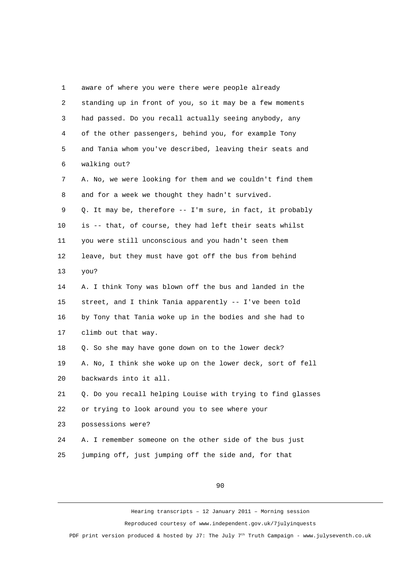1 aware of where you were there were people already 2 standing up in front of you, so it may be a few moments 3 had passed. Do you recall actually seeing anybody, any 4 of the other passengers, behind you, for example Tony 5 and Tania whom you've described, leaving their seats and 6 walking out? 7 A. No, we were looking for them and we couldn't find them 8 and for a week we thought they hadn't survived. 9 Q. It may be, therefore -- I'm sure, in fact, it probably 10 is -- that, of course, they had left their seats whilst 11 you were still unconscious and you hadn't seen them 12 leave, but they must have got off the bus from behind 13 you? 14 A. I think Tony was blown off the bus and landed in the 15 street, and I think Tania apparently -- I've been told 16 by Tony that Tania woke up in the bodies and she had to 17 climb out that way. 18 Q. So she may have gone down on to the lower deck? 19 A. No, I think she woke up on the lower deck, sort of fell 20 backwards into it all. 21 Q. Do you recall helping Louise with trying to find glasses 22 or trying to look around you to see where your 23 possessions were? 24 A. I remember someone on the other side of the bus just 25 jumping off, just jumping off the side and, for that

90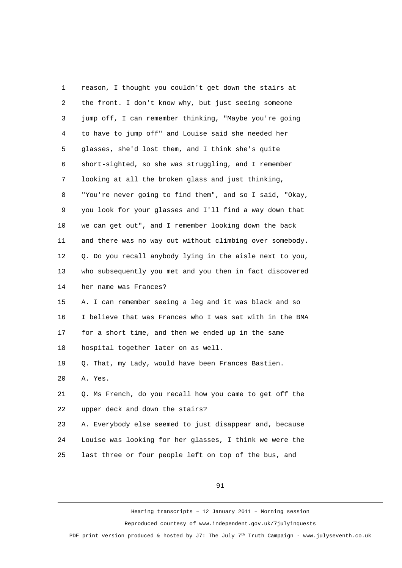1 reason, I thought you couldn't get down the stairs at 2 the front. I don't know why, but just seeing someone 3 jump off, I can remember thinking, "Maybe you're going 4 to have to jump off" and Louise said she needed her 5 glasses, she'd lost them, and I think she's quite 6 short-sighted, so she was struggling, and I remember 7 looking at all the broken glass and just thinking, 8 "You're never going to find them", and so I said, "Okay, 9 you look for your glasses and I'll find a way down that 10 we can get out", and I remember looking down the back 11 and there was no way out without climbing over somebody. 12 Q. Do you recall anybody lying in the aisle next to you, 13 who subsequently you met and you then in fact discovered 14 her name was Frances? 15 A. I can remember seeing a leg and it was black and so 16 I believe that was Frances who I was sat with in the BMA 17 for a short time, and then we ended up in the same 18 hospital together later on as well. 19 Q. That, my Lady, would have been Frances Bastien. 20 A. Yes. 21 Q. Ms French, do you recall how you came to get off the 22 upper deck and down the stairs? 23 A. Everybody else seemed to just disappear and, because 24 Louise was looking for her glasses, I think we were the 25 last three or four people left on top of the bus, and

91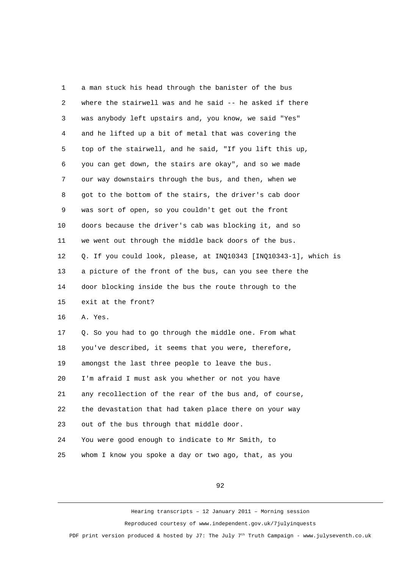1 a man stuck his head through the banister of the bus 2 where the stairwell was and he said -- he asked if there 3 was anybody left upstairs and, you know, we said "Yes" 4 and he lifted up a bit of metal that was covering the 5 top of the stairwell, and he said, "If you lift this up, 6 you can get down, the stairs are okay", and so we made 7 our way downstairs through the bus, and then, when we 8 got to the bottom of the stairs, the driver's cab door 9 was sort of open, so you couldn't get out the front 10 doors because the driver's cab was blocking it, and so 11 we went out through the middle back doors of the bus. 12 Q. If you could look, please, at INQ10343 [INQ10343-1], which is 13 a picture of the front of the bus, can you see there the 14 door blocking inside the bus the route through to the 15 exit at the front? 16 A. Yes. 17 Q. So you had to go through the middle one. From what 18 you've described, it seems that you were, therefore, 19 amongst the last three people to leave the bus. 20 I'm afraid I must ask you whether or not you have 21 any recollection of the rear of the bus and, of course, 22 the devastation that had taken place there on your way 23 out of the bus through that middle door. 24 You were good enough to indicate to Mr Smith, to 25 whom I know you spoke a day or two ago, that, as you

92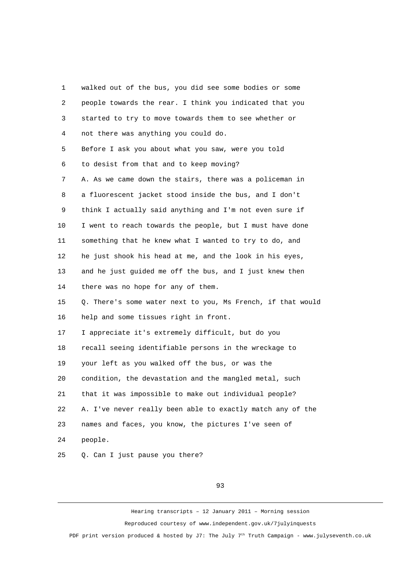1 walked out of the bus, you did see some bodies or some 2 people towards the rear. I think you indicated that you 3 started to try to move towards them to see whether or 4 not there was anything you could do. 5 Before I ask you about what you saw, were you told 6 to desist from that and to keep moving? 7 A. As we came down the stairs, there was a policeman in 8 a fluorescent jacket stood inside the bus, and I don't 9 think I actually said anything and I'm not even sure if 10 I went to reach towards the people, but I must have done 11 something that he knew what I wanted to try to do, and 12 he just shook his head at me, and the look in his eyes, 13 and he just guided me off the bus, and I just knew then 14 there was no hope for any of them. 15 Q. There's some water next to you, Ms French, if that would 16 help and some tissues right in front. 17 I appreciate it's extremely difficult, but do you 18 recall seeing identifiable persons in the wreckage to 19 your left as you walked off the bus, or was the 20 condition, the devastation and the mangled metal, such 21 that it was impossible to make out individual people? 22 A. I've never really been able to exactly match any of the 23 names and faces, you know, the pictures I've seen of 24 people. 25 Q. Can I just pause you there?

93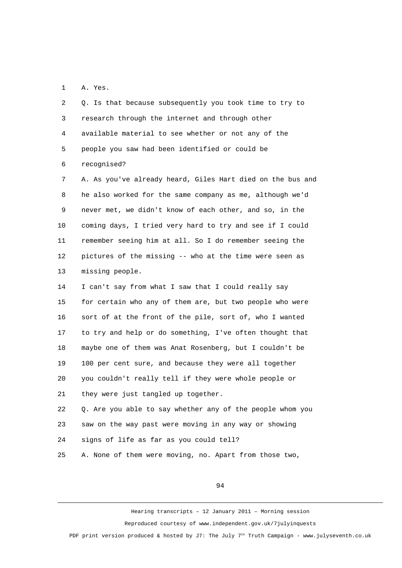1 A. Yes.

 2 Q. Is that because subsequently you took time to try to 3 research through the internet and through other 4 available material to see whether or not any of the 5 people you saw had been identified or could be 6 recognised?

 7 A. As you've already heard, Giles Hart died on the bus and 8 he also worked for the same company as me, although we'd 9 never met, we didn't know of each other, and so, in the 10 coming days, I tried very hard to try and see if I could 11 remember seeing him at all. So I do remember seeing the 12 pictures of the missing -- who at the time were seen as 13 missing people.

14 I can't say from what I saw that I could really say 15 for certain who any of them are, but two people who were 16 sort of at the front of the pile, sort of, who I wanted 17 to try and help or do something, I've often thought that 18 maybe one of them was Anat Rosenberg, but I couldn't be 19 100 per cent sure, and because they were all together 20 you couldn't really tell if they were whole people or 21 they were just tangled up together.

22 Q. Are you able to say whether any of the people whom you 23 saw on the way past were moving in any way or showing 24 signs of life as far as you could tell?

25 A. None of them were moving, no. Apart from those two,

94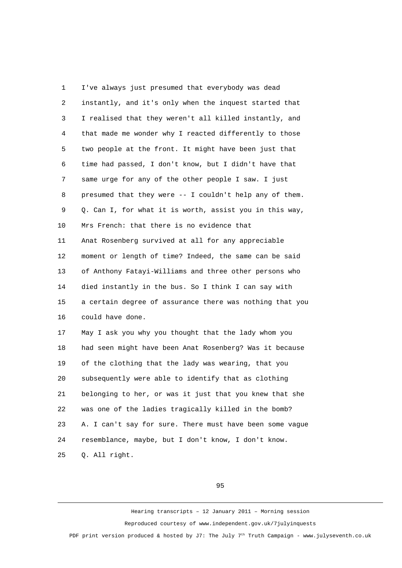1 I've always just presumed that everybody was dead 2 instantly, and it's only when the inquest started that 3 I realised that they weren't all killed instantly, and 4 that made me wonder why I reacted differently to those 5 two people at the front. It might have been just that 6 time had passed, I don't know, but I didn't have that 7 same urge for any of the other people I saw. I just 8 presumed that they were -- I couldn't help any of them. 9 Q. Can I, for what it is worth, assist you in this way, 10 Mrs French: that there is no evidence that 11 Anat Rosenberg survived at all for any appreciable 12 moment or length of time? Indeed, the same can be said 13 of Anthony Fatayi-Williams and three other persons who 14 died instantly in the bus. So I think I can say with 15 a certain degree of assurance there was nothing that you 16 could have done. 17 May I ask you why you thought that the lady whom you 18 had seen might have been Anat Rosenberg? Was it because 19 of the clothing that the lady was wearing, that you 20 subsequently were able to identify that as clothing 21 belonging to her, or was it just that you knew that she 22 was one of the ladies tragically killed in the bomb? 23 A. I can't say for sure. There must have been some vague 24 resemblance, maybe, but I don't know, I don't know. 25 Q. All right.

95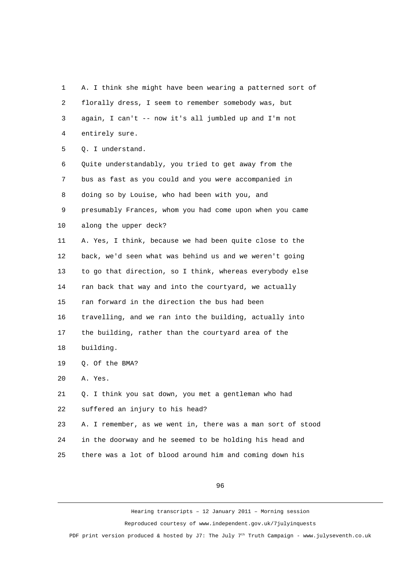1 A. I think she might have been wearing a patterned sort of 2 florally dress, I seem to remember somebody was, but 3 again, I can't -- now it's all jumbled up and I'm not 4 entirely sure.

5 Q. I understand.

 6 Quite understandably, you tried to get away from the 7 bus as fast as you could and you were accompanied in 8 doing so by Louise, who had been with you, and 9 presumably Frances, whom you had come upon when you came 10 along the upper deck? 11 A. Yes, I think, because we had been quite close to the 12 back, we'd seen what was behind us and we weren't going 13 to go that direction, so I think, whereas everybody else 14 ran back that way and into the courtyard, we actually 15 ran forward in the direction the bus had been 16 travelling, and we ran into the building, actually into 17 the building, rather than the courtyard area of the 18 building. 19 Q. Of the BMA? 20 A. Yes. 21 Q. I think you sat down, you met a gentleman who had 22 suffered an injury to his head?

23 A. I remember, as we went in, there was a man sort of stood 24 in the doorway and he seemed to be holding his head and 25 there was a lot of blood around him and coming down his

96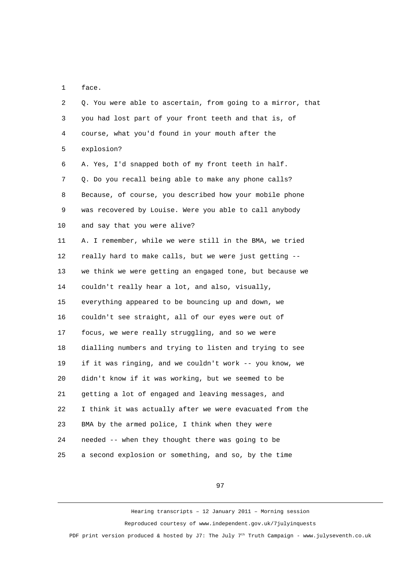1 face.

| 2              | Q. You were able to ascertain, from going to a mirror, that |
|----------------|-------------------------------------------------------------|
| 3              | you had lost part of your front teeth and that is, of       |
| 4              | course, what you'd found in your mouth after the            |
| 5              | explosion?                                                  |
| 6              | A. Yes, I'd snapped both of my front teeth in half.         |
| $\overline{7}$ | Q. Do you recall being able to make any phone calls?        |
| 8              | Because, of course, you described how your mobile phone     |
| 9              | was recovered by Louise. Were you able to call anybody      |
| 10             | and say that you were alive?                                |
| 11             | A. I remember, while we were still in the BMA, we tried     |
| 12             | really hard to make calls, but we were just getting --      |
| 13             | we think we were getting an engaged tone, but because we    |
| 14             | couldn't really hear a lot, and also, visually,             |
| 15             | everything appeared to be bouncing up and down, we          |
| 16             | couldn't see straight, all of our eyes were out of          |
| 17             | focus, we were really struggling, and so we were            |
| 18             | dialling numbers and trying to listen and trying to see     |
| 19             | if it was ringing, and we couldn't work -- you know, we     |
| 20             | didn't know if it was working, but we seemed to be          |
| 21             | getting a lot of engaged and leaving messages, and          |
| 22             | I think it was actually after we were evacuated from the    |
| 23             | BMA by the armed police, I think when they were             |
| 24             | needed -- when they thought there was going to be           |
| 25             | a second explosion or something, and so, by the time        |

97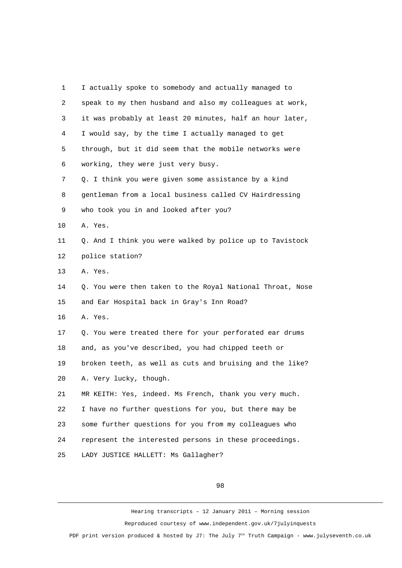| 1  | I actually spoke to somebody and actually managed to      |
|----|-----------------------------------------------------------|
| 2  | speak to my then husband and also my colleagues at work,  |
| 3  | it was probably at least 20 minutes, half an hour later,  |
| 4  | I would say, by the time I actually managed to get        |
| 5  | through, but it did seem that the mobile networks were    |
| 6  | working, they were just very busy.                        |
| 7  | Q. I think you were given some assistance by a kind       |
| 8  | gentleman from a local business called CV Hairdressing    |
| 9  | who took you in and looked after you?                     |
| 10 | A. Yes.                                                   |
| 11 | Q. And I think you were walked by police up to Tavistock  |
| 12 | police station?                                           |
| 13 | A. Yes.                                                   |
| 14 | Q. You were then taken to the Royal National Throat, Nose |
| 15 | and Ear Hospital back in Gray's Inn Road?                 |
| 16 | A. Yes.                                                   |
| 17 | Q. You were treated there for your perforated ear drums   |
| 18 | and, as you've described, you had chipped teeth or        |
| 19 | broken teeth, as well as cuts and bruising and the like?  |
| 20 | A. Very lucky, though.                                    |
| 21 | MR KEITH: Yes, indeed. Ms French, thank you very much.    |
| 22 | I have no further questions for you, but there may be     |
| 23 | some further questions for you from my colleagues who     |
| 24 | represent the interested persons in these proceedings.    |
| 25 | LADY JUSTICE HALLETT: Ms Gallagher?                       |

98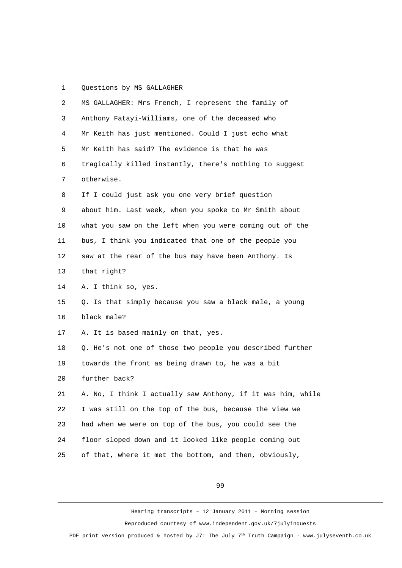## 1 Questions by MS GALLAGHER

| $\overline{2}$ | MS GALLAGHER: Mrs French, I represent the family of         |
|----------------|-------------------------------------------------------------|
| 3              | Anthony Fatayi-Williams, one of the deceased who            |
| 4              | Mr Keith has just mentioned. Could I just echo what         |
| 5              | Mr Keith has said? The evidence is that he was              |
| 6              | tragically killed instantly, there's nothing to suggest     |
| $\overline{7}$ | otherwise.                                                  |
| 8              | If I could just ask you one very brief question             |
| 9              | about him. Last week, when you spoke to Mr Smith about      |
| 10             | what you saw on the left when you were coming out of the    |
| 11             | bus, I think you indicated that one of the people you       |
| 12             | saw at the rear of the bus may have been Anthony. Is        |
| 13             | that right?                                                 |
| 14             | A. I think so, yes.                                         |
| 15             | Q. Is that simply because you saw a black male, a young     |
| 16             | black male?                                                 |
| 17             | A. It is based mainly on that, yes.                         |
| 18             | Q. He's not one of those two people you described further   |
| 19             | towards the front as being drawn to, he was a bit           |
| 20             | further back?                                               |
| 21             | A. No, I think I actually saw Anthony, if it was him, while |
| 22             | I was still on the top of the bus, because the view we      |
| 23             | had when we were on top of the bus, you could see the       |
| 24             | floor sloped down and it looked like people coming out      |
| 25             | of that, where it met the bottom, and then, obviously,      |

99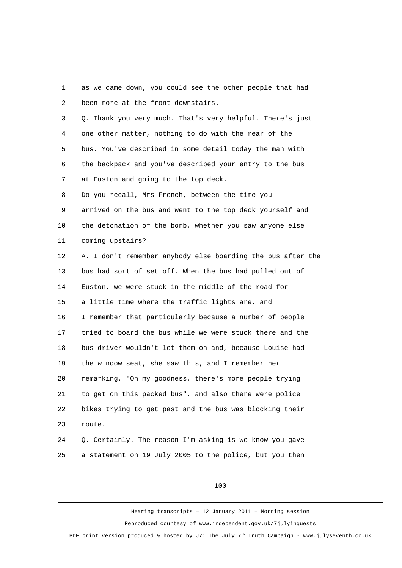1 as we came down, you could see the other people that had 2 been more at the front downstairs.

 3 Q. Thank you very much. That's very helpful. There's just 4 one other matter, nothing to do with the rear of the 5 bus. You've described in some detail today the man with 6 the backpack and you've described your entry to the bus 7 at Euston and going to the top deck.

 8 Do you recall, Mrs French, between the time you 9 arrived on the bus and went to the top deck yourself and 10 the detonation of the bomb, whether you saw anyone else 11 coming upstairs?

12 A. I don't remember anybody else boarding the bus after the 13 bus had sort of set off. When the bus had pulled out of 14 Euston, we were stuck in the middle of the road for 15 a little time where the traffic lights are, and 16 I remember that particularly because a number of people 17 tried to board the bus while we were stuck there and the 18 bus driver wouldn't let them on and, because Louise had 19 the window seat, she saw this, and I remember her 20 remarking, "Oh my goodness, there's more people trying 21 to get on this packed bus", and also there were police 22 bikes trying to get past and the bus was blocking their 23 route.

24 Q. Certainly. The reason I'm asking is we know you gave 25 a statement on 19 July 2005 to the police, but you then

## 100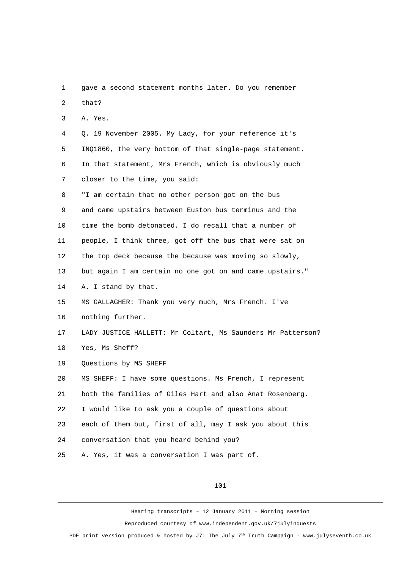1 gave a second statement months later. Do you remember 2 that? 3 A. Yes. 4 Q. 19 November 2005. My Lady, for your reference it's 5 INQ1860, the very bottom of that single-page statement. 6 In that statement, Mrs French, which is obviously much 7 closer to the time, you said: 8 "I am certain that no other person got on the bus 9 and came upstairs between Euston bus terminus and the 10 time the bomb detonated. I do recall that a number of 11 people, I think three, got off the bus that were sat on 12 the top deck because the because was moving so slowly, 13 but again I am certain no one got on and came upstairs." 14 A. I stand by that. 15 MS GALLAGHER: Thank you very much, Mrs French. I've 16 nothing further. 17 LADY JUSTICE HALLETT: Mr Coltart, Ms Saunders Mr Patterson? 18 Yes, Ms Sheff? 19 Questions by MS SHEFF 20 MS SHEFF: I have some questions. Ms French, I represent 21 both the families of Giles Hart and also Anat Rosenberg. 22 I would like to ask you a couple of questions about 23 each of them but, first of all, may I ask you about this 24 conversation that you heard behind you? 25 A. Yes, it was a conversation I was part of.

101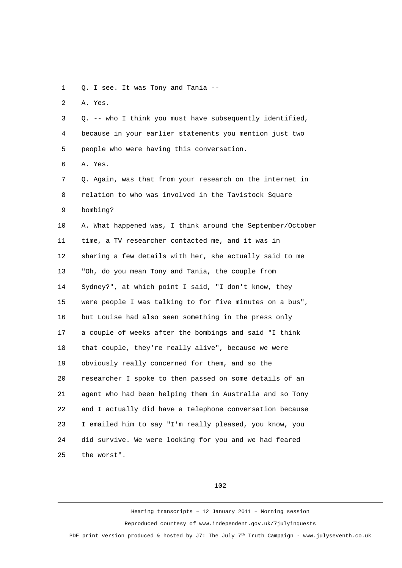1 Q. I see. It was Tony and Tania --

2 A. Yes.

 3 Q. -- who I think you must have subsequently identified, 4 because in your earlier statements you mention just two 5 people who were having this conversation.

6 A. Yes.

 7 Q. Again, was that from your research on the internet in 8 relation to who was involved in the Tavistock Square 9 bombing? 10 A. What happened was, I think around the September/October

11 time, a TV researcher contacted me, and it was in 12 sharing a few details with her, she actually said to me 13 "Oh, do you mean Tony and Tania, the couple from 14 Sydney?", at which point I said, "I don't know, they 15 were people I was talking to for five minutes on a bus", 16 but Louise had also seen something in the press only 17 a couple of weeks after the bombings and said "I think 18 that couple, they're really alive", because we were 19 obviously really concerned for them, and so the 20 researcher I spoke to then passed on some details of an 21 agent who had been helping them in Australia and so Tony 22 and I actually did have a telephone conversation because 23 I emailed him to say "I'm really pleased, you know, you 24 did survive. We were looking for you and we had feared 25 the worst".

## 102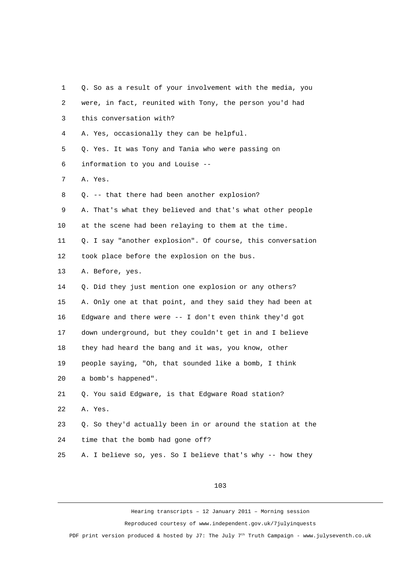| 1              | Q. So as a result of your involvement with the media, you  |
|----------------|------------------------------------------------------------|
| $\overline{c}$ | were, in fact, reunited with Tony, the person you'd had    |
| 3              | this conversation with?                                    |
| 4              | A. Yes, occasionally they can be helpful.                  |
| 5              | Q. Yes. It was Tony and Tania who were passing on          |
| 6              | information to you and Louise --                           |
| 7              | A. Yes.                                                    |
| 8              | Q. -- that there had been another explosion?               |
| 9              | A. That's what they believed and that's what other people  |
| 10             | at the scene had been relaying to them at the time.        |
| 11             | Q. I say "another explosion". Of course, this conversation |
| 12             | took place before the explosion on the bus.                |
| 13             | A. Before, yes.                                            |
| 14             | Q. Did they just mention one explosion or any others?      |
| 15             | A. Only one at that point, and they said they had been at  |
| 16             | Edgware and there were -- I don't even think they'd got    |
| 17             | down underground, but they couldn't get in and I believe   |
| 18             | they had heard the bang and it was, you know, other        |
| 19             | people saying, "Oh, that sounded like a bomb, I think      |
| 20             | a bomb's happened".                                        |
| 21             | Q. You said Edgware, is that Edgware Road station?         |
| 22             | A. Yes.                                                    |
| 23             | Q. So they'd actually been in or around the station at the |
| 24             | time that the bomb had gone off?                           |
| 25             | A. I believe so, yes. So I believe that's why -- how they  |

103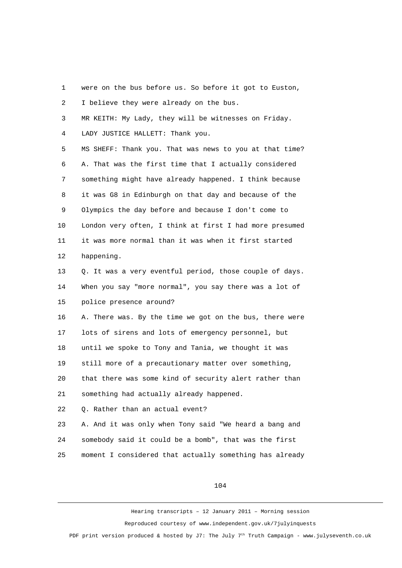1 were on the bus before us. So before it got to Euston, 2 I believe they were already on the bus. 3 MR KEITH: My Lady, they will be witnesses on Friday. 4 LADY JUSTICE HALLETT: Thank you. 5 MS SHEFF: Thank you. That was news to you at that time? 6 A. That was the first time that I actually considered 7 something might have already happened. I think because 8 it was G8 in Edinburgh on that day and because of the 9 Olympics the day before and because I don't come to 10 London very often, I think at first I had more presumed 11 it was more normal than it was when it first started 12 happening. 13 O. It was a very eventful period, those couple of days. 14 When you say "more normal", you say there was a lot of 15 police presence around? 16 A. There was. By the time we got on the bus, there were 17 lots of sirens and lots of emergency personnel, but 18 until we spoke to Tony and Tania, we thought it was 19 still more of a precautionary matter over something, 20 that there was some kind of security alert rather than 21 something had actually already happened. 22 Q. Rather than an actual event? 23 A. And it was only when Tony said "We heard a bang and 24 somebody said it could be a bomb", that was the first 25 moment I considered that actually something has already

104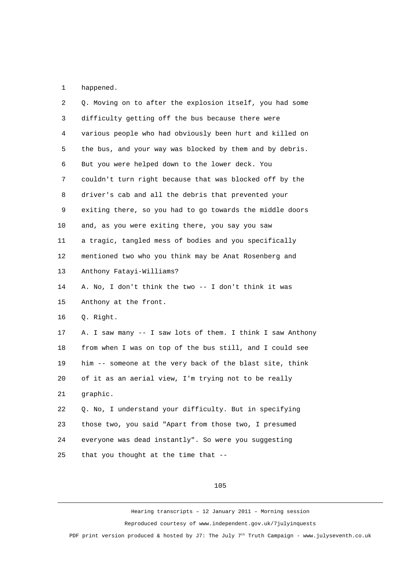1 happened.

| 2              | Q. Moving on to after the explosion itself, you had some   |
|----------------|------------------------------------------------------------|
| 3              | difficulty getting off the bus because there were          |
| 4              | various people who had obviously been hurt and killed on   |
| 5              | the bus, and your way was blocked by them and by debris.   |
| 6              | But you were helped down to the lower deck. You            |
| $\overline{7}$ | couldn't turn right because that was blocked off by the    |
| 8              | driver's cab and all the debris that prevented your        |
| 9              | exiting there, so you had to go towards the middle doors   |
| 10             | and, as you were exiting there, you say you saw            |
| 11             | a tragic, tangled mess of bodies and you specifically      |
| 12             | mentioned two who you think may be Anat Rosenberg and      |
| 13             | Anthony Fatayi-Williams?                                   |
| 14             | A. No, I don't think the two -- I don't think it was       |
| 15             | Anthony at the front.                                      |
| 16             | Q. Right.                                                  |
| 17             | A. I saw many -- I saw lots of them. I think I saw Anthony |
| 18             | from when I was on top of the bus still, and I could see   |
| 19             | him -- someone at the very back of the blast site, think   |
| 20             | of it as an aerial view, I'm trying not to be really       |
| 21             | graphic.                                                   |
| 22             | Q. No, I understand your difficulty. But in specifying     |
| 23             | those two, you said "Apart from those two, I presumed      |
| 24             | everyone was dead instantly". So were you suggesting       |
| 25             | that you thought at the time that --                       |

105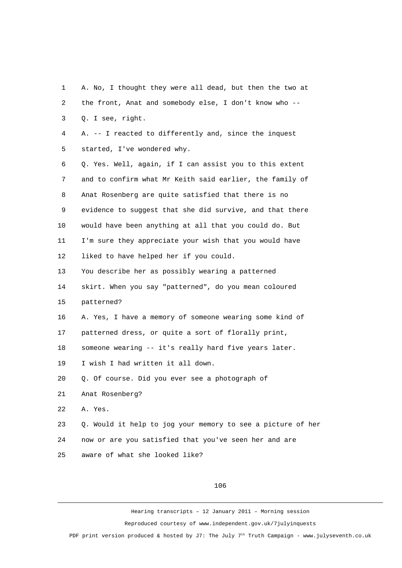1 A. No, I thought they were all dead, but then the two at 2 the front, Anat and somebody else, I don't know who -- 3 Q. I see, right. 4 A. -- I reacted to differently and, since the inquest 5 started, I've wondered why. 6 Q. Yes. Well, again, if I can assist you to this extent 7 and to confirm what Mr Keith said earlier, the family of 8 Anat Rosenberg are quite satisfied that there is no 9 evidence to suggest that she did survive, and that there 10 would have been anything at all that you could do. But 11 I'm sure they appreciate your wish that you would have 12 liked to have helped her if you could. 13 You describe her as possibly wearing a patterned 14 skirt. When you say "patterned", do you mean coloured 15 patterned? 16 A. Yes, I have a memory of someone wearing some kind of 17 patterned dress, or quite a sort of florally print, 18 someone wearing -- it's really hard five years later. 19 I wish I had written it all down. 20 Q. Of course. Did you ever see a photograph of 21 Anat Rosenberg? 22 A. Yes. 23 Q. Would it help to jog your memory to see a picture of her 24 now or are you satisfied that you've seen her and are 25 aware of what she looked like?

106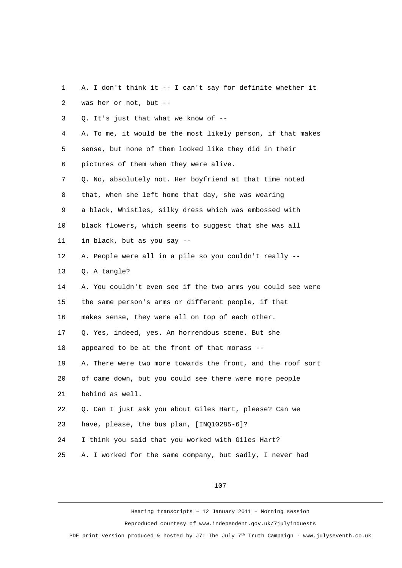| 1              | A. I don't think it -- I can't say for definite whether it  |
|----------------|-------------------------------------------------------------|
| $\overline{c}$ | was her or not, but --                                      |
| 3              | Q. It's just that what we know of --                        |
| 4              | A. To me, it would be the most likely person, if that makes |
| 5              | sense, but none of them looked like they did in their       |
| 6              | pictures of them when they were alive.                      |
| 7              | Q. No, absolutely not. Her boyfriend at that time noted     |
| 8              | that, when she left home that day, she was wearing          |
| 9              | a black, Whistles, silky dress which was embossed with      |
| 10             | black flowers, which seems to suggest that she was all      |
| 11             | in black, but as you say --                                 |
| 12             | A. People were all in a pile so you couldn't really --      |
| 13             | Q. A tangle?                                                |
| 14             | A. You couldn't even see if the two arms you could see were |
| 15             | the same person's arms or different people, if that         |
| 16             | makes sense, they were all on top of each other.            |
| 17             | Q. Yes, indeed, yes. An horrendous scene. But she           |
| 18             | appeared to be at the front of that morass --               |
| 19             | A. There were two more towards the front, and the roof sort |
| 20             | of came down, but you could see there were more people      |
| 21             | behind as well.                                             |
| 22             | Q. Can I just ask you about Giles Hart, please? Can we      |
| 23             | have, please, the bus plan, [INQ10285-6]?                   |
| 24             | I think you said that you worked with Giles Hart?           |
| 25             | A. I worked for the same company, but sadly, I never had    |

107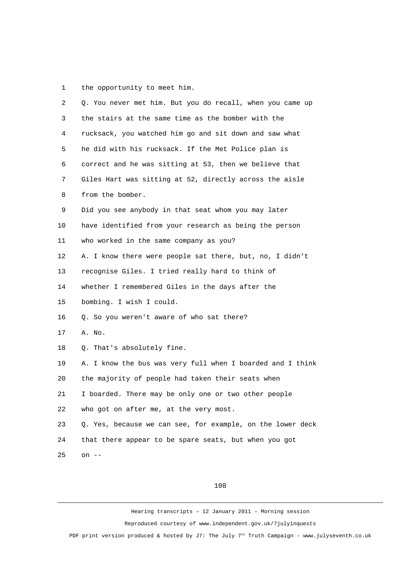1 the opportunity to meet him.

| $\overline{2}$ | Q. You never met him. But you do recall, when you came up  |
|----------------|------------------------------------------------------------|
| 3              | the stairs at the same time as the bomber with the         |
| 4              | rucksack, you watched him go and sit down and saw what     |
| 5              | he did with his rucksack. If the Met Police plan is        |
| 6              | correct and he was sitting at 53, then we believe that     |
| 7              | Giles Hart was sitting at 52, directly across the aisle    |
| 8              | from the bomber.                                           |
| 9              | Did you see anybody in that seat whom you may later        |
| 10             | have identified from your research as being the person     |
| 11             | who worked in the same company as you?                     |
| 12             | A. I know there were people sat there, but, no, I didn't   |
| 13             | recognise Giles. I tried really hard to think of           |
| 14             | whether I remembered Giles in the days after the           |
| 15             | bombing. I wish I could.                                   |
| 16             | Q. So you weren't aware of who sat there?                  |
| 17             | A. No.                                                     |
| 18             | Q. That's absolutely fine.                                 |
| 19             | A. I know the bus was very full when I boarded and I think |
| 20             | the majority of people had taken their seats when          |
| 21             | I boarded. There may be only one or two other people       |
| 22             | who got on after me, at the very most.                     |
| 23             | Q. Yes, because we can see, for example, on the lower deck |
| 24             | that there appear to be spare seats, but when you got      |
| 25             | on $-$                                                     |
|                |                                                            |

108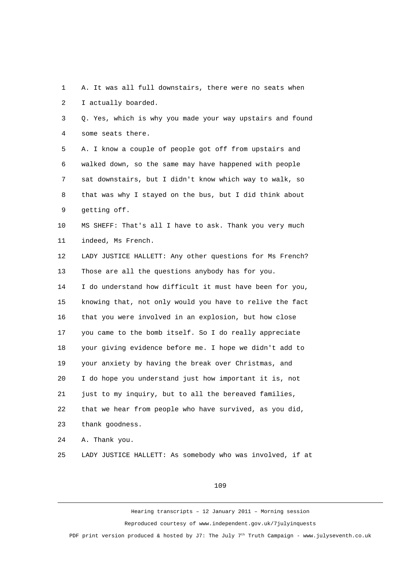1 A. It was all full downstairs, there were no seats when 2 I actually boarded.

 3 Q. Yes, which is why you made your way upstairs and found 4 some seats there.

 5 A. I know a couple of people got off from upstairs and 6 walked down, so the same may have happened with people 7 sat downstairs, but I didn't know which way to walk, so 8 that was why I stayed on the bus, but I did think about 9 getting off.

10 MS SHEFF: That's all I have to ask. Thank you very much 11 indeed, Ms French.

12 LADY JUSTICE HALLETT: Any other questions for Ms French? 13 Those are all the questions anybody has for you.

14 I do understand how difficult it must have been for you, 15 knowing that, not only would you have to relive the fact 16 that you were involved in an explosion, but how close 17 you came to the bomb itself. So I do really appreciate 18 your giving evidence before me. I hope we didn't add to 19 your anxiety by having the break over Christmas, and 20 I do hope you understand just how important it is, not 21 just to my inquiry, but to all the bereaved families, 22 that we hear from people who have survived, as you did, 23 thank goodness.

24 A. Thank you.

```
25 LADY JUSTICE HALLETT: As somebody who was involved, if at
```
## 109

Hearing transcripts – 12 January 2011 – Morning session Reproduced courtesy of www.independent.gov.uk/7julyinquests PDF print version produced & hosted by J7: The July  $7<sup>th</sup>$  Truth Campaign - www.julyseventh.co.uk